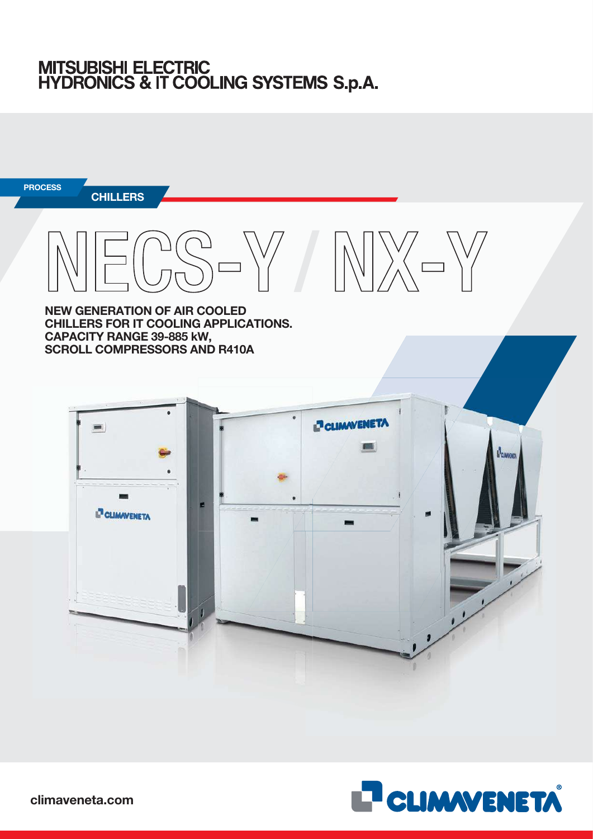# MITSUBISHI ELECTRIC<br>HYDRONICS & IT COOLING SYSTEMS S.p.A.



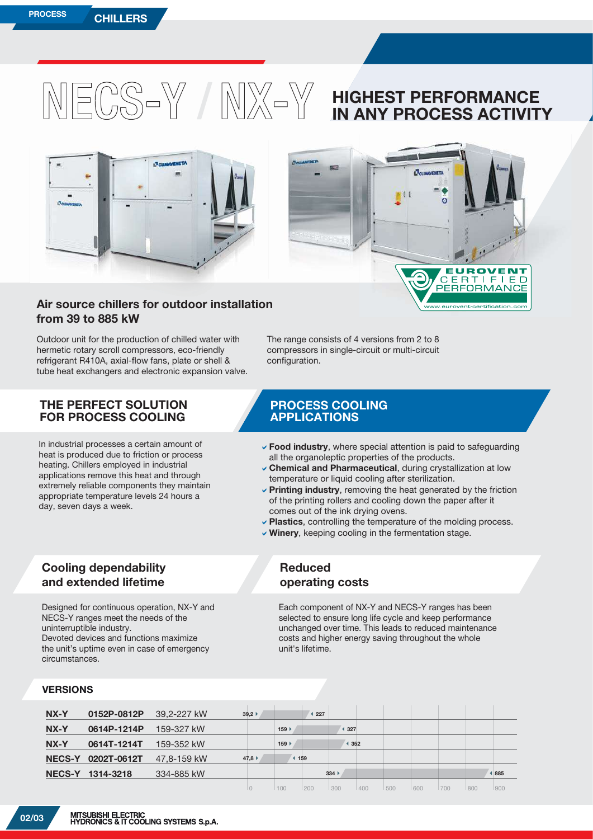

 $\overline{C}$ E

**RTIF** 

**ORMAI** 

 $E E$ 

а



## **Air source chillers for outdoor installation installatio from 39 to 885 kW**

Outdoor unit for the production of chilled water with hermetic rotary scroll compressors, eco-friendly refrigerant R410A, axial-flow fans, plate or shell & tube heat exchangers and electronic expansion valve.

### **THE PERFECT SOLUTION FOR PROCESS COOLING**

In industrial processes a certain amount of heat is produced due to friction or process heating. Chillers employed in industrial applications remove this heat and through extremely reliable components they maintain appropriate temperature levels 24 hours a day, seven days a week.

The range consists of 4 versions from 2 to 8 compressors in single-circuit or multi-circuit configuration.

## **PROCESS COOLING APPLICATIONS**

- **Food industry**, where special attention is paid to safeguarding all the organoleptic properties of the products.
- **Chemical and Pharmaceutical**, during crystallization at low temperature or liquid cooling after sterilization.
- D**Printing industry**, removing the heat generated by the friction of the printing rollers and cooling down the paper after it comes out of the ink drying ovens.
- **Plastics**, controlling the temperature of the molding process.
- **Winery**, keeping cooling in the fermentation stage.

## **Cooling dependability and extended lifetime**

Designed for continuous operation, NX-Y and NECS-Y ranges meet the needs of the uninterruptible industry. Devoted devices and functions maximize the unit's uptime even in case of emergency circumstances.

## **Reduced operating costs**

Each component of NX-Y and NECS-Y ranges has been selected to ensure long life cycle and keep performance unchanged over time. This leads to reduced maintenance costs and higher energy saving throughout the whole unit's lifetime.

#### **VERSIONS**

| NX-Y          | 0152P-0812P   | 39,2-227 kW | 39,2 |                             | 227 |       |     |     |     |     |     |     |
|---------------|---------------|-------------|------|-----------------------------|-----|-------|-----|-----|-----|-----|-----|-----|
| NX-Y          | 0614P-1214P   | 159-327 kW  |      | $159$ $\blacktriangleright$ |     | ◀ 327 |     |     |     |     |     |     |
| NX-Y          | 0614T-1214T   | 159-352 kW  |      | 159                         |     |       | 352 |     |     |     |     |     |
| <b>NECS-Y</b> | $0202T-0612T$ | 47.8-159 kW | 47,8 |                             | 159 |       |     |     |     |     |     |     |
| <b>NECS-Y</b> | 1314-3218     | 334-885 kW  |      |                             |     | 334   |     |     |     |     |     | 885 |
|               |               |             |      | 100                         | 200 | 300   | 400 | 500 | 600 | 700 | 800 | 900 |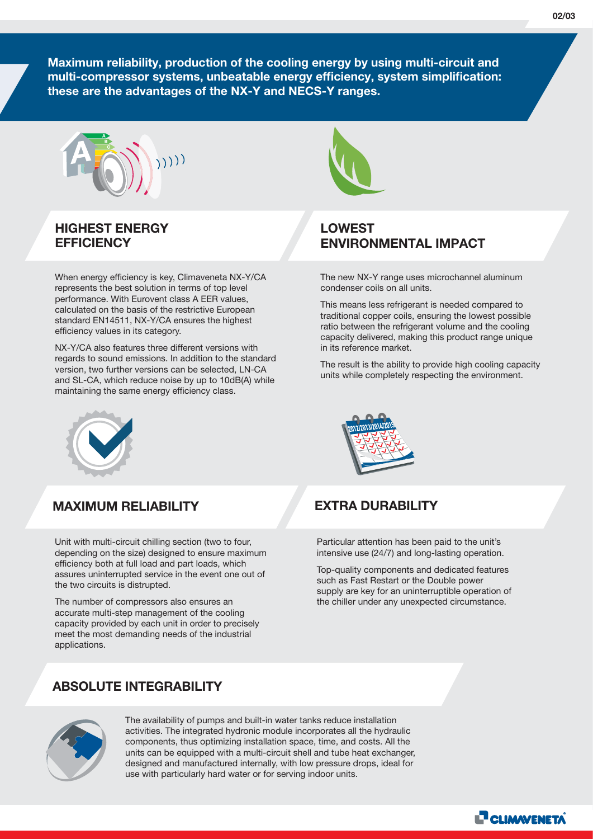**Maximum reliability, production of the cooling energy by using multi-circuit and multi-compressor systems, unbeatable energy efficiency, system simplification: these are the advantages of the NX-Y and NECS-Y ranges.**



## **HIGHEST ENERGY EFFICIENCY**

When energy efficiency is key, Climaveneta NX-Y/CA represents the best solution in terms of top level performance. With Eurovent class A EER values, calculated on the basis of the restrictive European standard EN14511, NX-Y/CA ensures the highest efficiency values in its category.

NX-Y/CA also features three different versions with regards to sound emissions. In addition to the standard version, two further versions can be selected, LN-CA and SL-CA, which reduce noise by up to 10dB(A) while maintaining the same energy efficiency class.



## **MAXIMUM RELIABILITY**

Unit with multi-circuit chilling section (two to four, depending on the size) designed to ensure maximum efficiency both at full load and part loads, which assures uninterrupted service in the event one out of the two circuits is distrupted.

The number of compressors also ensures an accurate multi-step management of the cooling capacity provided by each unit in order to precisely meet the most demanding needs of the industrial applications.

## **ABSOLUTE INTEGRABILITY**



## **LOWEST ENVIRONMENTAL IMPACT**

The new NX-Y range uses microchannel aluminum condenser coils on all units.

This means less refrigerant is needed compared to traditional copper coils, ensuring the lowest possible ratio between the refrigerant volume and the cooling capacity delivered, making this product range unique in its reference market.

The result is the ability to provide high cooling capacity units while completely respecting the environment.



## **EXTRA DURABILITY**

Particular attention has been paid to the unit's intensive use (24/7) and long-lasting operation.

Top-quality components and dedicated features such as Fast Restart or the Double power supply are key for an uninterruptible operation of the chiller under any unexpected circumstance.



The availability of pumps and built-in water tanks reduce installation activities. The integrated hydronic module incorporates all the hydraulic components, thus optimizing installation space, time, and costs. All the units can be equipped with a multi-circuit shell and tube heat exchanger, designed and manufactured internally, with low pressure drops, ideal for use with particularly hard water or for serving indoor units.

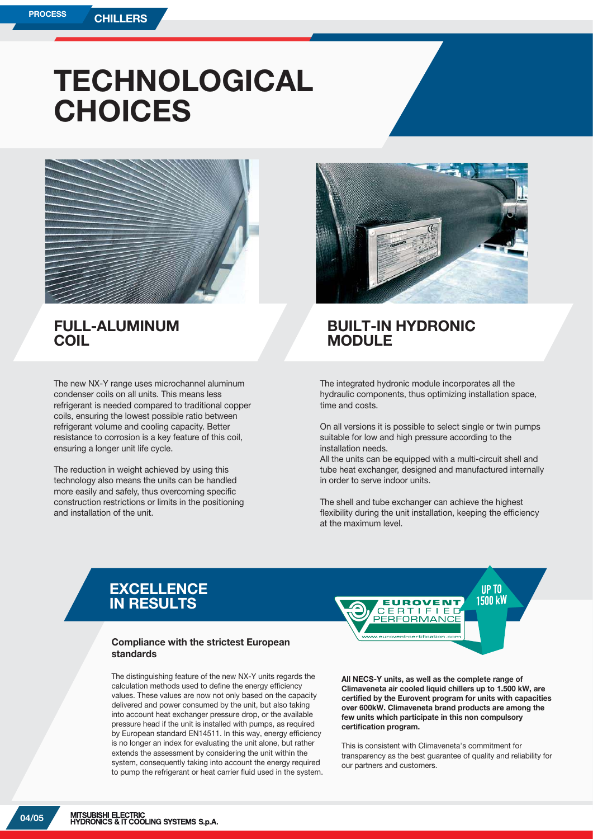## **TECHNOLOGICAL CHOICES**



## **FULL-ALUMINUM COIL**

The new NX-Y range uses microchannel aluminum condenser coils on all units. This means less refrigerant is needed compared to traditional copper coils, ensuring the lowest possible ratio between refrigerant volume and cooling capacity. Better resistance to corrosion is a key feature of this coil, ensuring a longer unit life cycle.

The reduction in weight achieved by using this technology also means the units can be handled more easily and safely, thus overcoming specific construction restrictions or limits in the positioning and installation of the unit.



## **BUILT-IN HYDRONIC MODULE**

The integrated hydronic module incorporates all the hydraulic components, thus optimizing installation space, time and costs.

On all versions it is possible to select single or twin pumps suitable for low and high pressure according to the installation needs.

All the units can be equipped with a multi-circuit shell and tube heat exchanger, designed and manufactured internally in order to serve indoor units.

The shell and tube exchanger can achieve the highest flexibility during the unit installation, keeping the efficiency at the maximum level.

## **EXCELLENCE IN RESULTS**

#### **Compliance with the strictest European standards**

The distinguishing feature of the new NX-Y units regards the calculation methods used to define the energy efficiency values. These values are now not only based on the capacity delivered and power consumed by the unit, but also taking into account heat exchanger pressure drop, or the available pressure head if the unit is installed with pumps, as required by European standard EN14511. In this way, energy efficiency is no longer an index for evaluating the unit alone, but rather extends the assessment by considering the unit within the system, consequently taking into account the energy required to pump the refrigerant or heat carrier fluid used in the system.



**All NECS-Y units, as well as the complete range of Climaveneta air cooled liquid chillers up to 1.500 kW, are certified by the Eurovent program for units with capacities over 600kW. Climaveneta brand products are among the few units which participate in this non compulsory certification program.**

This is consistent with Climaveneta's commitment for transparency as the best guarantee of quality and reliability for our partners and customers.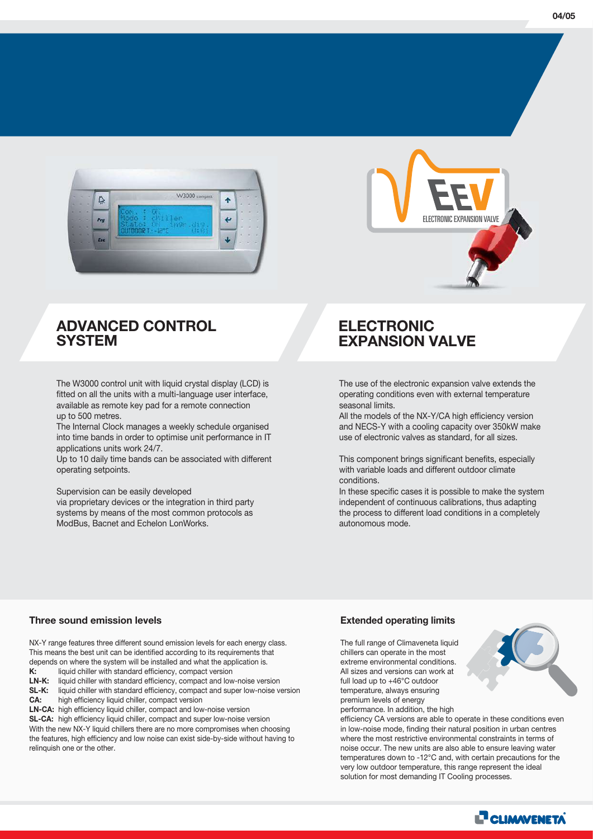

## **ADVANCED CONTROL SYSTEM**

The W3000 control unit with liquid crystal display (LCD) is fitted on all the units with a multi-language user interface, available as remote key pad for a remote connection up to 500 metres.

The Internal Clock manages a weekly schedule organised into time bands in order to optimise unit performance in IT applications units work 24/7.

Up to 10 daily time bands can be associated with different operating setpoints.

Supervision can be easily developed

via proprietary devices or the integration in third party systems by means of the most common protocols as ModBus, Bacnet and Echelon LonWorks.

## **ELECTRONIC EXPANSION VALVE**

The use of the electronic expansion valve extends the operating conditions even with external temperature seasonal limits.

All the models of the NX-Y/CA high efficiency version and NECS-Y with a cooling capacity over 350kW make use of electronic valves as standard, for all sizes.

This component brings significant benefits, especially with variable loads and different outdoor climate conditions.

In these specific cases it is possible to make the system independent of continuous calibrations, thus adapting the process to different load conditions in a completely autonomous mode.

#### **Three sound emission levels**

NX-Y range features three different sound emission levels for each energy class. This means the best unit can be identified according to its requirements that depends on where the system will be installed and what the application is.<br> $K$ : liquid chiller with standard efficiency, compact version liquid chiller with standard efficiency, compact version

**LN-K:** liquid chiller with standard efficiency, compact and low-noise version

**SL-K:** liquid chiller with standard efficiency, compact and super low-noise version **CA:** high efficiency liquid chiller, compact version

**LN-CA:** high efficiency liquid chiller, compact and low-noise version **SL-CA:** high efficiency liquid chiller, compact and super low-noise version With the new NX-Y liquid chillers there are no more compromises when choosing the features, high efficiency and low noise can exist side-by-side without having to relinquish one or the other.

#### **Extended operating limits**

The full range of Climaveneta liquid chillers can operate in the most extreme environmental conditions. All sizes and versions can work at full load up to +46°C outdoor temperature, always ensuring premium levels of energy performance. In addition, the high

efficiency CA versions are able to operate in these conditions even in low-noise mode, finding their natural position in urban centres where the most restrictive environmental constraints in terms of noise occur. The new units are also able to ensure leaving water temperatures down to -12°C and, with certain precautions for the very low outdoor temperature, this range represent the ideal solution for most demanding IT Cooling processes.





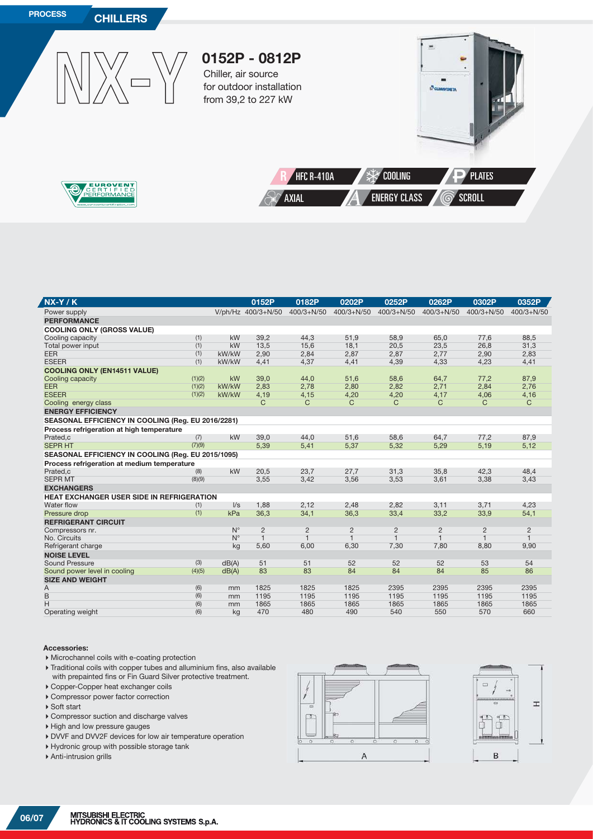

| $NX-Y/K$                                           |        |             | 0152P              | 0182P          | 0202P          | 0252P          | 0262P          | 0302P          | 0352P          |
|----------------------------------------------------|--------|-------------|--------------------|----------------|----------------|----------------|----------------|----------------|----------------|
| Power supply                                       |        |             | V/ph/Hz 400/3+N/50 | $400/3 + N/50$ | $400/3 + N/50$ | $400/3 + N/50$ | 400/3+N/50     | 400/3+N/50     | $400/3 + N/50$ |
| <b>PERFORMANCE</b>                                 |        |             |                    |                |                |                |                |                |                |
| <b>COOLING ONLY (GROSS VALUE)</b>                  |        |             |                    |                |                |                |                |                |                |
| Cooling capacity                                   | (1)    | kW          | 39,2               | 44,3           | 51,9           | 58,9           | 65,0           | 77,6           | 88.5           |
| Total power input                                  | (1)    | kW          | 13,5               | 15,6           | 18,1           | 20,5           | 23,5           | 26,8           | 31,3           |
| <b>EER</b>                                         | (1)    | kW/kW       | 2,90               | 2,84           | 2,87           | 2,87           | 2,77           | 2,90           | 2,83           |
| <b>ESEER</b>                                       | (1)    | kW/kW       | 4,41               | 4,37           | 4,41           | 4,39           | 4,33           | 4,23           | 4,41           |
| <b>COOLING ONLY (EN14511 VALUE)</b>                |        |             |                    |                |                |                |                |                |                |
| Cooling capacity                                   | (1)(2) | kW          | 39,0               | 44,0           | 51,6           | 58,6           | 64,7           | 77,2           | 87,9           |
| <b>EER</b>                                         | (1)(2) | kW/kW       | 2,83               | 2,78           | 2,80           | 2,82           | 2,71           | 2,84           | 2,76           |
| <b>ESEER</b>                                       | (1)(2) | kW/kW       | 4,19               | 4,15           | 4,20           | 4,20           | 4,17           | 4,06           | 4,16           |
| Cooling energy class                               |        |             | C                  | C              | C              | C              | C              | C              | $\mathsf{C}$   |
| <b>ENERGY EFFICIENCY</b>                           |        |             |                    |                |                |                |                |                |                |
| SEASONAL EFFICIENCY IN COOLING (Reg. EU 2016/2281) |        |             |                    |                |                |                |                |                |                |
| Process refrigeration at high temperature          |        |             |                    |                |                |                |                |                |                |
| Prated,c                                           | (7)    | kW          | 39.0               | 44.0           | 51,6           | 58,6           | 64.7           | 77,2           | 87.9           |
| <b>SEPR HT</b>                                     | (7)(9) |             | 5,39               | 5,41           | 5,37           | 5,32           | 5,29           | 5,19           | 5,12           |
| SEASONAL EFFICIENCY IN COOLING (Reg. EU 2015/1095) |        |             |                    |                |                |                |                |                |                |
| Process refrigeration at medium temperature        |        |             |                    |                |                |                |                |                |                |
| Prated,c                                           | (8)    | kW          | 20,5               | 23,7           | 27,7           | 31,3           | 35,8           | 42,3           | 48,4           |
| <b>SEPR MT</b>                                     | (8)(9) |             | 3,55               | 3,42           | 3,56           | 3,53           | 3,61           | 3,38           | 3,43           |
| <b>EXCHANGERS</b>                                  |        |             |                    |                |                |                |                |                |                |
| <b>HEAT EXCHANGER USER SIDE IN REFRIGERATION</b>   |        |             |                    |                |                |                |                |                |                |
| Water flow                                         | (1)    | $\sqrt{s}$  | 1,88               | 2,12           | 2,48           | 2,82           | 3,11           | 3,71           | 4,23           |
| Pressure drop                                      | (1)    | kPa         | 36,3               | 34,1           | 36,3           | 33,4           | 33,2           | 33,9           | 54,1           |
| <b>REFRIGERANT CIRCUIT</b>                         |        |             |                    |                |                |                |                |                |                |
| Compressors nr.                                    |        | $N^{\circ}$ | $\overline{2}$     | $\overline{2}$ | $\overline{2}$ | $\overline{2}$ | $\overline{2}$ | $\overline{2}$ | $\overline{2}$ |
| No. Circuits                                       |        | $N^{\circ}$ | $\mathbf{1}$       | $\mathbf{1}$   | $\mathbf{1}$   | $\mathbf{1}$   | $\overline{1}$ | $\mathbf{1}$   | $\mathbf{1}$   |
| Refrigerant charge                                 |        | kg          | 5,60               | 6,00           | 6,30           | 7,30           | 7,80           | 8,80           | 9,90           |
| <b>NOISE LEVEL</b>                                 |        |             |                    |                |                |                |                |                |                |
| <b>Sound Pressure</b>                              | (3)    | dB(A)       | 51                 | 51             | 52             | 52             | 52             | 53             | 54             |
| Sound power level in cooling                       | (4)(5) | dB(A)       | 83                 | 83             | 84             | 84             | 84             | 85             | 86             |
| <b>SIZE AND WEIGHT</b>                             |        |             |                    |                |                |                |                |                |                |
| Α                                                  | (6)    | mm          | 1825               | 1825           | 1825           | 2395           | 2395           | 2395           | 2395           |
| B                                                  | (6)    | mm          | 1195               | 1195           | 1195           | 1195           | 1195           | 1195           | 1195           |
| H                                                  | (6)    | mm          | 1865               | 1865           | 1865           | 1865           | 1865           | 1865           | 1865           |
| Operating weight                                   | (6)    | kg          | 470                | 480            | 490            | 540            | 550            | 570            | 660            |

#### **Accessories:**

Ź

- Microchannel coils with e-coating protection
- Traditional coils with copper tubes and alluminium fins, also available with prepainted fins or Fin Guard Silver protective treatment.
- Copper-Copper heat exchanger coils
- Compressor power factor correction
- ▶ Soft start
- Compressor suction and discharge valves
- $\blacktriangleright$  High and low pressure gauges
- DVVF and DVV2F devices for low air temperature operation
- Hydronic group with possible storage tank
- Anti-intrusion grills



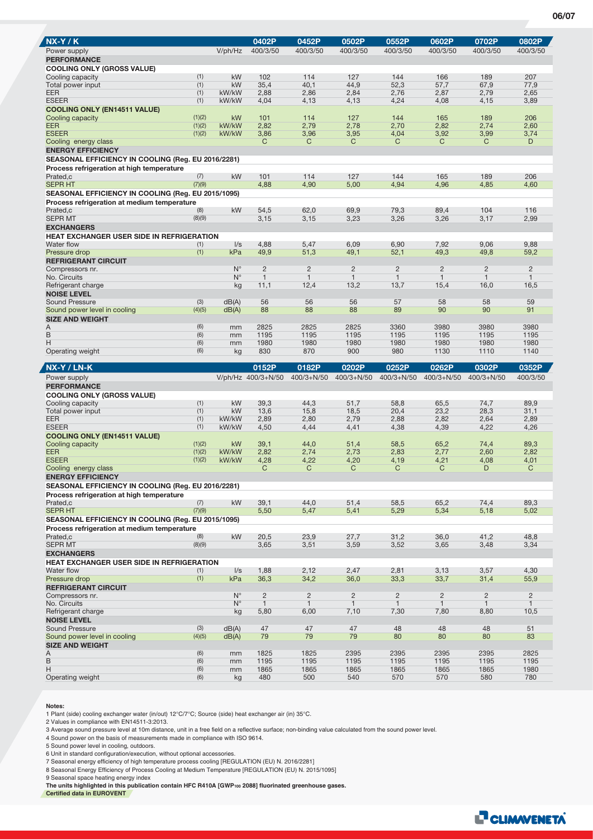| <b>NX-Y/K</b>                                                                                   |               |                            | 0402P                          | 0452P                          | 0502P                          | 0552P                          | 0602P                          | 0702P                          | 0802P                          |
|-------------------------------------------------------------------------------------------------|---------------|----------------------------|--------------------------------|--------------------------------|--------------------------------|--------------------------------|--------------------------------|--------------------------------|--------------------------------|
| Power supply                                                                                    |               | V/ph/Hz                    | 400/3/50                       | 400/3/50                       | 400/3/50                       | 400/3/50                       | 400/3/50                       | 400/3/50                       | 400/3/50                       |
| <b>PERFORMANCE</b>                                                                              |               |                            |                                |                                |                                |                                |                                |                                |                                |
| <b>COOLING ONLY (GROSS VALUE)</b><br>Cooling capacity                                           | (1)           | kW                         | 102                            | 114                            | 127                            | 144                            | 166                            | 189                            | 207                            |
| Total power input                                                                               | (1)           | kW                         | 35,4                           | 40,1                           | 44,9                           | 52,3                           | 57,7                           | 67,9                           | 77,9                           |
| <b>EER</b>                                                                                      | (1)           | kW/kW                      | 2,88                           | 2,86                           | 2,84                           | 2,76                           | 2,87                           | 2,79                           | 2,65                           |
| <b>ESEER</b>                                                                                    | (1)           | kW/kW                      | 4,04                           | 4,13                           | 4,13                           | 4,24                           | 4,08                           | 4,15                           | 3,89                           |
| <b>COOLING ONLY (EN14511 VALUE)</b><br>Cooling capacity                                         | (1)(2)        | kW                         | 101                            | 114                            | 127                            | 144                            | 165                            | 189                            | 206                            |
| <b>EER</b>                                                                                      | (1)(2)        | kW/kW                      | 2,82                           | 2,79                           | 2,78                           | 2,70                           | 2,82                           | 2,74                           | 2,60                           |
| <b>ESEER</b>                                                                                    | (1)(2)        | kW/kW                      | 3,86                           | 3,96                           | 3,95                           | 4,04                           | 3,92                           | 3,99                           | 3,74                           |
| Cooling energy class                                                                            |               |                            | C                              | C                              | C                              | C                              | C                              | C                              | D                              |
| <b>ENERGY EFFICIENCY</b>                                                                        |               |                            |                                |                                |                                |                                |                                |                                |                                |
| SEASONAL EFFICIENCY IN COOLING (Reg. EU 2016/2281)                                              |               |                            |                                |                                |                                |                                |                                |                                |                                |
| Process refrigeration at high temperature<br>Prated.c                                           | (7)           | kW                         | 101                            | 114                            | 127                            | 144                            | 165                            | 189                            | 206                            |
| <b>SEPR HT</b>                                                                                  | (7)(9)        |                            | 4,88                           | 4,90                           | 5,00                           | 4,94                           | 4,96                           | 4,85                           | 4,60                           |
| SEASONAL EFFICIENCY IN COOLING (Reg. EU 2015/1095)                                              |               |                            |                                |                                |                                |                                |                                |                                |                                |
| Process refrigeration at medium temperature                                                     |               |                            |                                |                                |                                |                                |                                |                                |                                |
| Prated,c                                                                                        | (8)           | kW                         | 54,5                           | 62,0                           | 69,9                           | 79,3                           | 89,4                           | 104                            | 116                            |
| <b>SEPR MT</b><br><b>EXCHANGERS</b>                                                             | (8)(9)        |                            | 3,15                           | 3,15                           | 3,23                           | 3,26                           | 3,26                           | 3,17                           | 2,99                           |
| HEAT EXCHANGER USER SIDE IN REFRIGERATION                                                       |               |                            |                                |                                |                                |                                |                                |                                |                                |
| Water flow                                                                                      | (1)           | $\sqrt{s}$                 | 4,88                           | 5,47                           | 6,09                           | 6,90                           | 7,92                           | 9,06                           | 9,88                           |
| Pressure drop                                                                                   | (1)           | kPa                        | 49,9                           | 51,3                           | 49,1                           | 52,1                           | 49,3                           | 49,8                           | 59,2                           |
| <b>REFRIGERANT CIRCUIT</b>                                                                      |               |                            |                                |                                |                                |                                |                                |                                |                                |
| Compressors nr.<br>No. Circuits                                                                 |               | $N^{\circ}$<br>$N^{\circ}$ | $\overline{c}$<br>$\mathbf{1}$ | $\overline{2}$<br>$\mathbf{1}$ | $\overline{2}$<br>$\mathbf{1}$ | $\overline{2}$<br>$\mathbf{1}$ | $\overline{c}$<br>$\mathbf{1}$ | $\overline{c}$<br>$\mathbf{1}$ | $\overline{2}$<br>$\mathbf{1}$ |
| Refrigerant charge                                                                              |               | kg                         | 11,1                           | 12,4                           | 13,2                           | 13,7                           | 15,4                           | 16,0                           | 16,5                           |
| <b>NOISE LEVEL</b>                                                                              |               |                            |                                |                                |                                |                                |                                |                                |                                |
| Sound Pressure                                                                                  | (3)           | dB(A)                      | 56                             | 56                             | 56                             | 57                             | 58                             | 58                             | 59                             |
| Sound power level in cooling                                                                    | (4)(5)        | dB(A)                      | 88                             | 88                             | 88                             | 89                             | 90                             | 90                             | 91                             |
| <b>SIZE AND WEIGHT</b><br>Α                                                                     | (6)           | mm                         | 2825                           | 2825                           | 2825                           | 3360                           | 3980                           | 3980                           | 3980                           |
| B                                                                                               | (6)           | mm                         | 1195                           | 1195                           | 1195                           | 1195                           | 1195                           | 1195                           | 1195                           |
| Η                                                                                               | (6)           | mm                         | 1980                           | 1980                           | 1980                           | 1980                           | 1980                           | 1980                           | 1980                           |
| Operating weight                                                                                | (6)           | kg                         | 830                            | 870                            | 900                            | 980                            | 1130                           | 1110                           | 1140                           |
|                                                                                                 |               |                            |                                |                                |                                |                                |                                |                                |                                |
|                                                                                                 |               |                            |                                |                                |                                |                                |                                |                                |                                |
| <b>NX-Y / LN-K</b>                                                                              |               |                            | 0152P                          | 0182P                          | 0202P                          | 0252P                          | 0262P                          | 0302P                          | 0352P                          |
| Power supply<br><b>PERFORMANCE</b>                                                              |               |                            | V/ph/Hz 400/3+N/50             | $400/3 + N/50$                 | 400/3+N/50 400/3+N/50          |                                | $400/3 + N/50$                 | 400/3+N/50                     | 400/3/50                       |
| <b>COOLING ONLY (GROSS VALUE)</b>                                                               |               |                            |                                |                                |                                |                                |                                |                                |                                |
| Cooling capacity                                                                                | (1)           | kW                         | 39,3                           | 44,3                           | 51,7                           | 58,8                           | 65,5                           | 74,7                           | 89,9                           |
| Total power input                                                                               | (1)           | kW                         | 13,6                           | 15,8                           | 18,5                           | 20,4                           | 23,2                           | 28,3                           | 31,1                           |
| <b>EER</b>                                                                                      | (1)           | kW/kW                      | 2,89                           | 2,80                           | 2,79                           | 2,88                           | 2,82                           | 2,64                           | 2,89                           |
| <b>ESEER</b><br><b>COOLING ONLY (EN14511 VALUE)</b>                                             | (1)           | kW/kW                      | 4,50                           | 4,44                           | 4,41                           | 4,38                           | 4,39                           | 4,22                           | 4,26                           |
| Cooling capacity                                                                                | (1)(2)        | kW                         | 39,1                           | 44,0                           | 51,4                           | 58,5                           | 65,2                           | 74,4                           | 89,3                           |
| EER                                                                                             | (1)(2)        | kW/kW                      | 2,82                           | 2,74                           | 2,73                           | 2,83                           | 2,77                           | 2,60                           | 2,82                           |
| <b>ESEER</b>                                                                                    | (1)(2)        | kW/kW                      | 4,28                           | 4,22                           | 4,20                           | 4,19                           | 4,21                           | 4,08                           | 4,01                           |
| Cooling energy class                                                                            |               |                            | C                              | C                              | C                              | C                              | C                              | D                              | C                              |
| <b>ENERGY EFFICIENCY</b>                                                                        |               |                            |                                |                                |                                |                                |                                |                                |                                |
| SEASONAL EFFICIENCY IN COOLING (Reg. EU 2016/2281)<br>Process refrigeration at high temperature |               |                            |                                |                                |                                |                                |                                |                                |                                |
| Prated.c                                                                                        | (7)           | kW                         | 39,1                           | 44,0                           | 51,4                           | 58,5                           | 65,2                           | 74,4                           | 89,3                           |
| <b>SEPR HT</b>                                                                                  | (7)(9)        |                            | 5,50                           | 5,47                           | 5,41                           | 5,29                           | 5,34                           | 5,18                           | 5,02                           |
| SEASONAL EFFICIENCY IN COOLING (Reg. EU 2015/1095)                                              |               |                            |                                |                                |                                |                                |                                |                                |                                |
| Process refrigeration at medium temperature                                                     |               |                            |                                |                                |                                |                                |                                |                                |                                |
| Prated,c<br><b>SEPR MT</b>                                                                      | (8)<br>(8)(9) | kW                         | 20,5<br>3,65                   | 23,9<br>3,51                   | 27,7<br>3,59                   | 31,2<br>3,52                   | 36,0<br>3,65                   | 41,2<br>3,48                   | 48,8<br>3,34                   |
| <b>EXCHANGERS</b>                                                                               |               |                            |                                |                                |                                |                                |                                |                                |                                |
| <b>HEAT EXCHANGER USER SIDE IN REFRIGERATION</b>                                                |               |                            |                                |                                |                                |                                |                                |                                |                                |
| Water flow                                                                                      | (1)           | $\sqrt{s}$                 | 1,88                           | 2,12                           | 2,47                           | 2,81                           | 3,13                           | 3,57                           | 4,30                           |
| Pressure drop                                                                                   | (1)           | kPa                        | 36,3                           | 34,2                           | 36,0                           | 33,3                           | 33,7                           | 31,4                           | 55,9                           |
| <b>REFRIGERANT CIRCUIT</b><br>Compressors nr.                                                   |               | $N^{\circ}$                | $\overline{2}$                 | $\overline{c}$                 | $\overline{c}$                 | $\overline{c}$                 | $\overline{c}$                 | $\overline{c}$                 | $\overline{2}$                 |
| No. Circuits                                                                                    |               | $N^{\circ}$                | $\mathbf{1}$                   | $\mathbf{1}$                   | $\mathbf{1}$                   |                                | $\mathbf{1}$                   | $\mathbf{1}$                   | $\mathbf{1}$                   |
| Refrigerant charge                                                                              |               | kg                         | 5,80                           | 6,00                           | 7,10                           | 7,30                           | 7,80                           | 8,80                           | 10,5                           |
| <b>NOISE LEVEL</b>                                                                              |               |                            |                                |                                |                                |                                |                                |                                |                                |
| Sound Pressure<br>Sound power level in cooling                                                  | (3)<br>(4)(5) | dB(A)                      | 47<br>79                       | 47<br>79                       | 47<br>79                       | 48<br>80                       | 48<br>80                       | 48<br>80                       | 51<br>83                       |
| <b>SIZE AND WEIGHT</b>                                                                          |               | dB(A)                      |                                |                                |                                |                                |                                |                                |                                |
| Α                                                                                               | (6)           | mm                         | 1825                           | 1825                           | 2395                           | 2395                           | 2395                           | 2395                           | 2825                           |
| $\sf B$                                                                                         | (6)           | mm                         | 1195                           | 1195                           | 1195                           | 1195                           | 1195                           | 1195                           | 1195                           |
| Н<br>Operating weight                                                                           | (6)<br>(6)    | mm<br>kg                   | 1865<br>480                    | 1865<br>500                    | 1865<br>540                    | 1865<br>570                    | 1865<br>570                    | 1865<br>580                    | 1980<br>780                    |

#### **Notes:**

1 Plant (side) cooling exchanger water (in/out) 12°C/7°C; Source (side) heat exchanger air (in) 35°C.

2 Values in compliance with EN14511-3:2013.

3 Average sound pressure level at 10m distance, unit in a free field on a reflective surface; non-binding value calculated from the sound power level.

4 Sound power on the basis of measurements made in compliance with ISO 9614.

5 Sound power level in cooling, outdoors.

6 Unit in standard configuration/execution, without optional accessories.<br>7 Seasonal energy efficiency of high temperature process cooling [REGULATION (EU) N. 2016/2281]<br>8 Seasonal Energy Efficiency of Process Cooling at M

9 Seasonal space heating energy index

**The units highlighted in this publication contain HFC R410A [GWP100 2088] fluorinated greenhouse gases. Certified data in EUROVENT**



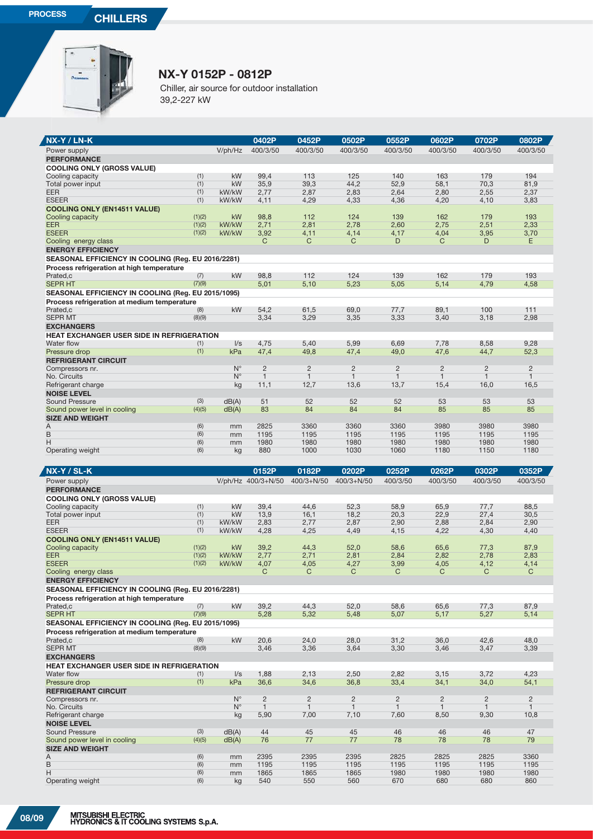

## **NX-Y 0152P - 0812P**

Chiller, air source for outdoor installation 39,2-227 kW

| NX-Y / LN-K                                        |        |             | 0402P                  | 0452P                  | 0502P                  | 0552P          | 0602P                | 0702P          | 0802P        |
|----------------------------------------------------|--------|-------------|------------------------|------------------------|------------------------|----------------|----------------------|----------------|--------------|
| Power supply                                       |        | V/ph/Hz     | 400/3/50               | 400/3/50               | 400/3/50               | 400/3/50       | 400/3/50             | 400/3/50       | 400/3/50     |
| <b>PERFORMANCE</b>                                 |        |             |                        |                        |                        |                |                      |                |              |
| <b>COOLING ONLY (GROSS VALUE)</b>                  |        |             |                        |                        |                        |                |                      |                |              |
| Cooling capacity                                   | (1)    | kW          | 99.4                   | 113                    | 125                    | 140            | 163                  | 179            | 194          |
| Total power input                                  | (1)    | kW          | 35,9                   | 39,3                   | 44,2                   | 52,9           | 58,1                 | 70,3           | 81,9         |
| <b>EER</b>                                         | (1)    | kW/kW       | 2,77                   | 2,87                   | 2,83                   | 2.64           | 2,80                 | 2,55           | 2,37         |
| <b>ESEER</b>                                       | (1)    | kW/kW       | 4,11                   | 4,29                   | 4,33                   | 4,36           | 4,20                 | 4,10           | 3,83         |
|                                                    |        |             |                        |                        |                        |                |                      |                |              |
| <b>COOLING ONLY (EN14511 VALUE)</b>                | (1)(2) | <b>kW</b>   | 98.8                   | 112                    | 124                    | 139            | 162                  | 179            | 193          |
| Cooling capacity<br><b>EER</b>                     | (1)(2) | kW/kW       | 2,71                   |                        | 2,78                   | 2,60           | 2,75                 |                | 2,33         |
| <b>ESEER</b>                                       |        |             |                        | 2,81                   |                        |                |                      | 2,51           |              |
|                                                    | (1)(2) | kW/kW       | 3,92<br>$\overline{C}$ | 4.11<br>$\overline{C}$ | 4,14<br>$\overline{C}$ | 4,17<br>D      | 4,04<br>$\mathsf{C}$ | 3,95<br>D      | 3,70<br>E    |
| Cooling energy class                               |        |             |                        |                        |                        |                |                      |                |              |
| <b>ENERGY EFFICIENCY</b>                           |        |             |                        |                        |                        |                |                      |                |              |
| SEASONAL EFFICIENCY IN COOLING (Reg. EU 2016/2281) |        |             |                        |                        |                        |                |                      |                |              |
| Process refrigeration at high temperature          |        |             |                        |                        |                        |                |                      |                |              |
| Prated,c                                           | (7)    | kW          | 98,8                   | 112                    | 124                    | 139            | 162                  | 179            | 193          |
| <b>SEPR HT</b>                                     | (7)(9) |             | 5,01                   | 5,10                   | 5,23                   | 5.05           | 5,14                 | 4.79           | 4,58         |
| SEASONAL EFFICIENCY IN COOLING (Reg. EU 2015/1095) |        |             |                        |                        |                        |                |                      |                |              |
| Process refrigeration at medium temperature        |        |             |                        |                        |                        |                |                      |                |              |
| Prated,c                                           | (8)    | kW          | 54,2                   | 61,5                   | 69,0                   | 77,7           | 89,1                 | 100            | 111          |
| <b>SEPR MT</b>                                     | (8)(9) |             | 3,34                   | 3,29                   | 3,35                   | 3,33           | 3,40                 | 3,18           | 2.98         |
| <b>EXCHANGERS</b>                                  |        |             |                        |                        |                        |                |                      |                |              |
| HEAT EXCHANGER USER SIDE IN REFRIGERATION          |        |             |                        |                        |                        |                |                      |                |              |
| Water flow                                         | (1)    | $\sqrt{s}$  | 4.75                   | 5.40                   | 5.99                   | 6.69           | 7.78                 | 8.58           | 9.28         |
| Pressure drop                                      | (1)    | kPa         | 47,4                   | 49,8                   | 47,4                   | 49,0           | 47,6                 | 44,7           | 52,3         |
| <b>REFRIGERANT CIRCUIT</b>                         |        |             |                        |                        |                        |                |                      |                |              |
| Compressors nr.                                    |        | $N^{\circ}$ | $\overline{2}$         | $\overline{2}$         | $\overline{2}$         | $\overline{2}$ | $\overline{2}$       | $\overline{2}$ | 2            |
| No. Circuits                                       |        | $N^{\circ}$ | $\overline{1}$         | $\mathbf{1}$           | $\overline{1}$         | $\mathbf{1}$   | $\overline{1}$       | $\overline{1}$ | $\mathbf{1}$ |
| Refrigerant charge                                 |        | kg          | 11,1                   | 12,7                   | 13,6                   | 13,7           | 15,4                 | 16,0           | 16,5         |
|                                                    |        |             |                        |                        |                        |                |                      |                |              |
| <b>NOISE LEVEL</b>                                 |        |             |                        |                        |                        |                |                      |                |              |
| <b>Sound Pressure</b>                              | (3)    | dB(A)       | 51                     | 52                     | 52                     | 52             | 53                   | 53             | 53           |
| Sound power level in cooling                       | (4)(5) | dB(A)       | 83                     | 84                     | 84                     | 84             | 85                   | 85             | 85           |
| <b>SIZE AND WEIGHT</b>                             |        |             |                        |                        |                        |                |                      |                |              |
| A                                                  | (6)    | mm          | 2825                   | 3360                   | 3360                   | 3360           | 3980                 | 3980           | 3980         |
| B                                                  | (6)    | mm          | 1195                   | 1195                   | 1195                   | 1195           | 1195                 | 1195           | 1195         |
| Н                                                  | (6)    | mm          | 1980                   | 1980                   | 1980                   | 1980           | 1980                 | 1980           | 1980         |
| Operating weight                                   | (6)    | kg          | 880                    | 1000                   | 1030                   | 1060           | 1180                 | 1150           | 1180         |
|                                                    |        |             |                        |                        |                        |                |                      |                |              |
| NX-Y / SL-K                                        |        |             | 0152P                  | 0182P                  | 0202P                  | 0252P          | 0262P                | 0302P          | 0352P        |
| Power supply                                       |        |             | V/ph/Hz 400/3+N/50     | $400/3 + N/50$         | $400/3 + N/50$         | 400/3/50       | 400/3/50             | 400/3/50       | 400/3/50     |
| <b>PERFORMANCE</b>                                 |        |             |                        |                        |                        |                |                      |                |              |
| <b>COOLING ONLY (GROSS VALUE)</b>                  |        |             |                        |                        |                        |                |                      |                |              |
| Cooling capacity                                   | (1)    | kW          | 39,4                   | 44,6                   | 52,3                   | 58,9           | 65,9                 | 77,7           | 88,5         |
| Total power input                                  | (1)    | kW          | 13.9                   | 16,1                   | 18,2                   | 20,3           | 22,9                 | 27,4           | 30,5         |
| <b>EER</b>                                         | (1)    | kW/kW       | 2,83                   | 2,77                   | 2,87                   | 2,90           | 2,88                 | 2,84           | 2,90         |
| <b>ESEER</b>                                       | (1)    | kW/kW       | 4,28                   | 4,25                   | 4,49                   | 4,15           | 4,22                 | 4,30           | 4,40         |
| <b>COOLING ONLY (EN14511 VALUE)</b>                |        |             |                        |                        |                        |                |                      |                |              |
| Cooling capacity                                   | (1)(2) | <b>kW</b>   | 39.2                   | 44,3                   | 52.0                   | 58.6           | 65.6                 | 77,3           | 87.9         |
| <b>EER</b>                                         | (1)(2) | kW/kW       | 2,77                   | 2,71                   | 2,81                   | 2,84           | 2,82                 | 2,78           | 2,83         |
| <b>ESEER</b>                                       | (1)(2) | kW/kW       | 4,07                   | 4,05                   | 4,27                   | 3,99           | 4,05                 | 4,12           | 4,14         |
| Cooling energy class                               |        |             | $\cap$                 | $\cap$                 | $\cap$                 | $\cap$         | $\cap$               | $\cap$         | $\cap$       |

| <b>ENERGY EFFICIENCY</b><br>SEASONAL EFFICIENCY IN COOLING (Reg. EU 2016/2281)<br>Process refrigeration at high temperature<br>kW<br>39,2<br>87,9<br>(7)<br>44,3<br>52,0<br>58,6<br>65,6<br>77,3<br>Prated,c<br>5,14<br><b>SEPR HT</b><br>(7)(9)<br>5,28<br>5,32<br>5,48<br>5,27<br>5,07<br>5,17<br>SEASONAL EFFICIENCY IN COOLING (Reg. EU 2015/1095)<br>Process refrigeration at medium temperature<br>(8)<br><b>kW</b><br>20,6<br>24,0<br>28,0<br>31,2<br>36,0<br>42,6<br>48,0<br>Prated,c<br><b>SEPR MT</b><br>(8)(9)<br>3,30<br>3,47<br>3,39<br>3,46<br>3,36<br>3,64<br>3,46<br><b>EXCHANGERS</b><br><b>HEAT EXCHANGER USER SIDE IN REFRIGERATION</b><br>1,88<br>2,82<br>4,23<br>Water flow<br>$\sqrt{s}$<br>2,13<br>2,50<br>3,15<br>3,72<br>(1)<br>(1)<br>kPa<br>36,6<br>54,1<br>34,6<br>36,8<br>33,4<br>34,1<br>34,0<br>Pressure drop<br><b>REFRIGERANT CIRCUIT</b><br>$N^{\circ}$<br>$\overline{c}$<br>$\overline{2}$<br>$\overline{2}$<br>$\overline{2}$<br>$\overline{2}$<br>$\overline{2}$<br>$\overline{2}$<br>Compressors nr.<br>$N^{\circ}$<br>$\overline{1}$<br>$\overline{1}$<br>No. Circuits<br>$\overline{1}$<br>10,8<br>5,90<br>7,00<br>7,10<br>7,60<br>8,50<br>9,30<br>Refrigerant charge<br>kg<br><b>NOISE LEVEL</b><br>(3)<br>47<br>Sound Pressure<br>44<br>45<br>45<br>46<br>46<br>46<br>dB(A)<br>78<br>78<br>79<br>76<br>77<br>77<br>78<br>Sound power level in cooling<br>(4)(5)<br>dB(A)<br><b>SIZE AND WEIGHT</b><br>(6)<br>2395<br>2395<br>2825<br>3360<br>2395<br>2825<br>2825<br>Α<br>mm<br>B<br>(6)<br>1195<br>1195<br>1195<br>1195<br>1195<br>1195<br>1195<br>mm<br>H<br>(6)<br>1865<br>1980<br>1980<br>1980<br>1865<br>1865<br>1980<br>mm<br>(6)<br>540<br>550<br>560<br>670<br>680<br>680<br>860<br>Operating weight<br>kg | Cooling energy class |  | С | C | С | C | С | С | С |
|--------------------------------------------------------------------------------------------------------------------------------------------------------------------------------------------------------------------------------------------------------------------------------------------------------------------------------------------------------------------------------------------------------------------------------------------------------------------------------------------------------------------------------------------------------------------------------------------------------------------------------------------------------------------------------------------------------------------------------------------------------------------------------------------------------------------------------------------------------------------------------------------------------------------------------------------------------------------------------------------------------------------------------------------------------------------------------------------------------------------------------------------------------------------------------------------------------------------------------------------------------------------------------------------------------------------------------------------------------------------------------------------------------------------------------------------------------------------------------------------------------------------------------------------------------------------------------------------------------------------------------------------------------------------------------------------------------------------------------------------------------------|----------------------|--|---|---|---|---|---|---|---|
|                                                                                                                                                                                                                                                                                                                                                                                                                                                                                                                                                                                                                                                                                                                                                                                                                                                                                                                                                                                                                                                                                                                                                                                                                                                                                                                                                                                                                                                                                                                                                                                                                                                                                                                                                              |                      |  |   |   |   |   |   |   |   |
|                                                                                                                                                                                                                                                                                                                                                                                                                                                                                                                                                                                                                                                                                                                                                                                                                                                                                                                                                                                                                                                                                                                                                                                                                                                                                                                                                                                                                                                                                                                                                                                                                                                                                                                                                              |                      |  |   |   |   |   |   |   |   |
|                                                                                                                                                                                                                                                                                                                                                                                                                                                                                                                                                                                                                                                                                                                                                                                                                                                                                                                                                                                                                                                                                                                                                                                                                                                                                                                                                                                                                                                                                                                                                                                                                                                                                                                                                              |                      |  |   |   |   |   |   |   |   |
|                                                                                                                                                                                                                                                                                                                                                                                                                                                                                                                                                                                                                                                                                                                                                                                                                                                                                                                                                                                                                                                                                                                                                                                                                                                                                                                                                                                                                                                                                                                                                                                                                                                                                                                                                              |                      |  |   |   |   |   |   |   |   |
|                                                                                                                                                                                                                                                                                                                                                                                                                                                                                                                                                                                                                                                                                                                                                                                                                                                                                                                                                                                                                                                                                                                                                                                                                                                                                                                                                                                                                                                                                                                                                                                                                                                                                                                                                              |                      |  |   |   |   |   |   |   |   |
|                                                                                                                                                                                                                                                                                                                                                                                                                                                                                                                                                                                                                                                                                                                                                                                                                                                                                                                                                                                                                                                                                                                                                                                                                                                                                                                                                                                                                                                                                                                                                                                                                                                                                                                                                              |                      |  |   |   |   |   |   |   |   |
|                                                                                                                                                                                                                                                                                                                                                                                                                                                                                                                                                                                                                                                                                                                                                                                                                                                                                                                                                                                                                                                                                                                                                                                                                                                                                                                                                                                                                                                                                                                                                                                                                                                                                                                                                              |                      |  |   |   |   |   |   |   |   |
|                                                                                                                                                                                                                                                                                                                                                                                                                                                                                                                                                                                                                                                                                                                                                                                                                                                                                                                                                                                                                                                                                                                                                                                                                                                                                                                                                                                                                                                                                                                                                                                                                                                                                                                                                              |                      |  |   |   |   |   |   |   |   |
|                                                                                                                                                                                                                                                                                                                                                                                                                                                                                                                                                                                                                                                                                                                                                                                                                                                                                                                                                                                                                                                                                                                                                                                                                                                                                                                                                                                                                                                                                                                                                                                                                                                                                                                                                              |                      |  |   |   |   |   |   |   |   |
|                                                                                                                                                                                                                                                                                                                                                                                                                                                                                                                                                                                                                                                                                                                                                                                                                                                                                                                                                                                                                                                                                                                                                                                                                                                                                                                                                                                                                                                                                                                                                                                                                                                                                                                                                              |                      |  |   |   |   |   |   |   |   |
|                                                                                                                                                                                                                                                                                                                                                                                                                                                                                                                                                                                                                                                                                                                                                                                                                                                                                                                                                                                                                                                                                                                                                                                                                                                                                                                                                                                                                                                                                                                                                                                                                                                                                                                                                              |                      |  |   |   |   |   |   |   |   |
|                                                                                                                                                                                                                                                                                                                                                                                                                                                                                                                                                                                                                                                                                                                                                                                                                                                                                                                                                                                                                                                                                                                                                                                                                                                                                                                                                                                                                                                                                                                                                                                                                                                                                                                                                              |                      |  |   |   |   |   |   |   |   |
|                                                                                                                                                                                                                                                                                                                                                                                                                                                                                                                                                                                                                                                                                                                                                                                                                                                                                                                                                                                                                                                                                                                                                                                                                                                                                                                                                                                                                                                                                                                                                                                                                                                                                                                                                              |                      |  |   |   |   |   |   |   |   |
|                                                                                                                                                                                                                                                                                                                                                                                                                                                                                                                                                                                                                                                                                                                                                                                                                                                                                                                                                                                                                                                                                                                                                                                                                                                                                                                                                                                                                                                                                                                                                                                                                                                                                                                                                              |                      |  |   |   |   |   |   |   |   |
|                                                                                                                                                                                                                                                                                                                                                                                                                                                                                                                                                                                                                                                                                                                                                                                                                                                                                                                                                                                                                                                                                                                                                                                                                                                                                                                                                                                                                                                                                                                                                                                                                                                                                                                                                              |                      |  |   |   |   |   |   |   |   |
|                                                                                                                                                                                                                                                                                                                                                                                                                                                                                                                                                                                                                                                                                                                                                                                                                                                                                                                                                                                                                                                                                                                                                                                                                                                                                                                                                                                                                                                                                                                                                                                                                                                                                                                                                              |                      |  |   |   |   |   |   |   |   |
|                                                                                                                                                                                                                                                                                                                                                                                                                                                                                                                                                                                                                                                                                                                                                                                                                                                                                                                                                                                                                                                                                                                                                                                                                                                                                                                                                                                                                                                                                                                                                                                                                                                                                                                                                              |                      |  |   |   |   |   |   |   |   |
|                                                                                                                                                                                                                                                                                                                                                                                                                                                                                                                                                                                                                                                                                                                                                                                                                                                                                                                                                                                                                                                                                                                                                                                                                                                                                                                                                                                                                                                                                                                                                                                                                                                                                                                                                              |                      |  |   |   |   |   |   |   |   |
|                                                                                                                                                                                                                                                                                                                                                                                                                                                                                                                                                                                                                                                                                                                                                                                                                                                                                                                                                                                                                                                                                                                                                                                                                                                                                                                                                                                                                                                                                                                                                                                                                                                                                                                                                              |                      |  |   |   |   |   |   |   |   |
|                                                                                                                                                                                                                                                                                                                                                                                                                                                                                                                                                                                                                                                                                                                                                                                                                                                                                                                                                                                                                                                                                                                                                                                                                                                                                                                                                                                                                                                                                                                                                                                                                                                                                                                                                              |                      |  |   |   |   |   |   |   |   |
|                                                                                                                                                                                                                                                                                                                                                                                                                                                                                                                                                                                                                                                                                                                                                                                                                                                                                                                                                                                                                                                                                                                                                                                                                                                                                                                                                                                                                                                                                                                                                                                                                                                                                                                                                              |                      |  |   |   |   |   |   |   |   |
|                                                                                                                                                                                                                                                                                                                                                                                                                                                                                                                                                                                                                                                                                                                                                                                                                                                                                                                                                                                                                                                                                                                                                                                                                                                                                                                                                                                                                                                                                                                                                                                                                                                                                                                                                              |                      |  |   |   |   |   |   |   |   |
|                                                                                                                                                                                                                                                                                                                                                                                                                                                                                                                                                                                                                                                                                                                                                                                                                                                                                                                                                                                                                                                                                                                                                                                                                                                                                                                                                                                                                                                                                                                                                                                                                                                                                                                                                              |                      |  |   |   |   |   |   |   |   |
|                                                                                                                                                                                                                                                                                                                                                                                                                                                                                                                                                                                                                                                                                                                                                                                                                                                                                                                                                                                                                                                                                                                                                                                                                                                                                                                                                                                                                                                                                                                                                                                                                                                                                                                                                              |                      |  |   |   |   |   |   |   |   |
|                                                                                                                                                                                                                                                                                                                                                                                                                                                                                                                                                                                                                                                                                                                                                                                                                                                                                                                                                                                                                                                                                                                                                                                                                                                                                                                                                                                                                                                                                                                                                                                                                                                                                                                                                              |                      |  |   |   |   |   |   |   |   |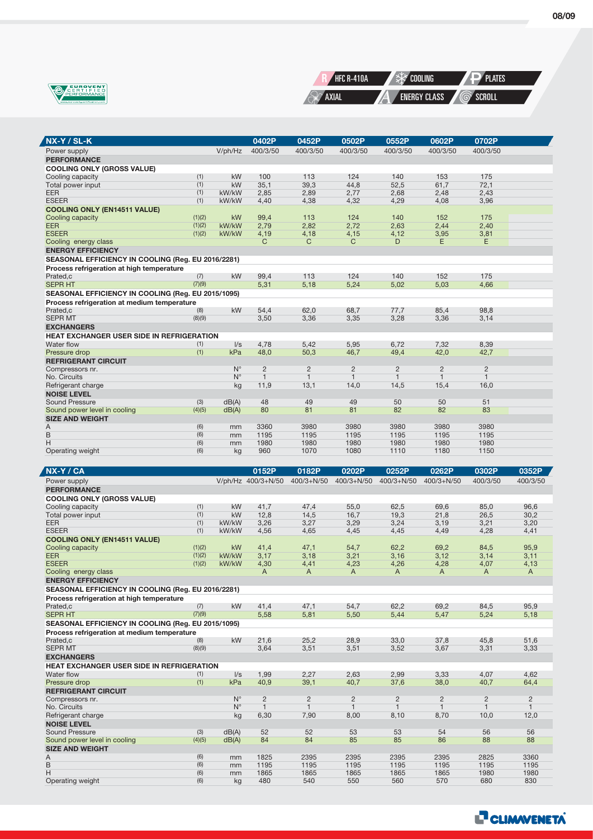



| NX-Y / SL-K                                        |        |             | 0402P          | 0452P                                                                                      | 0502P          | 0552P        | 0602P        | 0702P        |          |
|----------------------------------------------------|--------|-------------|----------------|--------------------------------------------------------------------------------------------|----------------|--------------|--------------|--------------|----------|
| Power supply                                       |        | V/ph/Hz     | 400/3/50       | 400/3/50                                                                                   | 400/3/50       | 400/3/50     | 400/3/50     | 400/3/50     |          |
| <b>PERFORMANCE</b>                                 |        |             |                |                                                                                            |                |              |              |              |          |
| <b>COOLING ONLY (GROSS VALUE)</b>                  |        |             |                |                                                                                            |                |              |              |              |          |
| Cooling capacity                                   | (1)    | kW          | 100            | 113                                                                                        | 124            | 140          | 153          | 175          |          |
| Total power input                                  | (1)    | kW          | 35,1           | 39,3                                                                                       | 44,8           | 52,5         | 61,7         | 72,1         |          |
| EER                                                | (1)    | kW/kW       | 2,85           | 2,89                                                                                       | 2,77           | 2,68         | 2,48         | 2,43         |          |
| <b>ESEER</b>                                       | (1)    | kW/kW       | 4,40           | 4,38                                                                                       | 4,32           | 4,29         | 4,08         | 3,96         |          |
| <b>COOLING ONLY (EN14511 VALUE)</b>                |        |             |                |                                                                                            |                |              |              |              |          |
| Cooling capacity                                   | (1)(2) | kW          | 99.4           | 113                                                                                        | 124            | 140          | 152          | 175          |          |
| <b>EER</b>                                         | (1)(2) | kW/kW       | 2,79           | 2,82                                                                                       | 2,72           | 2,63         | 2,44         | 2,40         |          |
| <b>ESEER</b>                                       | (1)(2) | kW/kW       | 4,19           | 4,18                                                                                       | 4,15           | 4,12         | 3,95         | 3,81         |          |
| Cooling energy class                               |        |             | C              | C                                                                                          | C              | D            | E            | E.           |          |
| <b>ENERGY EFFICIENCY</b>                           |        |             |                |                                                                                            |                |              |              |              |          |
| SEASONAL EFFICIENCY IN COOLING (Reg. EU 2016/2281) |        |             |                |                                                                                            |                |              |              |              |          |
| Process refrigeration at high temperature          |        |             |                |                                                                                            |                |              |              |              |          |
| Prated.c                                           | (7)    | kW          | 99,4           | 113                                                                                        | 124            | 140          | 152          | 175          |          |
| <b>SEPR HT</b>                                     | (7)(9) |             | 5,31           | 5,18                                                                                       | 5,24           | 5,02         | 5,03         | 4,66         |          |
| SEASONAL EFFICIENCY IN COOLING (Reg. EU 2015/1095) |        |             |                |                                                                                            |                |              |              |              |          |
| Process refrigeration at medium temperature        |        |             |                |                                                                                            |                |              |              |              |          |
| Prated.c                                           | (8)    | kW          | 54.4           | 62.0                                                                                       | 68.7           | 77.7         | 85.4         | 98.8         |          |
| <b>SEPR MT</b>                                     | (8)(9) |             | 3,50           | 3,36                                                                                       | 3,35           | 3,28         | 3,36         | 3,14         |          |
| <b>EXCHANGERS</b>                                  |        |             |                |                                                                                            |                |              |              |              |          |
| <b>HEAT EXCHANGER USER SIDE IN REFRIGERATION</b>   |        |             |                |                                                                                            |                |              |              |              |          |
| Water flow                                         | (1)    | I/s         | 4,78           | 5,42                                                                                       | 5,95           | 6,72         | 7,32         | 8,39         |          |
| Pressure drop                                      | (1)    | kPa         | 48.0           | 50,3                                                                                       | 46,7           | 49,4         | 42,0         | 42,7         |          |
| <b>REFRIGERANT CIRCUIT</b>                         |        |             |                |                                                                                            |                |              |              |              |          |
| Compressors nr.                                    |        | $N^{\circ}$ | $\overline{2}$ | 2                                                                                          | $\overline{2}$ | 2            | 2            | 2            |          |
| No. Circuits                                       |        | $N^{\circ}$ | $\mathbf{1}$   | $\mathbf{1}$                                                                               | $\mathbf{1}$   | $\mathbf{1}$ | $\mathbf{1}$ | $\mathbf{1}$ |          |
| Refrigerant charge                                 |        | kg          | 11,9           | 13,1                                                                                       | 14,0           | 14,5         | 15,4         | 16,0         |          |
| <b>NOISE LEVEL</b>                                 |        |             |                |                                                                                            |                |              |              |              |          |
| <b>Sound Pressure</b>                              | (3)    | dB(A)       | 48             | 49                                                                                         | 49             | 50           | 50           | 51           |          |
| Sound power level in cooling                       | (4)(5) | dB(A)       | 80             | 81                                                                                         | 81             | 82           | 82           | 83           |          |
| <b>SIZE AND WEIGHT</b>                             |        |             |                |                                                                                            |                |              |              |              |          |
| Α                                                  | (6)    | mm          | 3360           | 3980                                                                                       | 3980           | 3980         | 3980         | 3980         |          |
| B                                                  | (6)    | mm          | 1195           | 1195                                                                                       | 1195           | 1195         | 1195         | 1195         |          |
| H                                                  | (6)    | mm          | 1980           | 1980                                                                                       | 1980           | 1980         | 1980         | 1980         |          |
| Operating weight                                   | (6)    | kg          | 960            | 1070                                                                                       | 1080           | 1110         | 1180         | 1150         |          |
|                                                    |        |             |                |                                                                                            |                |              |              |              |          |
| NX-Y / CA                                          |        |             | 0152P          | 0182P                                                                                      | 0202P          | 0252P        | 0262P        | 0302P        | 0352P    |
| Power supply                                       |        |             |                | $11/10/14$ $210/3 + 11/50$ $400/3 + 11/50$ $400/3 + 11/50$ $400/3 + 11/50$ $400/3 + 11/50$ |                |              |              | 400/3/50     | 400/3/50 |

| NX-1 / CA                                          |        |             | 015ZP              | <b>U182P</b>   | <b>UZUZP</b>   | U252P          | <b>UZOZP</b>   | ujuzi          | U35ZP          |
|----------------------------------------------------|--------|-------------|--------------------|----------------|----------------|----------------|----------------|----------------|----------------|
| Power supply                                       |        |             | V/ph/Hz 400/3+N/50 | $400/3 + N/50$ | $400/3 + N/50$ | $400/3 + N/50$ | $400/3 + N/50$ | 400/3/50       | 400/3/50       |
| <b>PERFORMANCE</b>                                 |        |             |                    |                |                |                |                |                |                |
| <b>COOLING ONLY (GROSS VALUE)</b>                  |        |             |                    |                |                |                |                |                |                |
| Cooling capacity                                   | (1)    | kW          | 41.7               | 47.4           | 55,0           | 62.5           | 69.6           | 85.0           | 96,6           |
| Total power input                                  | (1)    | kW          | 12,8               | 14,5           | 16,7           | 19,3           | 21,8           | 26,5           | 30,2           |
| <b>EER</b>                                         | (1)    | kW/kW       | 3,26               | 3,27           | 3,29           | 3,24           | 3,19           | 3,21           | 3,20           |
| <b>ESEER</b>                                       | (1)    | kW/kW       | 4,56               | 4,65           | 4,45           | 4,45           | 4,49           | 4,28           | 4,41           |
| <b>COOLING ONLY (EN14511 VALUE)</b>                |        |             |                    |                |                |                |                |                |                |
| Cooling capacity                                   | (1)(2) | kW          | 41,4               | 47,1           | 54,7           | 62,2           | 69,2           | 84,5           | 95,9           |
| <b>EER</b>                                         | (1)(2) | kW/kW       | 3,17               | 3,18           | 3,21           | 3,16           | 3,12           | 3,14           | 3,11           |
| <b>ESEER</b>                                       | (1)(2) | kW/kW       | 4,30               | 4,41           | 4,23           | 4,26           | 4,28           | 4,07           | 4,13           |
| Cooling energy class                               |        |             | A                  | A              | A              | A              | A              | A              | A              |
| <b>ENERGY EFFICIENCY</b>                           |        |             |                    |                |                |                |                |                |                |
| SEASONAL EFFICIENCY IN COOLING (Reg. EU 2016/2281) |        |             |                    |                |                |                |                |                |                |
| Process refrigeration at high temperature          |        |             |                    |                |                |                |                |                |                |
| Prated,c                                           | (7)    | kW          | 41.4               | 47,1           | 54,7           | 62,2           | 69,2           | 84,5           | 95,9           |
| <b>SEPR HT</b>                                     | (7)(9) |             | 5,58               | 5,81           | 5,50           | 5.44           | 5,47           | 5,24           | 5,18           |
| SEASONAL EFFICIENCY IN COOLING (Reg. EU 2015/1095) |        |             |                    |                |                |                |                |                |                |
| Process refrigeration at medium temperature        |        |             |                    |                |                |                |                |                |                |
| Prated.c                                           | (8)    | kW          | 21.6               | 25.2           | 28,9           | 33.0           | 37.8           | 45.8           | 51.6           |
| <b>SEPR MT</b>                                     | (8)(9) |             | 3,64               | 3,51           | 3,51           | 3,52           | 3,67           | 3,31           | 3,33           |
| <b>EXCHANGERS</b>                                  |        |             |                    |                |                |                |                |                |                |
| <b>HEAT EXCHANGER USER SIDE IN REFRIGERATION</b>   |        |             |                    |                |                |                |                |                |                |
| Water flow                                         | (1)    | $\sqrt{s}$  | 1,99               | 2,27           | 2,63           | 2,99           | 3,33           | 4,07           | 4.62           |
| Pressure drop                                      | (1)    | kPa         | 40.9               | 39.1           | 40,7           | 37.6           | 38,0           | 40.7           | 64,4           |
| <b>REFRIGERANT CIRCUIT</b>                         |        |             |                    |                |                |                |                |                |                |
| Compressors nr.                                    |        | $N^{\circ}$ | $\overline{c}$     | $\overline{2}$ | $\overline{c}$ | $\overline{2}$ | $\overline{c}$ | $\overline{2}$ | $\overline{2}$ |
| No. Circuits                                       |        | $N^{\circ}$ | $\mathbf{1}$       | $\mathbf{1}$   | $\mathbf{1}$   | $\mathbf{1}$   | $\mathbf{1}$   | $\mathbf{1}$   | $\mathbf{1}$   |
| Refrigerant charge                                 |        | kg          | 6,30               | 7,90           | 8,00           | 8.10           | 8,70           | 10,0           | 12,0           |
| <b>NOISE LEVEL</b>                                 |        |             |                    |                |                |                |                |                |                |
| Sound Pressure                                     | (3)    | dB(A)       | 52                 | 52             | 53             | 53             | 54             | 56             | 56             |
| Sound power level in cooling                       | (4)(5) | dB(A)       | 84                 | 84             | 85             | 85             | 86             | 88             | 88             |
| <b>SIZE AND WEIGHT</b>                             |        |             |                    |                |                |                |                |                |                |
| Α                                                  | (6)    | mm          | 1825               | 2395           | 2395           | 2395           | 2395           | 2825           | 3360           |
| B                                                  | (6)    | mm          | 1195               | 1195           | 1195           | 1195           | 1195           | 1195           | 1195           |
| H                                                  | (6)    | mm          | 1865               | 1865           | 1865           | 1865           | 1865           | 1980           | 1980           |
| Operating weight                                   | (6)    | kg          | 480                | 540            | 550            | 560            | 570            | 680            | 830            |

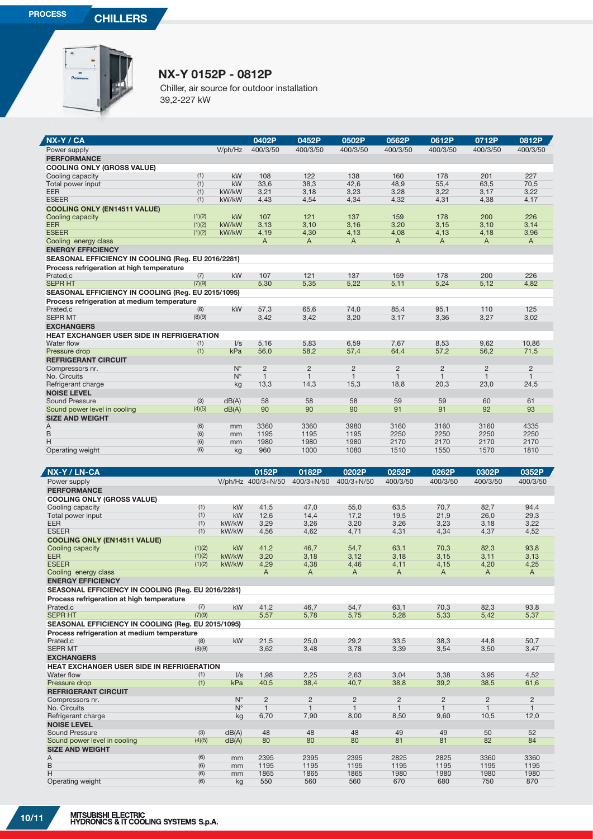Z



## **NX-Y 0152P - 0812P**

Chiller, air source for outdoor installation 39,2-227 kW

| NX-Y / CA                                                      |                  |                    | 0402P                | 0452P                | 0502P                | 0562P                | 0612P                | 0712P                | 0812P                          |
|----------------------------------------------------------------|------------------|--------------------|----------------------|----------------------|----------------------|----------------------|----------------------|----------------------|--------------------------------|
| Power supply                                                   |                  | V/ph/Hz            | 400/3/50             | 400/3/50             | 400/3/50             | 400/3/50             | 400/3/50             | 400/3/50             | 400/3/50                       |
| <b>PERFORMANCE</b>                                             |                  |                    |                      |                      |                      |                      |                      |                      |                                |
| <b>COOLING ONLY (GROSS VALUE)</b>                              | (1)              |                    | 108                  |                      |                      |                      | 178                  |                      | 227                            |
| Cooling capacity<br>Total power input                          | (1)              | <b>kW</b><br>kW    | 33,6                 | 122<br>38,3          | 138<br>42,6          | 160<br>48,9          | 55,4                 | 201<br>63,5          | 70,5                           |
| <b>EER</b>                                                     | (1)              | kW/kW              | 3,21                 | 3,18                 | 3,23                 | 3,28                 | 3,22                 | 3,17                 | 3,22                           |
| <b>ESEER</b>                                                   | (1)              | kW/kW              | 4,43                 | 4,54                 | 4,34                 | 4,32                 | 4,31                 | 4,38                 | 4,17                           |
| <b>COOLING ONLY (EN14511 VALUE)</b>                            |                  |                    |                      |                      |                      |                      |                      |                      |                                |
| Cooling capacity<br><b>EER</b>                                 | (1)(2)<br>(1)(2) | kW<br>kW/kW        | 107<br>3,13          | 121<br>3,10          | 137<br>3,16          | 159<br>3,20          | 178<br>3,15          | 200<br>3,10          | 226<br>3,14                    |
| <b>ESEER</b>                                                   | (1)(2)           | kW/kW              | 4,19                 | 4,30                 | 4,13                 | 4,08                 | 4,13                 | 4,18                 | 3,96                           |
| Cooling energy class                                           |                  |                    | A                    | A                    | A                    | A                    | A                    | A                    | A                              |
| <b>ENERGY EFFICIENCY</b>                                       |                  |                    |                      |                      |                      |                      |                      |                      |                                |
| SEASONAL EFFICIENCY IN COOLING (Reg. EU 2016/2281)             |                  |                    |                      |                      |                      |                      |                      |                      |                                |
| Process refrigeration at high temperature                      |                  |                    |                      |                      |                      |                      |                      |                      |                                |
| Prated.c<br><b>SEPR HT</b>                                     | (7)<br>(7)(9)    | kW                 | 107<br>5,30          | 121<br>5,35          | 137<br>5,22          | 159<br>5,11          | 178<br>5,24          | 200<br>5,12          | 226<br>4,82                    |
| SEASONAL EFFICIENCY IN COOLING (Reg. EU 2015/1095)             |                  |                    |                      |                      |                      |                      |                      |                      |                                |
| Process refrigeration at medium temperature                    |                  |                    |                      |                      |                      |                      |                      |                      |                                |
| Prated,c                                                       | (8)              | kW                 | 57,3                 | 65,6                 | 74,0                 | 85,4                 | 95,1                 | 110                  | 125                            |
| <b>SEPR MT</b>                                                 | (8)(9)           |                    | 3,42                 | 3,42                 | 3,20                 | 3,17                 | 3,36                 | 3,27                 | 3,02                           |
| <b>EXCHANGERS</b>                                              |                  |                    |                      |                      |                      |                      |                      |                      |                                |
| HEAT EXCHANGER USER SIDE IN REFRIGERATION<br>Water flow        | (1)              | $\sqrt{s}$         | 5,16                 | 5,83                 | 6,59                 | 7,67                 | 8,53                 | 9,62                 | 10,86                          |
| Pressure drop                                                  | (1)              | kPa                | 56,0                 | 58,2                 | 57,4                 | 64,4                 | 57,2                 | 56,2                 | 71,5                           |
| <b>REFRIGERANT CIRCUIT</b>                                     |                  |                    |                      |                      |                      |                      |                      |                      |                                |
| Compressors nr.                                                |                  | $N^{\circ}$        | $\overline{2}$       | $\overline{2}$       | $\overline{2}$       | $\overline{c}$       | $\overline{2}$       | $\overline{2}$       | $\overline{2}$                 |
| No. Circuits<br>Refrigerant charge                             |                  | $N^{\circ}$<br>kg  | $\mathbf{1}$<br>13,3 | $\mathbf{1}$<br>14,3 | $\mathbf{1}$<br>15,3 | $\mathbf{1}$<br>18,8 | $\mathbf{1}$<br>20,3 | $\mathbf{1}$<br>23,0 | $\mathbf{1}$<br>24,5           |
| <b>NOISE LEVEL</b>                                             |                  |                    |                      |                      |                      |                      |                      |                      |                                |
| Sound Pressure                                                 | (3)              | dB(A)              | 58                   | 58                   | 58                   | 59                   | 59                   | 60                   | 61                             |
| Sound power level in cooling                                   | (4)(5)           | dB(A)              | 90                   | 90                   | 90                   | 91                   | 91                   | 92                   | 93                             |
| <b>SIZE AND WEIGHT</b>                                         |                  |                    |                      |                      |                      |                      |                      |                      |                                |
| A<br>B                                                         | (6)<br>(6)       | mm<br>mm           | 3360<br>1195         | 3360<br>1195         | 3980<br>1195         | 3160<br>2250         | 3160<br>2250         | 3160<br>2250         | 4335<br>2250                   |
| H                                                              | (6)              | mm                 | 1980                 | 1980                 | 1980                 | 2170                 | 2170                 | 2170                 | 2170                           |
| Operating weight                                               | (6)              | kg                 | 960                  | 1000                 | 1080                 | 1510                 | 1550                 | 1570                 | 1810                           |
|                                                                |                  |                    |                      |                      |                      |                      |                      |                      |                                |
|                                                                |                  |                    |                      |                      |                      |                      |                      |                      |                                |
| NX-Y / LN-CA                                                   |                  |                    | 0152P                | 0182P                | 0202P                | 0252P                | 0262P                | 0302P                | 0352P                          |
| Power supply                                                   |                  |                    | V/ph/Hz 400/3+N/50   | $400/3 + N/50$       | $400/3 + N/50$       | 400/3/50             | 400/3/50             | 400/3/50             | 400/3/50                       |
| <b>PERFORMANCE</b>                                             |                  |                    |                      |                      |                      |                      |                      |                      |                                |
| <b>COOLING ONLY (GROSS VALUE)</b>                              |                  |                    |                      |                      |                      |                      |                      |                      |                                |
| Cooling capacity                                               | (1)              | kW                 | 41,5                 | 47,0                 | 55,0                 | 63,5                 | 70,7                 | 82,7                 | 94,4                           |
| Total power input<br><b>EER</b>                                | (1)<br>(1)       | <b>kW</b><br>kW/kW | 12,6<br>3,29         | 14,4<br>3,26         | 17,2<br>3,20         | 19,5<br>3,26         | 21,9<br>3,23         | 26,0<br>3,18         | 29,3<br>3,22                   |
| <b>ESEER</b>                                                   | (1)              | kW/kW              | 4,56                 | 4,62                 | 4,71                 | 4,31                 | 4,34                 | 4,37                 | 4,52                           |
| <b>COOLING ONLY (EN14511 VALUE)</b>                            |                  |                    |                      |                      |                      |                      |                      |                      |                                |
| Cooling capacity                                               | (1)(2)           | kW                 | 41,2                 | 46,7                 | 54,7                 | 63,1                 | 70,3                 | 82,3                 | 93,8                           |
| <b>EER</b><br><b>ESEER</b>                                     | (1)(2)<br>(1)(2) | kW/kW<br>kW/kW     | 3,20<br>4,29         | 3,18<br>4,38         | 3,12<br>4,46         | 3,18<br>4,11         | 3,15<br>4,15         | 3,11<br>4,20         | 3,13<br>4,25                   |
| Cooling energy class                                           |                  |                    | A                    | A                    | A                    | A                    | A                    | A                    | A                              |
| <b>ENERGY EFFICIENCY</b>                                       |                  |                    |                      |                      |                      |                      |                      |                      |                                |
| SEASONAL EFFICIENCY IN COOLING (Reg. EU 2016/2281)             |                  |                    |                      |                      |                      |                      |                      |                      |                                |
| Process refrigeration at high temperature                      |                  |                    |                      |                      |                      |                      |                      |                      |                                |
| Prated,c<br><b>SEPR HT</b>                                     | (7)<br>(7)(9)    | kW                 | 41,2<br>5,57         | 46,7<br>5,78         | 54,7<br>5,75         | 63,1<br>5,28         | 70,3<br>5,33         | 82,3<br>5,42         | 93,8<br>5,37                   |
| SEASONAL EFFICIENCY IN COOLING (Reg. EU 2015/1095)             |                  |                    |                      |                      |                      |                      |                      |                      |                                |
| Process refrigeration at medium temperature                    |                  |                    |                      |                      |                      |                      |                      |                      |                                |
| Prated.c                                                       | (8)              | kW                 | 21,5                 | 25,0                 | 29,2                 | 33,5                 | 38,3                 | 44,8                 | 50,7                           |
| <b>SEPR MT</b>                                                 | (8)(9)           |                    | 3,62                 | 3,48                 | 3,78                 | 3,39                 | 3,54                 | 3,50                 | 3,47                           |
| <b>EXCHANGERS</b>                                              |                  |                    |                      |                      |                      |                      |                      |                      |                                |
| <b>HEAT EXCHANGER USER SIDE IN REFRIGERATION</b><br>Water flow | (1)              | I/s                | 1,98                 | 2,25                 | 2,63                 | 3,04                 | 3,38                 | 3,95                 | 4,52                           |
| Pressure drop                                                  | (1)              | kPa                | 40,5                 | 38,4                 | 40,7                 | 38,8                 | 39,2                 | 38,5                 | 61,6                           |
| <b>REFRIGERANT CIRCUIT</b>                                     |                  |                    |                      |                      |                      |                      |                      |                      |                                |
| Compressors nr.                                                |                  | $N^{\circ}$        | $\overline{c}$       | $\overline{c}$       | $\overline{c}$       | $\overline{c}$       | $\overline{c}$       | $\overline{c}$       | $\overline{c}$<br>$\mathbf{1}$ |
| No. Circuits<br>Refrigerant charge                             |                  | $N^{\circ}$<br>kg  | $\mathbf{1}$<br>6,70 | $\mathbf{1}$<br>7,90 | $\mathbf{1}$<br>8,00 | $\mathbf{1}$<br>8,50 | $\mathbf{1}$<br>9,60 | $\mathbf{1}$<br>10,5 | 12,0                           |
| <b>NOISE LEVEL</b>                                             |                  |                    |                      |                      |                      |                      |                      |                      |                                |
| <b>Sound Pressure</b>                                          | (3)              | dB(A)              | 48                   | 48                   | 48                   | 49                   | 49                   | 50                   | 52                             |
| Sound power level in cooling                                   | (4)(5)           | dB(A)              | 80                   | 80                   | 80                   | 81                   | 81                   | 82                   | 84                             |
| <b>SIZE AND WEIGHT</b><br>Α                                    | (6)              | mm                 | 2395                 | 2395                 | 2395                 | 2825                 | 2825                 | 3360                 | 3360                           |
| B                                                              | (6)              | mm                 | 1195                 | 1195                 | 1195                 | 1195                 | 1195                 | 1195                 | 1195                           |
| Н<br>Operating weight                                          | (6)<br>(6)       | mm<br>kg           | 1865<br>550          | 1865<br>560          | 1865<br>560          | 1980<br>670          | 1980<br>680          | 1980<br>750          | 1980<br>870                    |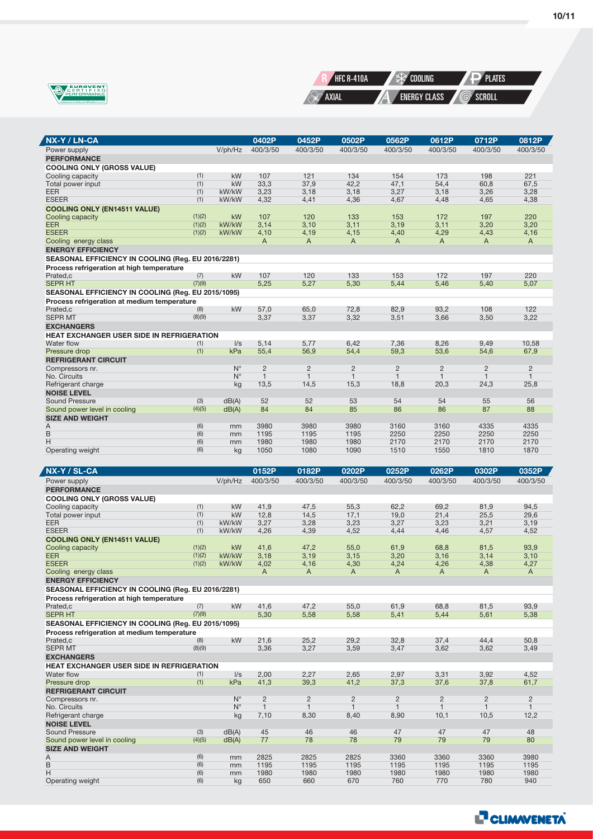

Ź



| NX-Y / LN-CA                                       |            |                | 0402P          | 0452P          | 0502P          | 0562P          | 0612P          | 0712P          | 0812P          |
|----------------------------------------------------|------------|----------------|----------------|----------------|----------------|----------------|----------------|----------------|----------------|
| Power supply                                       |            | V/ph/Hz        | 400/3/50       | 400/3/50       | 400/3/50       | 400/3/50       | 400/3/50       | 400/3/50       | 400/3/50       |
| <b>PERFORMANCE</b>                                 |            |                |                |                |                |                |                |                |                |
| <b>COOLING ONLY (GROSS VALUE)</b>                  |            |                |                |                |                |                |                |                |                |
| Cooling capacity                                   | (1)        | kW             | 107            | 121            | 134            | 154            | 173            | 198            | 221            |
| Total power input                                  | (1)<br>(1) | kW             | 33,3           | 37,9           | 42,2           | 47,1           | 54,4           | 60,8           | 67,5           |
| <b>EER</b><br><b>ESEER</b>                         | (1)        | kW/kW<br>kW/kW | 3,23<br>4,32   | 3,18<br>4,41   | 3,18<br>4,36   | 3,27<br>4,67   | 3,18<br>4,48   | 3,26<br>4,65   | 3,28<br>4,38   |
| <b>COOLING ONLY (EN14511 VALUE)</b>                |            |                |                |                |                |                |                |                |                |
| Cooling capacity                                   | (1)(2)     | kW             | 107            | 120            | 133            | 153            | 172            | 197            | 220            |
| <b>EER</b>                                         | (1)(2)     | kW/kW          | 3,14           | 3,10           | 3,11           | 3,19           | 3,11           | 3,20           | 3,20           |
| <b>ESEER</b>                                       | (1)(2)     | kW/kW          | 4,10           | 4,19           | 4,15           | 4,40           | 4,29           | 4,43           | 4,16           |
| Cooling energy class                               |            |                | A              | A              | A              | Α              | A              | A              | A              |
| <b>ENERGY EFFICIENCY</b>                           |            |                |                |                |                |                |                |                |                |
| SEASONAL EFFICIENCY IN COOLING (Reg. EU 2016/2281) |            |                |                |                |                |                |                |                |                |
| Process refrigeration at high temperature          |            |                |                |                |                |                |                |                |                |
| Prated,c                                           | (7)        | kW             | 107            | 120            | 133            | 153            | 172            | 197            | 220            |
| <b>SEPR HT</b>                                     | (7)(9)     |                | 5,25           | 5,27           | 5,30           | 5,44           | 5,46           | 5,40           | 5,07           |
| SEASONAL EFFICIENCY IN COOLING (Reg. EU 2015/1095) |            |                |                |                |                |                |                |                |                |
| Process refrigeration at medium temperature        |            |                |                |                |                |                |                |                |                |
| Prated,c                                           | (8)        | kW             | 57,0           | 65,0           | 72,8           | 82,9           | 93,2           | 108            | 122            |
| <b>SEPR MT</b>                                     | (8)(9)     |                | 3,37           | 3,37           | 3,32           | 3,51           | 3,66           | 3,50           | 3,22           |
| <b>EXCHANGERS</b>                                  |            |                |                |                |                |                |                |                |                |
| HEAT EXCHANGER USER SIDE IN REFRIGERATION          |            |                |                |                |                |                |                |                |                |
| Water flow                                         | (1)        | $\sqrt{s}$     | 5,14           | 5,77           | 6.42           | 7,36           | 8.26           | 9.49           | 10.58          |
| Pressure drop                                      | (1)        | kPa            | 55,4           | 56,9           | 54,4           | 59,3           | 53,6           | 54,6           | 67,9           |
| <b>REFRIGERANT CIRCUIT</b>                         |            |                |                |                |                |                |                |                |                |
| Compressors nr.                                    |            | $N^{\circ}$    | $\overline{2}$ | $\overline{c}$ | $\overline{2}$ | $\overline{c}$ | $\overline{c}$ | $\overline{c}$ | $\overline{2}$ |
| No. Circuits                                       |            | $N^{\circ}$    | $\mathbf{1}$   | $\mathbf{1}$   | $\mathbf{1}$   | $\mathbf{1}$   | $\mathbf{1}$   | $\mathbf{1}$   | $\mathbf{1}$   |
| Refrigerant charge                                 |            | kg             | 13,5           | 14,5           | 15,3           | 18,8           | 20,3           | 24,3           | 25,8           |
| <b>NOISE LEVEL</b>                                 |            |                |                |                |                |                |                |                |                |
| <b>Sound Pressure</b>                              | (3)        | dB(A)          | 52             | 52             | 53             | 54             | 54             | 55             | 56             |
| Sound power level in cooling                       | (4)(5)     | dB(A)          | 84             | 84             | 85             | 86             | 86             | 87             | 88             |
| <b>SIZE AND WEIGHT</b>                             |            |                |                |                |                |                |                |                |                |
| Α<br>B                                             | (6)<br>(6) | mm             | 3980<br>1195   | 3980<br>1195   | 3980<br>1195   | 3160<br>2250   | 3160<br>2250   | 4335<br>2250   | 4335<br>2250   |
| Η                                                  | (6)        | mm<br>mm       | 1980           | 1980           | 1980           | 2170           | 2170           | 2170           | 2170           |
| Operating weight                                   | (6)        | kg             | 1050           | 1080           | 1090           | 1510           | 1550           | 1810           | 1870           |
|                                                    |            |                |                |                |                |                |                |                |                |
|                                                    |            |                |                |                |                |                |                |                |                |
| NX-Y / SL-CA                                       |            |                | 0152P          | 0182P          | 0202P          | 0252P          | 0262P          | 0302P          | 0352P          |
| Power supply                                       |            | V/ph/Hz        | 400/3/50       | 400/3/50       | 400/3/50       | 400/3/50       | 400/3/50       | 400/3/50       | 400/3/50       |
| <b>PERFORMANCE</b>                                 |            |                |                |                |                |                |                |                |                |
| <b>COOLING ONLY (GROSS VALUE)</b>                  |            |                |                |                |                |                |                |                |                |
| Cooling capacity                                   | (1)        | kW<br>kW       | 41,9           | 47,5<br>14,5   | 55,3           | 62,2           | 69,2<br>21,4   | 81,9           | 94,5<br>29,6   |
| Total power input<br><b>EER</b>                    | (1)<br>(1) | kW/kW          | 12,8<br>3,27   | 3,28           | 17,1<br>3,23   | 19,0<br>3,27   | 3,23           | 25,5<br>3,21   | 3,19           |
| <b>ESEER</b>                                       | (1)        | kW/kW          | 4,26           | 4,39           | 4,52           | 4,44           | 4,46           | 4,57           | 4,52           |
| <b>COOLING ONLY (EN14511 VALUE)</b>                |            |                |                |                |                |                |                |                |                |
| Cooling capacity                                   | (1)(2)     | kW             | 41,6           | 47,2           | 55,0           | 61,9           | 68,8           | 81,5           | 93,9           |
| <b>EER</b>                                         | (1)(2)     | kW/kW          | 3,18           | 3,19           | 3,15           | 3,20           | 3,16           | 3,14           | 3,10           |
| <b>ESEER</b>                                       | (1)(2)     | kW/kW          | 4,02           | 4,16           | 4,30           | 4,24           | 4,26           | 4,38           | 4,27           |
| Cooling energy class                               |            |                | A              | A              | A              | A              | A              | A              | A              |
| <b>ENERGY EFFICIENCY</b>                           |            |                |                |                |                |                |                |                |                |
| SEASONAL EFFICIENCY IN COOLING (Reg. EU 2016/2281) |            |                |                |                |                |                |                |                |                |
| Process refrigeration at high temperature          |            |                |                |                |                |                |                |                |                |
| Prated,c                                           | (7)        | kW             | 41,6           | 47,2           | 55,0           | 61,9           | 68,8           | 81,5           | 93.9           |
| <b>SEPR HT</b>                                     | (7)(9)     |                | 5,30           | 5,58           | 5,58           | 5,41           | 5,44           | 5,61           | 5,38           |
| SEASONAL EFFICIENCY IN COOLING (Reg. EU 2015/1095) |            |                |                |                |                |                |                |                |                |
| Process refrigeration at medium temperature        |            |                |                |                |                |                |                |                |                |
| Prated,c                                           | (8)        | kW             | 21,6           | 25,2           | 29,2           | 32,8           | 37,4           | 44,4           | 50,8           |
| <b>SEPR MT</b>                                     | (8)(9)     |                | 3,36           | 3,27           | 3,59           | 3,47           | 3,62           | 3,62           | 3,49           |
| <b>FXCHANGERS</b>                                  |            |                |                |                |                |                |                |                |                |

| <b>SEPR MT</b>                                   | (8)(9) |             | 3,36 | 3,27           | 3,59 | 3,47           | 3,62           | 3,62           | 3,49           |
|--------------------------------------------------|--------|-------------|------|----------------|------|----------------|----------------|----------------|----------------|
| <b>EXCHANGERS</b>                                |        |             |      |                |      |                |                |                |                |
| <b>HEAT EXCHANGER USER SIDE IN REFRIGERATION</b> |        |             |      |                |      |                |                |                |                |
| Water flow                                       | (1)    | $\sqrt{s}$  | 2,00 | 2,27           | 2,65 | 2,97           | 3,31           | 3,92           | 4,52           |
| Pressure drop                                    | (1)    | kPa         | 41,3 | 39,3           | 41,2 | 37,3           | 37,6           | 37,8           | 61,7           |
| <b>REFRIGERANT CIRCUIT</b>                       |        |             |      |                |      |                |                |                |                |
| Compressors nr.                                  |        | $N^{\circ}$ | 2    | $\overline{2}$ | 2    | $\overline{2}$ | $\overline{2}$ | $\overline{2}$ | $\overline{2}$ |
| No. Circuits                                     |        | $N^{\circ}$ |      |                |      |                |                |                |                |
| Refrigerant charge                               |        | kg          | 7,10 | 8,30           | 8,40 | 8,90           | 10,1           | 10,5           | 12,2           |
| <b>NOISE LEVEL</b>                               |        |             |      |                |      |                |                |                |                |
| <b>Sound Pressure</b>                            | (3)    | dB(A)       | 45   | 46             | 46   | 47             | 47             | 47             | 48             |
| Sound power level in cooling                     | (4)(5) | dB(A)       | 77   | 78             | 78   | 79             | 79             | 79             | 80             |
| <b>SIZE AND WEIGHT</b>                           |        |             |      |                |      |                |                |                |                |
| A                                                | (6)    | mm          | 2825 | 2825           | 2825 | 3360           | 3360           | 3360           | 3980           |
| B                                                | (6)    | mm          | 1195 | 1195           | 1195 | 1195           | 1195           | 1195           | 1195           |
| H                                                | (6)    | mm          | 1980 | 1980           | 1980 | 1980           | 1980           | 1980           | 1980           |
| Operating weight                                 | (6)    | kg          | 650  | 660            | 670  | 760            | 770            | 780            | 940            |

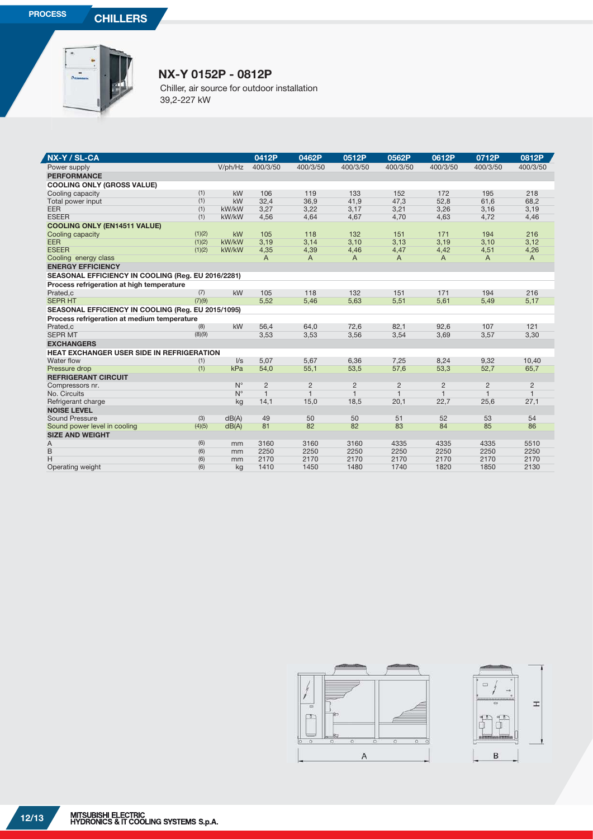**PROCESS CHILLERS** 



## **NX-Y 0152P - 0812P**

Chiller, air source for outdoor installation 39,2-227 kW

| NX-Y / SL-CA                                       |            |             | 0412P          | 0462P          | 0512P          | 0562P          | 0612P          | 0712P          | 0812P          |
|----------------------------------------------------|------------|-------------|----------------|----------------|----------------|----------------|----------------|----------------|----------------|
| Power supply                                       |            | V/ph/Hz     | 400/3/50       | 400/3/50       | 400/3/50       | 400/3/50       | 400/3/50       | 400/3/50       | 400/3/50       |
| <b>PERFORMANCE</b>                                 |            |             |                |                |                |                |                |                |                |
| <b>COOLING ONLY (GROSS VALUE)</b>                  |            |             |                |                |                |                |                |                |                |
| Cooling capacity                                   | (1)        | kW          | 106            | 119            | 133            | 152            | 172            | 195            | 218            |
| Total power input                                  | (1)        | kW          | 32,4           | 36,9           | 41,9           | 47,3           | 52,8           | 61,6           | 68,2           |
| EER                                                | (1)        | kW/kW       | 3,27           | 3,22           | 3,17           | 3,21           | 3,26           | 3,16           | 3,19           |
| <b>ESEER</b>                                       | (1)        | kW/kW       | 4,56           | 4,64           | 4,67           | 4,70           | 4,63           | 4,72           | 4,46           |
| <b>COOLING ONLY (EN14511 VALUE)</b>                |            |             |                |                |                |                |                |                |                |
| Cooling capacity                                   | (1)(2)     | <b>kW</b>   | 105            | 118            | 132            | 151            | 171            | 194            | 216            |
| EER                                                | (1)(2)     | kW/kW       | 3,19           | 3,14           | 3,10           | 3,13           | 3,19           | 3,10           | 3,12           |
| <b>ESEER</b>                                       | (1)(2)     | kW/kW       | 4,35           | 4,39           | 4,46           | 4,47           | 4,42           | 4,51           | 4,26           |
| Cooling energy class                               |            |             | A              | A              | A              | A              | A              | A              | $\overline{A}$ |
| <b>ENERGY EFFICIENCY</b>                           |            |             |                |                |                |                |                |                |                |
| SEASONAL EFFICIENCY IN COOLING (Reg. EU 2016/2281) |            |             |                |                |                |                |                |                |                |
| Process refrigeration at high temperature          |            |             |                |                |                |                |                |                |                |
| Prated,c                                           | (7)        | kW          | 105            | 118            | 132            | 151            | 171            | 194            | 216            |
| <b>SEPR HT</b>                                     | (7)(9)     |             | 5,52           | 5,46           | 5,63           | 5,51           | 5,61           | 5,49           | 5,17           |
| SEASONAL EFFICIENCY IN COOLING (Reg. EU 2015/1095) |            |             |                |                |                |                |                |                |                |
| Process refrigeration at medium temperature        |            |             |                |                |                |                |                |                |                |
| Prated.c                                           | (8)        | kW          | 56,4           | 64,0           | 72,6           | 82,1           | 92.6           | 107            | 121            |
| <b>SEPR MT</b>                                     | (8)(9)     |             | 3,53           | 3,53           | 3,56           | 3,54           | 3,69           | 3,57           | 3,30           |
| <b>EXCHANGERS</b>                                  |            |             |                |                |                |                |                |                |                |
| <b>HEAT EXCHANGER USER SIDE IN REFRIGERATION</b>   |            |             |                |                |                |                |                |                |                |
| Water flow                                         | (1)        | $\sqrt{s}$  | 5.07           | 5,67           | 6,36           | 7,25           | 8,24           | 9,32           | 10,40          |
| Pressure drop                                      | (1)        | kPa         | 54,0           | 55,1           | 53,5           | 57,6           | 53,3           | 52,7           | 65,7           |
| <b>REFRIGERANT CIRCUIT</b>                         |            |             |                |                |                |                |                |                |                |
| Compressors nr.                                    |            | $N^{\circ}$ | $\overline{2}$ | $\overline{2}$ | $\overline{2}$ | $\overline{2}$ | $\overline{2}$ | $\overline{2}$ | 2              |
| No. Circuits                                       |            | $N^{\circ}$ | $\mathbf{1}$   | $\mathbf{1}$   | $\mathbf{1}$   | $\mathbf{1}$   | $\mathbf{1}$   | $\mathbf{1}$   | $\mathbf{1}$   |
| Refrigerant charge                                 |            | kg          | 14,1           | 15,0           | 18,5           | 20,1           | 22,7           | 25,6           | 27,1           |
| <b>NOISE LEVEL</b>                                 |            |             |                |                |                |                |                |                |                |
| <b>Sound Pressure</b>                              | (3)        | dB(A)       | 49             | 50             | 50             | 51             | 52             | 53             | 54             |
| Sound power level in cooling                       | (4)(5)     | dB(A)       | 81             | 82             | 82             | 83             | 84             | 85             | 86             |
| <b>SIZE AND WEIGHT</b>                             |            |             |                |                |                |                |                |                |                |
| A<br>B                                             | (6)<br>(6) | mm<br>mm    | 3160<br>2250   | 3160<br>2250   | 3160<br>2250   | 4335<br>2250   | 4335<br>2250   | 4335<br>2250   | 5510<br>2250   |
| H                                                  | (6)        | mm          | 2170           | 2170           | 2170           | 2170           | 2170           | 2170           | 2170           |
| Operating weight                                   | (6)        | kg          | 1410           | 1450           | 1480           | 1740           | 1820           | 1850           | 2130           |
|                                                    |            |             |                |                |                |                |                |                |                |



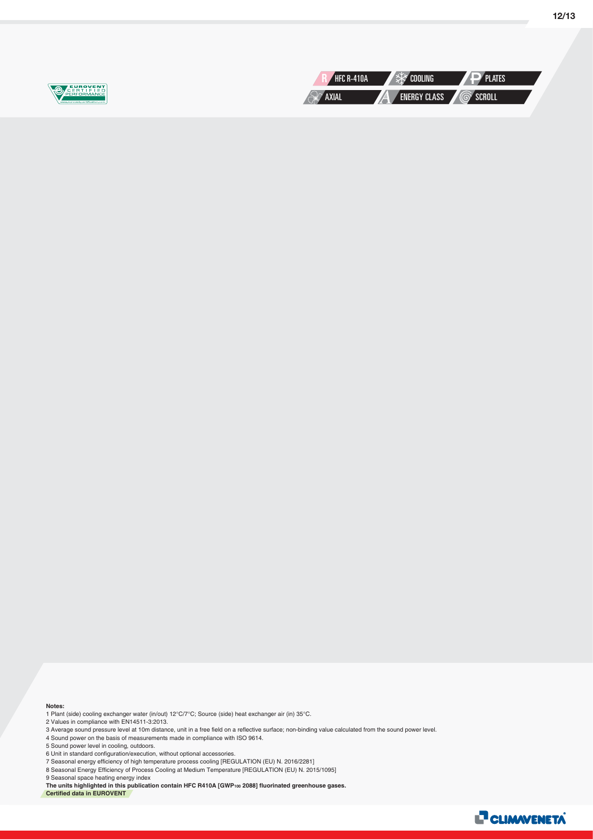

**12/13**

#### **Notes:**

1 Plant (side) cooling exchanger water (in/out) 12°C/7°C; Source (side) heat exchanger air (in) 35°C. 2 Values in compliance with EN14511-3:2013.

3 Average sound pressure level at 10m distance, unit in a free field on a reflective surface; non-binding value calculated from the sound power level.

4 Sound power on the basis of measurements made in compliance with ISO 9614.

5 Sound power level in cooling, outdoors.

6 Unit in standard configuration/execution, without optional accessories.

7 Seasonal energy efficiency of high temperature process cooling [REGULATION (EU) N. 2016/2281] 8 Seasonal Energy Efficiency of Process Cooling at Medium Temperature [REGULATION (EU) N. 2015/1095]

9 Seasonal space heating energy index

**The units highlighted in this publication contain HFC R410A [GWP100 2088] fluorinated greenhouse gases. Certified data in EUROVENT**

**L<sup>7</sup> CLIMWENETA**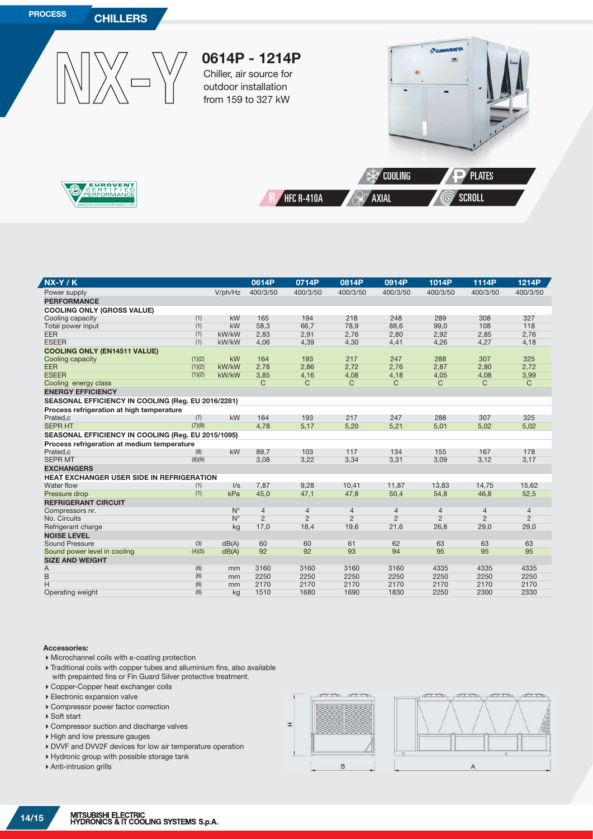

| $NX-Y/K$                                           |        |             | 0614P          | 0714P          | 0814P          | 0914P          | 1014P          | 1114P          | 1214P          |
|----------------------------------------------------|--------|-------------|----------------|----------------|----------------|----------------|----------------|----------------|----------------|
| Power supply                                       |        | V/ph/Hz     | 400/3/50       | 400/3/50       | 400/3/50       | 400/3/50       | 400/3/50       | 400/3/50       | 400/3/50       |
| <b>PERFORMANCE</b>                                 |        |             |                |                |                |                |                |                |                |
| <b>COOLING ONLY (GROSS VALUE)</b>                  |        |             |                |                |                |                |                |                |                |
| Cooling capacity                                   | (1)    | kW          | 165            | 194            | 218            | 248            | 289            | 308            | 327            |
| Total power input                                  | (1)    | kW          | 58,3           | 66,7           | 78,9           | 88,6           | 99,0           | 108            | 118            |
| <b>EER</b>                                         | (1)    | kW/kW       | 2,83           | 2,91           | 2,76           | 2,80           | 2,92           | 2,85           | 2,76           |
| <b>ESEER</b>                                       | (1)    | kW/kW       | 4,06           | 4,39           | 4,30           | 4,41           | 4,26           | 4,27           | 4,18           |
| <b>COOLING ONLY (EN14511 VALUE)</b>                |        |             |                |                |                |                |                |                |                |
| Cooling capacity                                   | (1)(2) | kW          | 164            | 193            | 217            | 247            | 288            | 307            | 325            |
| <b>EER</b>                                         | (1)(2) | kW/kW       | 2,78           | 2,86           | 2,72           | 2,76           | 2,87           | 2,80           | 2,72           |
| <b>ESEER</b>                                       | (1)(2) | kW/kW       | 3,85           | 4,16           | 4,08           | 4,18           | 4,05           | 4,08           | 3,99           |
| Cooling energy class                               |        |             | С              | C              | C              | C              | C              | C              | $\mathsf{C}$   |
| <b>ENERGY EFFICIENCY</b>                           |        |             |                |                |                |                |                |                |                |
| SEASONAL EFFICIENCY IN COOLING (Reg. EU 2016/2281) |        |             |                |                |                |                |                |                |                |
| Process refrigeration at high temperature          |        |             |                |                |                |                |                |                |                |
| Prated,c                                           | (7)    | kW          | 164            | 193            | 217            | 247            | 288            | 307            | 325            |
| <b>SEPR HT</b>                                     | (7)(9) |             | 4,78           | 5,17           | 5,20           | 5,21           | 5,01           | 5,02           | 5,02           |
| SEASONAL EFFICIENCY IN COOLING (Reg. EU 2015/1095) |        |             |                |                |                |                |                |                |                |
| Process refrigeration at medium temperature        |        |             |                |                |                |                |                |                |                |
| Prated,c                                           | (8)    | kW          | 89,7           | 103            | 117            | 134            | 155            | 167            | 178            |
| <b>SEPR MT</b>                                     | (8)(9) |             | 3,08           | 3,22           | 3,34           | 3,31           | 3,09           | 3,12           | 3,17           |
| <b>EXCHANGERS</b>                                  |        |             |                |                |                |                |                |                |                |
| <b>HEAT EXCHANGER USER SIDE IN REFRIGERATION</b>   |        |             |                |                |                |                |                |                |                |
| Water flow                                         | (1)    | $\sqrt{s}$  | 7,87           | 9.28           | 10,41          | 11.87          | 13,83          | 14,75          | 15.62          |
| Pressure drop                                      | (1)    | kPa         | 45,0           | 47,1           | 47,8           | 50,4           | 54,8           | 46,8           | 52,5           |
| <b>REFRIGERANT CIRCUIT</b>                         |        |             |                |                |                |                |                |                |                |
| Compressors nr.                                    |        | $N^{\circ}$ | $\overline{4}$ | $\overline{4}$ | $\overline{4}$ | $\overline{4}$ | $\overline{4}$ | $\overline{4}$ | $\overline{4}$ |
| No. Circuits                                       |        | $N^{\circ}$ | $\overline{2}$ | $\overline{2}$ | $\overline{2}$ | $\overline{2}$ | $\overline{2}$ | $\overline{2}$ | $\overline{2}$ |
| Refrigerant charge                                 |        | kg          | 17,0           | 18,4           | 19,6           | 21,6           | 26,8           | 29,0           | 29,0           |
| <b>NOISE LEVEL</b>                                 |        |             |                |                |                |                |                |                |                |
| <b>Sound Pressure</b>                              | (3)    | dB(A)       | 60             | 60             | 61             | 62             | 63             | 63             | 63             |
| Sound power level in cooling                       | (4)(5) | dB(A)       | 92             | 92             | 93             | 94             | 95             | 95             | 95             |
| <b>SIZE AND WEIGHT</b>                             |        |             |                |                |                |                |                |                |                |
| A                                                  | (6)    | mm          | 3160           | 3160           | 3160           | 3160           | 4335           | 4335           | 4335           |
| B                                                  | (6)    | mm          | 2250           | 2250           | 2250           | 2250           | 2250           | 2250           | 2250           |
| H                                                  | (6)    | mm          | 2170           | 2170           | 2170           | 2170           | 2170           | 2170           | 2170           |
| Operating weight                                   | (6)    | kg          | 1510           | 1680           | 1690           | 1830           | 2250           | 2300           | 2330           |

#### **Accessories:**

7

- Microchannel coils with e-coating protection
- Traditional coils with copper tubes and alluminium fins, also available with prepainted fins or Fin Guard Silver protective treatment.
- Copper-Copper heat exchanger coils
- Electronic expansion valve
- Compressor power factor correction
- ▶ Soft start
- Compressor suction and discharge valves
- ▶ High and low pressure gauges
- DVVF and DVV2F devices for low air temperature operation
- Hydronic group with possible storage tank
- Anti-intrusion grills



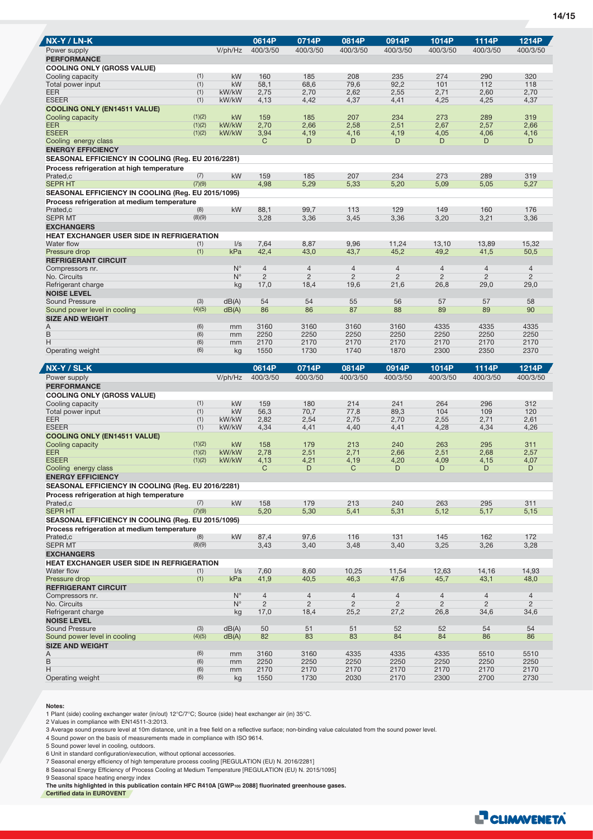| NX-Y / LN-K                                                                                            |               |                            | 0614P                            | 0714P                            | 0814P                            | 0914P               | 1014P               | 1114P                            | 1214P                            |
|--------------------------------------------------------------------------------------------------------|---------------|----------------------------|----------------------------------|----------------------------------|----------------------------------|---------------------|---------------------|----------------------------------|----------------------------------|
| Power supply<br><b>PERFORMANCE</b>                                                                     |               | V/ph/Hz                    | 400/3/50                         | 400/3/50                         | 400/3/50                         | 400/3/50            | 400/3/50            | 400/3/50                         | 400/3/50                         |
| <b>COOLING ONLY (GROSS VALUE)</b>                                                                      |               |                            |                                  |                                  |                                  |                     |                     |                                  |                                  |
| Cooling capacity                                                                                       | (1)           | kW                         | 160                              | 185                              | 208                              | 235                 | 274                 | 290                              | 320                              |
| Total power input                                                                                      | (1)           | kW                         | 58.1                             | 68.6                             | 79.6                             | 92.2                | 101                 | 112                              | 118                              |
| EER                                                                                                    | (1)           | kW/kW                      | 2,75                             | 2,70                             | 2,62                             | 2,55                | 2,71                | 2,60                             | 2,70                             |
| <b>ESEER</b>                                                                                           | (1)           | kW/kW                      | 4,13                             | 4,42                             | 4,37                             | 4,41                | 4,25                | 4,25                             | 4,37                             |
| <b>COOLING ONLY (EN14511 VALUE)</b><br>Cooling capacity                                                | (1)(2)        | kW                         | 159                              | 185                              | 207                              | 234                 | 273                 | 289                              | 319                              |
| <b>EER</b>                                                                                             | (1)(2)        | kW/kW                      | 2,70                             | 2,66                             | 2,58                             | 2,51                | 2,67                | 2,57                             | 2,66                             |
| <b>ESEER</b>                                                                                           | (1)(2)        | kW/kW                      | 3,94                             | 4,19                             | 4,16                             | 4,19                | 4,05                | 4,06                             | 4,16                             |
| Cooling energy class                                                                                   |               |                            | C                                | D                                | D                                | D                   | D                   | D                                | D                                |
| <b>ENERGY EFFICIENCY</b>                                                                               |               |                            |                                  |                                  |                                  |                     |                     |                                  |                                  |
| SEASONAL EFFICIENCY IN COOLING (Reg. EU 2016/2281)                                                     |               |                            |                                  |                                  |                                  |                     |                     |                                  |                                  |
| Process refrigeration at high temperature<br>Prated,c                                                  | (7)           | kW                         | 159                              | 185                              | 207                              | 234                 | 273                 | 289                              | 319                              |
| <b>SEPR HT</b>                                                                                         | (7)(9)        |                            | 4,98                             | 5,29                             | 5,33                             | 5,20                | 5,09                | 5,05                             | 5,27                             |
| SEASONAL EFFICIENCY IN COOLING (Reg. EU 2015/1095)                                                     |               |                            |                                  |                                  |                                  |                     |                     |                                  |                                  |
| Process refrigeration at medium temperature                                                            |               |                            |                                  |                                  |                                  |                     |                     |                                  |                                  |
| Prated.c<br><b>SEPR MT</b>                                                                             | (8)           | kW                         | 88,1                             | 99.7                             | 113                              | 129                 | 149                 | 160                              | 176                              |
| <b>EXCHANGERS</b>                                                                                      | (8)(9)        |                            | 3,28                             | 3,36                             | 3,45                             | 3,36                | 3,20                | 3,21                             | 3,36                             |
| <b>HEAT EXCHANGER USER SIDE IN REFRIGERATION</b>                                                       |               |                            |                                  |                                  |                                  |                     |                     |                                  |                                  |
| Water flow                                                                                             | (1)           | $\sqrt{s}$                 | 7,64                             | 8,87                             | 9,96                             | 11,24               | 13,10               | 13,89                            | 15,32                            |
| Pressure drop                                                                                          | (1)           | kPa                        | 42,4                             | 43,0                             | 43,7                             | 45,2                | 49,2                | 41,5                             | 50,5                             |
| <b>REFRIGERANT CIRCUIT</b>                                                                             |               |                            |                                  |                                  |                                  |                     |                     |                                  |                                  |
| Compressors nr.<br>No. Circuits                                                                        |               | $N^{\circ}$<br>$N^{\circ}$ | $\overline{4}$<br>$\overline{2}$ | $\overline{4}$<br>$\overline{c}$ | $\overline{4}$<br>$\overline{2}$ | 4<br>$\overline{2}$ | 4<br>$\overline{2}$ | $\overline{4}$<br>$\overline{c}$ | $\overline{4}$<br>$\overline{2}$ |
| Refrigerant charge                                                                                     |               | kg                         | 17,0                             | 18,4                             | 19,6                             | 21,6                | 26,8                | 29,0                             | 29,0                             |
| <b>NOISE LEVEL</b>                                                                                     |               |                            |                                  |                                  |                                  |                     |                     |                                  |                                  |
| <b>Sound Pressure</b>                                                                                  | (3)           | dB(A)                      | 54                               | 54                               | 55                               | 56                  | 57                  | 57                               | 58                               |
| Sound power level in cooling                                                                           | (4)(5)        | dB(A)                      | 86                               | 86                               | 87                               | 88                  | 89                  | 89                               | 90                               |
| <b>SIZE AND WEIGHT</b><br>A                                                                            | (6)           |                            | 3160                             | 3160                             | 3160                             | 3160                | 4335                | 4335                             | 4335                             |
| B                                                                                                      | (6)           | mm<br>mm                   | 2250                             | 2250                             | 2250                             | 2250                | 2250                | 2250                             | 2250                             |
| Н                                                                                                      | (6)           | mm                         | 2170                             | 2170                             | 2170                             | 2170                | 2170                | 2170                             | 2170                             |
| Operating weight                                                                                       | (6)           | kg                         | 1550                             | 1730                             | 1740                             | 1870                | 2300                | 2350                             | 2370                             |
|                                                                                                        |               |                            |                                  |                                  |                                  |                     |                     |                                  |                                  |
|                                                                                                        |               |                            |                                  |                                  |                                  |                     |                     |                                  |                                  |
| NX-Y / SL-K                                                                                            |               |                            | 0614P                            | 0714P                            | 0814P                            | 0914P               | 1014P               | 1114P                            | 1214P                            |
| Power supply                                                                                           |               | V/ph/Hz                    | 400/3/50                         | 400/3/50                         | 400/3/50                         | 400/3/50            | 400/3/50            | 400/3/50                         | 400/3/50                         |
| <b>PERFORMANCE</b><br><b>COOLING ONLY (GROSS VALUE)</b>                                                |               |                            |                                  |                                  |                                  |                     |                     |                                  |                                  |
| Cooling capacity                                                                                       | (1)           | kW                         | 159                              | 180                              | 214                              | 241                 | 264                 | 296                              | 312                              |
| Total power input                                                                                      | (1)           | kW                         | 56,3                             | 70,7                             | 77,8                             | 89,3                | 104                 | 109                              | 120                              |
| <b>EER</b>                                                                                             | (1)           | kW/kW                      | 2,82                             | 2,54                             | 2,75                             | 2,70                | 2,55                | 2,71                             | 2,61                             |
| <b>ESEER</b>                                                                                           | (1)           | kW/kW                      | 4,34                             | 4,41                             | 4,40                             | 4,41                | 4,28                | 4,34                             | 4,26                             |
| <b>COOLING ONLY (EN14511 VALUE)</b><br>Cooling capacity                                                | (1)(2)        | <b>kW</b>                  | 158                              | 179                              | 213                              | 240                 | 263                 | 295                              | 311                              |
| <b>EER</b>                                                                                             | (1)(2)        | kW/kW                      | 2,78                             | 2,51                             | 2,71                             | 2,66                | 2,51                | 2,68                             | 2,57                             |
| <b>ESEER</b>                                                                                           | (1)(2)        | kW/kW                      | 4,13                             | 4,21                             | 4,19                             | 4,20                | 4,09                | 4,15                             | 4,07                             |
| Cooling energy class                                                                                   |               |                            | C                                | D                                | C                                | D                   | D                   | D                                | D                                |
| <b>ENERGY EFFICIENCY</b>                                                                               |               |                            |                                  |                                  |                                  |                     |                     |                                  |                                  |
| <b>SEASONAL EFFICIENCY IN COOLING (Reg. EU 2016/2281)</b><br>Process refrigeration at high temperature |               |                            |                                  |                                  |                                  |                     |                     |                                  |                                  |
| Prated,c                                                                                               | (7)           | kW                         | 158                              | 179                              | 213                              | 240                 | 263                 | 295                              | 311                              |
| <b>SEPR HT</b>                                                                                         | (7)(9)        |                            | 5,20                             | 5,30                             | 5,41                             | 5,31                | 5,12                | 5,17                             | 5,15                             |
| SEASONAL EFFICIENCY IN COOLING (Reg. EU 2015/1095)                                                     |               |                            |                                  |                                  |                                  |                     |                     |                                  |                                  |
| Process refrigeration at medium temperature                                                            |               |                            |                                  |                                  | 116                              | 131                 | 145                 | 162                              | 172                              |
| Prated,c<br><b>SEPR MT</b>                                                                             | (8)<br>(8)(9) | kW                         | 87,4<br>3,43                     | 97,6<br>3,40                     | 3,48                             | 3,40                | 3,25                | 3,26                             | 3,28                             |
| <b>EXCHANGERS</b>                                                                                      |               |                            |                                  |                                  |                                  |                     |                     |                                  |                                  |
| HEAT EXCHANGER USER SIDE IN REFRIGERATION                                                              |               |                            |                                  |                                  |                                  |                     |                     |                                  |                                  |
| Water flow                                                                                             | (1)           | $\sqrt{s}$                 | 7,60                             | 8,60                             | 10,25                            | 11,54               | 12,63               | 14,16                            | 14,93                            |
| Pressure drop                                                                                          | (1)           | kPa                        | 41,9                             | 40,5                             | 46,3                             | 47,6                | 45,7                | 43,1                             | 48,0                             |
| <b>REFRIGERANT CIRCUIT</b><br>Compressors nr.                                                          |               | $N^{\circ}$                | $\overline{4}$                   | $\overline{4}$                   | $\overline{4}$                   | $\overline{4}$      | $\overline{4}$      | $\overline{4}$                   | $\overline{4}$                   |
| No. Circuits                                                                                           |               | $N^{\circ}$                | $\overline{c}$                   | $\overline{2}$                   | $\overline{2}$                   | $\overline{c}$      | $\overline{c}$      | $\overline{2}$                   | $\overline{2}$                   |
| Refrigerant charge                                                                                     |               | kg                         | 17,0                             | 18,4                             | 25,2                             | 27,2                | 26,8                | 34,6                             | 34,6                             |
| <b>NOISE LEVEL</b>                                                                                     |               |                            |                                  |                                  |                                  |                     |                     |                                  |                                  |
| Sound Pressure<br>Sound power level in cooling                                                         | (3)<br>(4)(5) | dB(A)<br>dB(A)             | 50<br>82                         | 51<br>83                         | 51<br>83                         | 52<br>84            | 52<br>84            | 54<br>86                         | 54<br>86                         |
| <b>SIZE AND WEIGHT</b>                                                                                 |               |                            |                                  |                                  |                                  |                     |                     |                                  |                                  |
| Α                                                                                                      | (6)           | mm                         | 3160                             | 3160                             | 4335                             | 4335                | 4335                | 5510                             | 5510                             |
| B                                                                                                      | (6)           | mm                         | 2250                             | 2250                             | 2250                             | 2250                | 2250                | 2250                             | 2250                             |
| Η<br>Operating weight                                                                                  | (6)<br>(6)    | mm<br>kg                   | 2170<br>1550                     | 2170<br>1730                     | 2170<br>2030                     | 2170<br>2170        | 2170<br>2300        | 2170<br>2700                     | 2170<br>2730                     |

#### **Notes:**

1 Plant (side) cooling exchanger water (in/out) 12°C/7°C; Source (side) heat exchanger air (in) 35°C.

2 Values in compliance with EN14511-3:2013.

3 Average sound pressure level at 10m distance, unit in a free field on a reflective surface; non-binding value calculated from the sound power level.

4 Sound power on the basis of measurements made in compliance with ISO 9614.

5 Sound power level in cooling, outdoors.

6 Unit in standard configuration/execution, without optional accessories.<br>7 Seasonal energy efficiency of high temperature process cooling [REGULATION (EU) N. 2016/2281]<br>8 Seasonal Energy Efficiency of Process Cooling at M

9 Seasonal space heating energy index

**The units highlighted in this publication contain HFC R410A [GWP100 2088] fluorinated greenhouse gases.**

**Certified data in EUROVENT**

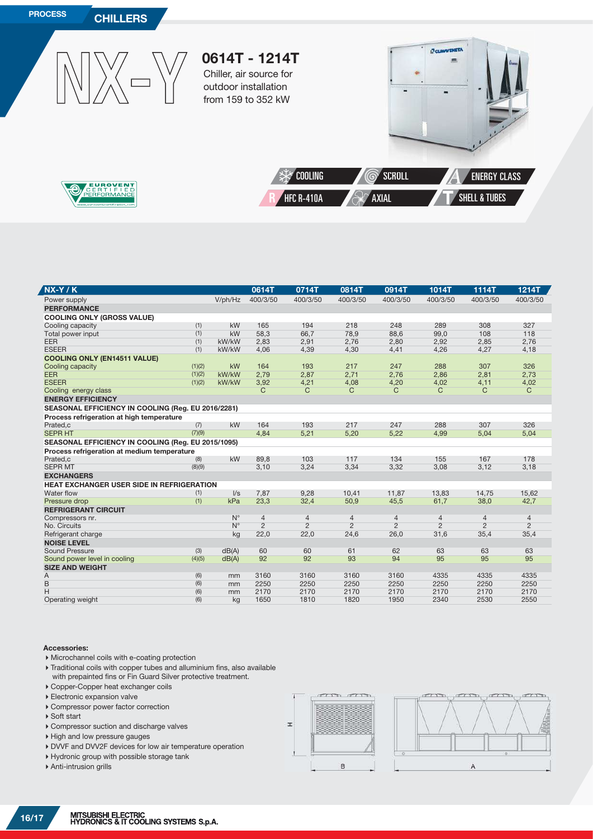

| $NX-Y/K$                                           |        |             | 0614T          | 0714T          | 0814T          | 0914T          | 1014T          | 1114T          | 1214T          |
|----------------------------------------------------|--------|-------------|----------------|----------------|----------------|----------------|----------------|----------------|----------------|
| Power supply                                       |        | V/ph/Hz     | 400/3/50       | 400/3/50       | 400/3/50       | 400/3/50       | 400/3/50       | 400/3/50       | 400/3/50       |
| <b>PERFORMANCE</b>                                 |        |             |                |                |                |                |                |                |                |
| <b>COOLING ONLY (GROSS VALUE)</b>                  |        |             |                |                |                |                |                |                |                |
| Cooling capacity                                   | (1)    | kW          | 165            | 194            | 218            | 248            | 289            | 308            | 327            |
| Total power input                                  | (1)    | kW          | 58,3           | 66.7           | 78,9           | 88,6           | 99,0           | 108            | 118            |
| <b>EER</b>                                         | (1)    | kW/kW       | 2,83           | 2,91           | 2,76           | 2,80           | 2,92           | 2,85           | 2,76           |
| <b>ESEER</b>                                       | (1)    | kW/kW       | 4,06           | 4,39           | 4,30           | 4,41           | 4,26           | 4,27           | 4,18           |
| <b>COOLING ONLY (EN14511 VALUE)</b>                |        |             |                |                |                |                |                |                |                |
| Cooling capacity                                   | (1)(2) | kW          | 164            | 193            | 217            | 247            | 288            | 307            | 326            |
| <b>EER</b>                                         | (1)(2) | kW/kW       | 2,79           | 2,87           | 2,71           | 2,76           | 2,86           | 2,81           | 2,73           |
| <b>ESEER</b>                                       | (1)(2) | kW/kW       | 3,92           | 4,21           | 4,08           | 4,20           | 4,02           | 4,11           | 4,02           |
| Cooling energy class                               |        |             | C              | C.             | С              | C              | С              | С              | $\mathsf{C}$   |
| <b>ENERGY EFFICIENCY</b>                           |        |             |                |                |                |                |                |                |                |
| SEASONAL EFFICIENCY IN COOLING (Reg. EU 2016/2281) |        |             |                |                |                |                |                |                |                |
| Process refrigeration at high temperature          |        |             |                |                |                |                |                |                |                |
| Prated,c                                           | (7)    | kW          | 164            | 193            | 217            | 247            | 288            | 307            | 326            |
| <b>SEPR HT</b>                                     | (7)(9) |             | 4,84           | 5,21           | 5,20           | 5,22           | 4,99           | 5.04           | 5,04           |
| SEASONAL EFFICIENCY IN COOLING (Reg. EU 2015/1095) |        |             |                |                |                |                |                |                |                |
| Process refrigeration at medium temperature        |        |             |                |                |                |                |                |                |                |
| Prated,c                                           | (8)    | kW          | 89,8           | 103            | 117            | 134            | 155            | 167            | 178            |
| <b>SEPR MT</b>                                     | (8)(9) |             | 3,10           | 3,24           | 3,34           | 3,32           | 3,08           | 3,12           | 3,18           |
| <b>EXCHANGERS</b>                                  |        |             |                |                |                |                |                |                |                |
| <b>HEAT EXCHANGER USER SIDE IN REFRIGERATION</b>   |        |             |                |                |                |                |                |                |                |
| Water flow                                         | (1)    | $\sqrt{s}$  | 7,87           | 9,28           | 10,41          | 11.87          | 13.83          | 14,75          | 15,62          |
| Pressure drop                                      | (1)    | kPa         | 23,3           | 32,4           | 50,9           | 45,5           | 61,7           | 38,0           | 42,7           |
| <b>REFRIGERANT CIRCUIT</b>                         |        |             |                |                |                |                |                |                |                |
| Compressors nr.                                    |        | $N^{\circ}$ | $\overline{4}$ | $\overline{4}$ | $\overline{4}$ | $\overline{4}$ | $\overline{4}$ | $\overline{4}$ | 4              |
| No. Circuits                                       |        | $N^{\circ}$ | $\overline{2}$ | $\overline{2}$ | $\overline{2}$ | $\overline{2}$ | $\overline{2}$ | $\overline{2}$ | $\overline{2}$ |
| Refrigerant charge                                 |        | kg          | 22,0           | 22,0           | 24,6           | 26,0           | 31,6           | 35,4           | 35,4           |
| <b>NOISE LEVEL</b>                                 |        |             |                |                |                |                |                |                |                |
| <b>Sound Pressure</b>                              | (3)    | dB(A)       | 60             | 60             | 61             | 62             | 63             | 63             | 63             |
| Sound power level in cooling                       | (4)(5) | dB(A)       | 92             | 92             | 93             | 94             | 95             | 95             | 95             |
| <b>SIZE AND WEIGHT</b>                             |        |             |                |                |                |                |                |                |                |
| A                                                  | (6)    | mm          | 3160           | 3160           | 3160           | 3160           | 4335           | 4335           | 4335           |
| B                                                  | (6)    | mm          | 2250           | 2250           | 2250           | 2250           | 2250           | 2250           | 2250           |
| H                                                  | (6)    | mm          | 2170           | 2170           | 2170           | 2170           | 2170           | 2170           | 2170           |
| Operating weight                                   | (6)    | kg          | 1650           | 1810           | 1820           | 1950           | 2340           | 2530           | 2550           |

#### **Accessories:**

- Microchannel coils with e-coating protection
- Traditional coils with copper tubes and alluminium fins, also available with prepainted fins or Fin Guard Silver protective treatment.
- Copper-Copper heat exchanger coils
- Electronic expansion valve
- Compressor power factor correction
- ▶ Soft start
- Compressor suction and discharge valves
- ▶ High and low pressure gauges
- DVVF and DVV2F devices for low air temperature operation
- Hydronic group with possible storage tank
- Anti-intrusion grills



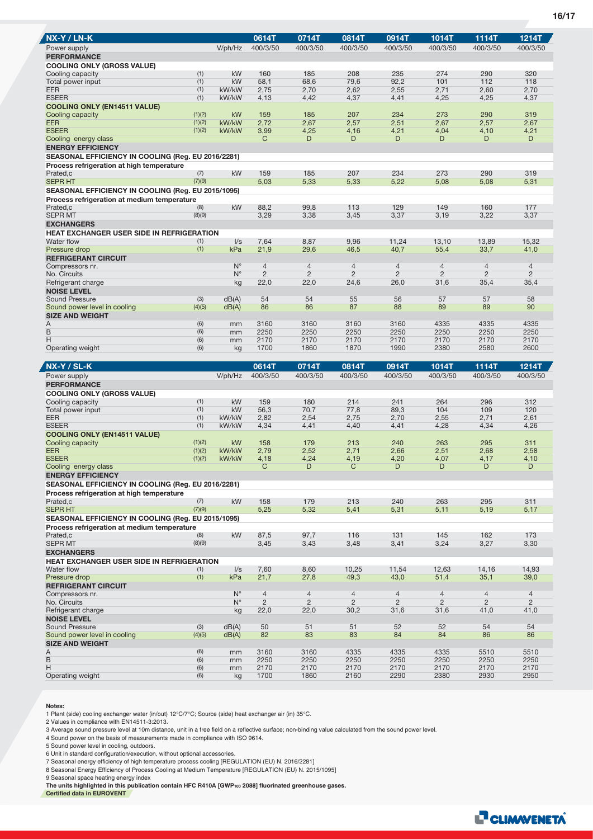| NX-Y / LN-K                                                    |                  |                            | 0614T                            | 0714T                            | 0814T                            | 0914T                            | 1014T                            | 1114T                            | 1214T                            |
|----------------------------------------------------------------|------------------|----------------------------|----------------------------------|----------------------------------|----------------------------------|----------------------------------|----------------------------------|----------------------------------|----------------------------------|
| Power supply                                                   |                  | V/ph/Hz                    | 400/3/50                         | 400/3/50                         | 400/3/50                         | 400/3/50                         | 400/3/50                         | 400/3/50                         | 400/3/50                         |
| <b>PERFORMANCE</b>                                             |                  |                            |                                  |                                  |                                  |                                  |                                  |                                  |                                  |
| <b>COOLING ONLY (GROSS VALUE)</b>                              |                  |                            |                                  |                                  |                                  |                                  |                                  |                                  |                                  |
| Cooling capacity                                               | (1)<br>(1)       | kW<br>kW                   | 160                              | 185                              | 208                              | 235                              | 274<br>101                       | 290<br>112                       | 320<br>118                       |
| Total power input<br>EER                                       | (1)              | kW/kW                      | 58,1<br>2,75                     | 68,6<br>2,70                     | 79,6<br>2,62                     | 92,2<br>2,55                     | 2,71                             | 2,60                             | 2,70                             |
| <b>ESEER</b>                                                   | (1)              | kW/kW                      | 4,13                             | 4,42                             | 4,37                             | 4,41                             | 4,25                             | 4,25                             | 4,37                             |
| <b>COOLING ONLY (EN14511 VALUE)</b>                            |                  |                            |                                  |                                  |                                  |                                  |                                  |                                  |                                  |
| Cooling capacity                                               | (1)(2)           | <b>kW</b>                  | 159                              | 185                              | 207                              | 234                              | 273                              | 290                              | 319                              |
| <b>EER</b>                                                     | (1)(2)           | kW/kW                      | 2,72                             | 2,67                             | 2,57                             | 2,51                             | 2,67                             | 2,57                             | 2,67                             |
| <b>ESEER</b>                                                   | (1)(2)           | kW/kW                      | 3,99                             | 4,25                             | 4,16                             | 4,21                             | 4,04                             | 4,10                             | 4,21                             |
| Cooling energy class<br><b>ENERGY EFFICIENCY</b>               |                  |                            | C                                | D                                | D                                | D                                | D                                | D                                | D                                |
| SEASONAL EFFICIENCY IN COOLING (Reg. EU 2016/2281)             |                  |                            |                                  |                                  |                                  |                                  |                                  |                                  |                                  |
| Process refrigeration at high temperature                      |                  |                            |                                  |                                  |                                  |                                  |                                  |                                  |                                  |
| Prated,c                                                       | (7)              | kW                         | 159                              | 185                              | 207                              | 234                              | 273                              | 290                              | 319                              |
| <b>SEPR HT</b>                                                 | (7)(9)           |                            | 5,03                             | 5,33                             | 5,33                             | 5,22                             | 5,08                             | 5,08                             | 5,31                             |
| SEASONAL EFFICIENCY IN COOLING (Reg. EU 2015/1095)             |                  |                            |                                  |                                  |                                  |                                  |                                  |                                  |                                  |
| Process refrigeration at medium temperature                    |                  |                            |                                  |                                  |                                  |                                  |                                  |                                  |                                  |
| Prated,c                                                       | (8)              | kW                         | 88,2                             | 99,8                             | 113                              | 129                              | 149                              | 160                              | 177                              |
| <b>SEPR MT</b>                                                 | (8)(9)           |                            | 3,29                             | 3,38                             | 3,45                             | 3,37                             | 3,19                             | 3,22                             | 3,37                             |
| <b>EXCHANGERS</b>                                              |                  |                            |                                  |                                  |                                  |                                  |                                  |                                  |                                  |
| <b>HEAT EXCHANGER USER SIDE IN REFRIGERATION</b><br>Water flow | (1)              | $\sqrt{s}$                 | 7,64                             | 8,87                             | 9,96                             | 11,24                            | 13,10                            | 13.89                            | 15,32                            |
| Pressure drop                                                  | (1)              | kPa                        | 21,9                             | 29,6                             | 46,5                             | 40,7                             | 55,4                             | 33,7                             | 41,0                             |
| <b>REFRIGERANT CIRCUIT</b>                                     |                  |                            |                                  |                                  |                                  |                                  |                                  |                                  |                                  |
| Compressors nr.                                                |                  | $N^{\circ}$                | $\overline{4}$                   | $\overline{4}$                   | $\overline{4}$                   | $\overline{4}$                   | $\overline{4}$                   | $\overline{4}$                   | $\overline{4}$                   |
| No. Circuits                                                   |                  | $N^{\circ}$                | $\overline{2}$                   | $\overline{2}$                   | $\overline{2}$                   | $\overline{2}$                   | $\overline{2}$                   | $\overline{2}$                   | $\overline{2}$                   |
| Refrigerant charge                                             |                  | kg                         | 22,0                             | 22,0                             | 24,6                             | 26,0                             | 31,6                             | 35,4                             | 35,4                             |
| <b>NOISE LEVEL</b>                                             |                  |                            |                                  |                                  |                                  |                                  |                                  |                                  |                                  |
| <b>Sound Pressure</b>                                          | (3)<br>(4)(5)    | dB(A)                      | 54<br>86                         | 54<br>86                         | 55<br>87                         | 56<br>88                         | 57<br>89                         | 57<br>89                         | 58<br>90                         |
| Sound power level in cooling<br><b>SIZE AND WEIGHT</b>         |                  | dB(A)                      |                                  |                                  |                                  |                                  |                                  |                                  |                                  |
| Α                                                              | (6)              | mm                         | 3160                             | 3160                             | 3160                             | 3160                             | 4335                             | 4335                             | 4335                             |
| B                                                              | (6)              | mm                         | 2250                             | 2250                             | 2250                             | 2250                             | 2250                             | 2250                             | 2250                             |
| Н                                                              | (6)              | mm                         | 2170                             | 2170                             | 2170                             | 2170                             | 2170                             | 2170                             | 2170                             |
| Operating weight                                               | (6)              | kg                         | 1700                             | 1860                             | 1870                             | 1990                             | 2380                             | 2580                             | 2600                             |
|                                                                |                  |                            |                                  |                                  |                                  |                                  |                                  |                                  |                                  |
|                                                                |                  |                            |                                  |                                  |                                  |                                  |                                  |                                  |                                  |
| <b>NX-Y / SL-K</b>                                             |                  |                            | 0614T                            | 0714T                            | 0814T                            | 0914T                            | 1014T                            | 1114T                            | 1214T                            |
| Power supply                                                   |                  | V/ph/Hz                    | 400/3/50                         | 400/3/50                         | 400/3/50                         | 400/3/50                         | 400/3/50                         | 400/3/50                         | 400/3/50                         |
| <b>PERFORMANCE</b>                                             |                  |                            |                                  |                                  |                                  |                                  |                                  |                                  |                                  |
| <b>COOLING ONLY (GROSS VALUE)</b>                              |                  |                            |                                  |                                  |                                  |                                  |                                  |                                  |                                  |
| Cooling capacity<br>Total power input                          | (1)<br>(1)       | kW<br>kW                   | 159<br>56,3                      | 180<br>70.7                      | 214<br>77,8                      | 241<br>89,3                      | 264<br>104                       | 296<br>109                       | 312<br>120                       |
| EER                                                            | (1)              | kW/kW                      | 2,82                             | 2,54                             | 2,75                             | 2,70                             | 2,55                             | 2,71                             | 2,61                             |
| <b>ESEER</b>                                                   | (1)              | kW/kW                      | 4,34                             | 4,41                             | 4,40                             | 4,41                             | 4,28                             | 4,34                             | 4,26                             |
| <b>COOLING ONLY (EN14511 VALUE)</b>                            |                  |                            |                                  |                                  |                                  |                                  |                                  |                                  |                                  |
| Cooling capacity                                               | (1)(2)           | kW                         | 158                              | 179                              | 213                              | 240                              | 263                              | 295                              | 311                              |
| EER<br><b>ESEER</b>                                            | (1)(2)<br>(1)(2) | kW/kW<br>kW/kW             | 2,79<br>4,18                     | 2,52<br>4,24                     | 2,71<br>4,19                     | 2,66<br>4,20                     | 2,51                             | 2,68<br>4,17                     | 2,58                             |
| Cooling energy class                                           |                  |                            | C                                | D                                | C                                | D                                | 4,07<br>D                        | D                                | 4,10<br>D                        |
| <b>ENERGY EFFICIENCY</b>                                       |                  |                            |                                  |                                  |                                  |                                  |                                  |                                  |                                  |
| <b>SEASONAL EFFICIENCY IN COOLING (Reg. EU 2016/2281)</b>      |                  |                            |                                  |                                  |                                  |                                  |                                  |                                  |                                  |
| Process refrigeration at high temperature                      |                  |                            |                                  |                                  |                                  |                                  |                                  |                                  |                                  |
| Prated,c                                                       | (7)              | kW                         | 158                              | 179                              | 213                              | 240                              | 263                              | 295                              | 311                              |
| <b>SEPR HT</b>                                                 | (7)(9)           |                            | 5,25                             | 5,32                             | 5,41                             | 5,31                             | 5,11                             | 5,19                             | 5,17                             |
| SEASONAL EFFICIENCY IN COOLING (Reg. EU 2015/1095)             |                  |                            |                                  |                                  |                                  |                                  |                                  |                                  |                                  |
| Process refrigeration at medium temperature<br>Prated,c        | (8)              | kW                         | 87,5                             | 97,7                             | 116                              | 131                              | 145                              | 162                              | 173                              |
| <b>SEPR MT</b>                                                 | (8)(9)           |                            | 3,45                             | 3,43                             | 3,48                             | 3,41                             | 3,24                             | 3,27                             | 3,30                             |
| <b>EXCHANGERS</b>                                              |                  |                            |                                  |                                  |                                  |                                  |                                  |                                  |                                  |
| HEAT EXCHANGER USER SIDE IN REFRIGERATION                      |                  |                            |                                  |                                  |                                  |                                  |                                  |                                  |                                  |
| Water flow                                                     | (1)              | $\sqrt{s}$                 | 7,60                             | 8,60                             | 10,25                            | 11,54                            | 12,63                            | 14,16                            | 14,93                            |
| Pressure drop                                                  | (1)              | kPa                        | 21,7                             | 27,8                             | 49,3                             | 43,0                             | 51,4                             | 35,1                             | 39,0                             |
| <b>REFRIGERANT CIRCUIT</b>                                     |                  |                            |                                  |                                  |                                  |                                  |                                  |                                  |                                  |
| Compressors nr.<br>No. Circuits                                |                  | $N^{\circ}$<br>$N^{\circ}$ | $\overline{4}$<br>$\overline{2}$ | $\overline{4}$<br>$\overline{2}$ | $\overline{4}$<br>$\overline{2}$ | $\overline{4}$<br>$\overline{2}$ | $\overline{4}$<br>$\overline{2}$ | $\overline{4}$<br>$\overline{2}$ | $\overline{4}$<br>$\overline{2}$ |
| Refrigerant charge                                             |                  | kg                         | 22,0                             | 22,0                             | 30,2                             | 31,6                             | 31,6                             | 41,0                             | 41,0                             |
| <b>NOISE LEVEL</b>                                             |                  |                            |                                  |                                  |                                  |                                  |                                  |                                  |                                  |
| Sound Pressure                                                 | (3)              | dB(A)                      | 50                               | 51                               | 51                               | 52                               | 52                               | 54                               | 54                               |
| Sound power level in cooling                                   | (4)(5)           | dB(A)                      | 82                               | 83                               | 83                               | 84                               | 84                               | 86                               | 86                               |
| <b>SIZE AND WEIGHT</b>                                         |                  |                            |                                  |                                  |                                  |                                  |                                  |                                  |                                  |
| Α                                                              | (6)              | mm                         | 3160                             | 3160                             | 4335                             | 4335                             | 4335                             | 5510                             | 5510                             |
| $\mathsf B$<br>Η                                               | (6)<br>(6)       | mm<br>mm                   | 2250<br>2170<br>1700             | 2250<br>2170                     | 2250<br>2170<br>2160             | 2250<br>2170<br>2290             | 2250<br>2170<br>2380             | 2250<br>2170<br>2930             | 2250<br>2170<br>2950             |

**Notes:**

1 Plant (side) cooling exchanger water (in/out) 12°C/7°C; Source (side) heat exchanger air (in) 35°C.

2 Values in compliance with EN14511-3:2013.

3 Average sound pressure level at 10m distance, unit in a free field on a reflective surface; non-binding value calculated from the sound power level.

4 Sound power on the basis of measurements made in compliance with ISO 9614.

5 Sound power level in cooling, outdoors.

6 Unit in standard configuration/execution, without optional accessories.<br>7 Seasonal energy efficiency of high temperature process cooling [REGULATION (EU) N. 2016/2281]<br>8 Seasonal Energy Efficiency of Process Cooling at M

9 Seasonal space heating energy index

**The units highlighted in this publication contain HFC R410A [GWP100 2088] fluorinated greenhouse gases. Certified data in EUROVENT**



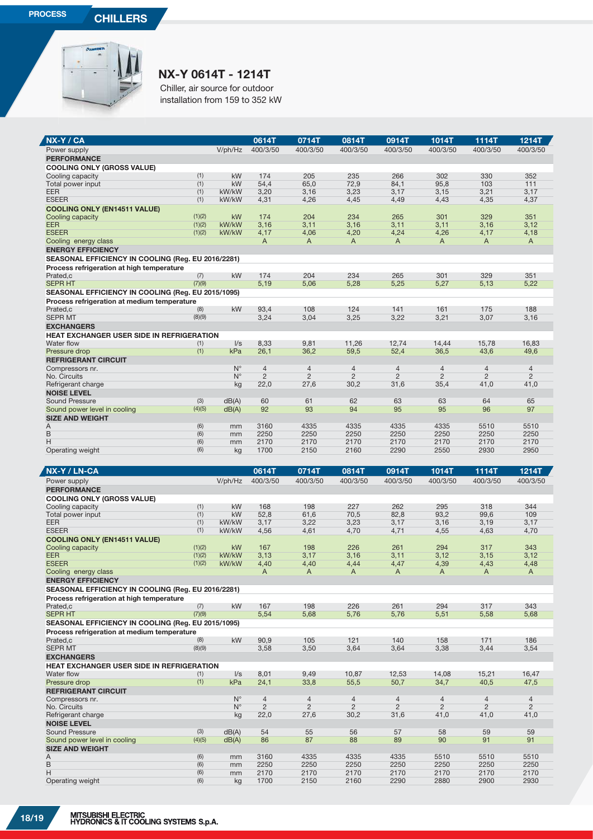J.



## **NX-Y 0614T - 1214T**

Chiller, air source for outdoor installation from 159 to 352 kW

| NX-Y / CA                                                                                         |                  |                            | 0614T                        | 0714T                            | 0814T                            | 0914T               | 1014T                            | 1114T                            | 1214T                            |
|---------------------------------------------------------------------------------------------------|------------------|----------------------------|------------------------------|----------------------------------|----------------------------------|---------------------|----------------------------------|----------------------------------|----------------------------------|
| Power supply                                                                                      |                  | V/ph/Hz                    | 400/3/50                     | 400/3/50                         | 400/3/50                         | 400/3/50            | 400/3/50                         | 400/3/50                         | 400/3/50                         |
| <b>PERFORMANCE</b>                                                                                |                  |                            |                              |                                  |                                  |                     |                                  |                                  |                                  |
| <b>COOLING ONLY (GROSS VALUE)</b>                                                                 |                  |                            |                              |                                  |                                  |                     |                                  |                                  |                                  |
| Cooling capacity<br>Total power input                                                             | (1)<br>(1)       | kW<br>kW                   | 174<br>54,4                  | 205<br>65,0                      | 235<br>72,9                      | 266<br>84,1         | 302<br>95,8                      | 330<br>103                       | 352<br>111                       |
| <b>EER</b>                                                                                        | (1)              | kW/kW                      | 3,20                         | 3,16                             | 3,23                             | 3,17                | 3,15                             | 3,21                             | 3,17                             |
| <b>ESEER</b>                                                                                      | (1)              | kW/kW                      | 4,31                         | 4,26                             | 4,45                             | 4,49                | 4,43                             | 4,35                             | 4,37                             |
| <b>COOLING ONLY (EN14511 VALUE)</b>                                                               |                  |                            |                              |                                  |                                  |                     |                                  |                                  |                                  |
| Cooling capacity                                                                                  | (1)(2)           | kW                         | 174                          | 204                              | 234                              | 265                 | 301                              | 329                              | 351                              |
| <b>EER</b><br><b>ESEER</b>                                                                        | (1)(2)<br>(1)(2) | kW/kW<br>kW/kW             | 3,16<br>4,17                 | 3,11<br>4,06                     | 3,16<br>4,20                     | 3,11<br>4,24        | 3,11<br>4,26                     | 3,16<br>4,17                     | 3,12<br>4,18                     |
| Cooling energy class                                                                              |                  |                            | A                            | A                                | A                                | A                   | A                                | A                                | A                                |
| <b>ENERGY EFFICIENCY</b>                                                                          |                  |                            |                              |                                  |                                  |                     |                                  |                                  |                                  |
| SEASONAL EFFICIENCY IN COOLING (Reg. EU 2016/2281)                                                |                  |                            |                              |                                  |                                  |                     |                                  |                                  |                                  |
| Process refrigeration at high temperature                                                         |                  |                            |                              |                                  |                                  |                     |                                  |                                  |                                  |
| Prated,c                                                                                          | (7)              | kW                         | 174                          | 204                              | 234                              | 265                 | 301                              | 329                              | 351                              |
| <b>SEPR HT</b>                                                                                    | (7)(9)           |                            | 5,19                         | 5,06                             | 5,28                             | 5,25                | 5,27                             | 5,13                             | 5,22                             |
| SEASONAL EFFICIENCY IN COOLING (Reg. EU 2015/1095)<br>Process refrigeration at medium temperature |                  |                            |                              |                                  |                                  |                     |                                  |                                  |                                  |
| Prated,c                                                                                          | (8)              | kW                         | 93,4                         | 108                              | 124                              | 141                 | 161                              | 175                              | 188                              |
| <b>SEPR MT</b>                                                                                    | (8)(9)           |                            | 3,24                         | 3,04                             | 3,25                             | 3,22                | 3,21                             | 3,07                             | 3,16                             |
| <b>EXCHANGERS</b>                                                                                 |                  |                            |                              |                                  |                                  |                     |                                  |                                  |                                  |
| HEAT EXCHANGER USER SIDE IN REFRIGERATION                                                         |                  |                            |                              |                                  |                                  |                     |                                  |                                  |                                  |
| Water flow<br>Pressure drop                                                                       | (1)<br>(1)       | $\sqrt{s}$<br>kPa          | 8,33<br>26,1                 | 9,81<br>36,2                     | 11,26<br>59,5                    | 12,74<br>52,4       | 14,44<br>36,5                    | 15,78<br>43,6                    | 16,83<br>49,6                    |
| <b>REFRIGERANT CIRCUIT</b>                                                                        |                  |                            |                              |                                  |                                  |                     |                                  |                                  |                                  |
| Compressors nr.                                                                                   |                  | $N^{\circ}$                | $\overline{4}$               | $\overline{4}$                   | $\overline{4}$                   | 4                   | $\overline{4}$                   | $\overline{4}$                   | $\overline{4}$                   |
| No. Circuits                                                                                      |                  | $N^{\circ}$                | $\overline{c}$               | $\overline{2}$                   | $\overline{2}$                   | $\overline{c}$      | $\overline{2}$                   | $\overline{2}$                   | $\overline{2}$                   |
| Refrigerant charge                                                                                |                  | kg                         | 22,0                         | 27,6                             | 30,2                             | 31,6                | 35,4                             | 41,0                             | 41,0                             |
| <b>NOISE LEVEL</b>                                                                                |                  |                            |                              |                                  |                                  |                     |                                  |                                  |                                  |
| Sound Pressure<br>Sound power level in cooling                                                    | (3)<br>(4)(5)    | dB(A)<br>dB(A)             | 60<br>92                     | 61<br>93                         | 62<br>94                         | 63<br>95            | 63<br>95                         | 64<br>96                         | 65<br>97                         |
| <b>SIZE AND WEIGHT</b>                                                                            |                  |                            |                              |                                  |                                  |                     |                                  |                                  |                                  |
| Α                                                                                                 | (6)              | mm                         | 3160                         | 4335                             | 4335                             | 4335                | 4335                             | 5510                             | 5510                             |
| B                                                                                                 | (6)              | mm                         | 2250                         | 2250                             | 2250                             | 2250                | 2250                             | 2250                             | 2250                             |
| H                                                                                                 | (6)<br>(6)       | mm                         | 2170                         | 2170                             | 2170                             | 2170<br>2290        | 2170                             | 2170<br>2930                     | 2170<br>2950                     |
| Operating weight                                                                                  |                  | kg                         | 1700                         | 2150                             | 2160                             |                     | 2550                             |                                  |                                  |
|                                                                                                   |                  |                            |                              |                                  |                                  |                     |                                  |                                  |                                  |
|                                                                                                   |                  |                            |                              |                                  |                                  |                     |                                  |                                  |                                  |
| NX-Y / LN-CA                                                                                      |                  |                            | 0614T                        | 0714T                            | 0814T                            | 0914T               | 1014T                            | 1114T                            | <b>1214T</b>                     |
| Power supply                                                                                      |                  | V/ph/Hz                    | 400/3/50                     | 400/3/50                         | 400/3/50                         | 400/3/50            | 400/3/50                         | 400/3/50                         | 400/3/50                         |
| <b>PERFORMANCE</b><br><b>COOLING ONLY (GROSS VALUE)</b>                                           |                  |                            |                              |                                  |                                  |                     |                                  |                                  |                                  |
| Cooling capacity                                                                                  | (1)              | kW                         | 168                          | 198                              | 227                              | 262                 | 295                              | 318                              | 344                              |
| Total power input                                                                                 | (1)              | kW                         | 52,8                         | 61,6                             | 70,5                             | 82,8                | 93,2                             | 99,6                             | 109                              |
| <b>EER</b>                                                                                        | (1)              | kW/kW                      | 3,17                         | 3,22                             | 3,23                             | 3,17                | 3,16                             | 3,19                             | 3,17                             |
| <b>ESEER</b>                                                                                      | (1)              | kW/kW                      | 4,56                         | 4,61                             | 4,70                             | 4,71                | 4,55                             | 4,63                             | 4,70                             |
| <b>COOLING ONLY (EN14511 VALUE)</b><br>Cooling capacity                                           | (1)(2)           | kW                         | 167                          | 198                              | 226                              | 261                 | 294                              | 317                              | 343                              |
| <b>EER</b>                                                                                        | (1)(2)           | kW/kW                      | 3,13                         | 3,17                             | 3,16                             | 3,11                | 3,12                             | 3,15                             | 3,12                             |
| <b>ESEER</b>                                                                                      | (1)(2)           | kW/kW                      | 4,40                         | 4,40                             | 4,44                             | 4,47                | 4,39                             | 4,43                             | 4,48                             |
| Cooling energy class                                                                              |                  |                            | A                            | A                                | A                                | A                   | A                                | A                                | A                                |
| <b>ENERGY EFFICIENCY</b>                                                                          |                  |                            |                              |                                  |                                  |                     |                                  |                                  |                                  |
| SEASONAL EFFICIENCY IN COOLING (Reg. EU 2016/2281)                                                |                  |                            |                              |                                  |                                  |                     |                                  |                                  |                                  |
| Process refrigeration at high temperature<br>Prated.c                                             | (7)              | kW                         | 167                          | 198                              | 226                              | 261                 | 294                              | 317                              | 343                              |
| <b>SEPR HT</b>                                                                                    | (7)(9)           |                            | 5,54                         | 5,68                             | 5,76                             | 5,76                | 5,51                             | 5,58                             | 5,68                             |
| SEASONAL EFFICIENCY IN COOLING (Reg. EU 2015/1095)                                                |                  |                            |                              |                                  |                                  |                     |                                  |                                  |                                  |
| Process refrigeration at medium temperature                                                       |                  |                            |                              |                                  |                                  |                     |                                  |                                  |                                  |
| Prated,c<br><b>SEPR MT</b>                                                                        | (8)<br>(8)(9)    | kW                         | 90,9                         | 105                              | 121                              | 140<br>3,64         | 158                              | 171                              | 186                              |
| <b>EXCHANGERS</b>                                                                                 |                  |                            | 3,58                         | 3,50                             | 3,64                             |                     | 3,38                             | 3,44                             | 3,54                             |
| HEAT EXCHANGER USER SIDE IN REFRIGERATION                                                         |                  |                            |                              |                                  |                                  |                     |                                  |                                  |                                  |
| Water flow                                                                                        | (1)              | $\sqrt{s}$                 | 8,01                         | 9,49                             | 10,87                            | 12,53               | 14,08                            | 15,21                            | 16,47                            |
| Pressure drop                                                                                     | (1)              | kPa                        | 24,1                         | 33,8                             | 55,5                             | 50,7                | 34,7                             | 40,5                             | 47,5                             |
| <b>REFRIGERANT CIRCUIT</b>                                                                        |                  |                            |                              |                                  |                                  |                     |                                  |                                  |                                  |
| Compressors nr.<br>No. Circuits                                                                   |                  | $N^{\circ}$<br>$N^{\circ}$ | $\sqrt{4}$<br>$\overline{c}$ | $\overline{4}$<br>$\overline{2}$ | $\overline{4}$<br>$\overline{2}$ | 4<br>$\overline{2}$ | $\overline{4}$<br>$\overline{c}$ | $\overline{4}$<br>$\overline{2}$ | $\overline{4}$<br>$\overline{2}$ |
| Refrigerant charge                                                                                |                  | kg                         | 22,0                         | 27,6                             | 30,2                             | 31,6                | 41,0                             | 41,0                             | 41,0                             |
| <b>NOISE LEVEL</b>                                                                                |                  |                            |                              |                                  |                                  |                     |                                  |                                  |                                  |
| Sound Pressure                                                                                    | (3)              | dB(A)                      | 54                           | 55                               | 56                               | 57                  | 58                               | 59                               | 59                               |
| Sound power level in cooling                                                                      | (4)(5)           | dB(A)                      | 86                           | 87                               | 88                               | 89                  | 90                               | 91                               | 91                               |
| <b>SIZE AND WEIGHT</b><br>Α                                                                       | (6)              | mm                         | 3160                         | 4335                             | 4335                             | 4335                | 5510                             | 5510                             | 5510                             |
| B                                                                                                 | (6)              | mm                         | 2250                         | 2250                             | 2250                             | 2250                | 2250                             | 2250                             | 2250                             |
| Н<br>Operating weight                                                                             | (6)<br>(6)       | mm<br>kg                   | 2170<br>1700                 | 2170<br>2150                     | 2170<br>2160                     | 2170<br>2290        | 2170<br>2880                     | 2170<br>2900                     | 2170<br>2930                     |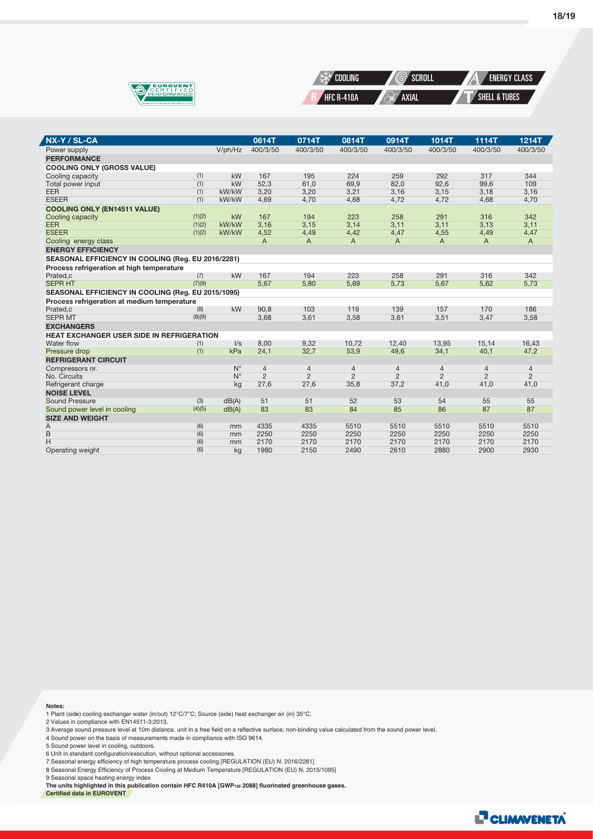



| NX-Y / SL-CA                                       |        |             | 0614T          | 0714T          | 0814T          | 0914T          | 1014T          | 1114T          | <b>1214T</b>   |
|----------------------------------------------------|--------|-------------|----------------|----------------|----------------|----------------|----------------|----------------|----------------|
| Power supply                                       |        | V/ph/Hz     | 400/3/50       | 400/3/50       | 400/3/50       | 400/3/50       | 400/3/50       | 400/3/50       | 400/3/50       |
| <b>PERFORMANCE</b>                                 |        |             |                |                |                |                |                |                |                |
| <b>COOLING ONLY (GROSS VALUE)</b>                  |        |             |                |                |                |                |                |                |                |
| Cooling capacity                                   | (1)    | kW          | 167            | 195            | 224            | 259            | 292            | 317            | 344            |
| Total power input                                  | (1)    | kW          | 52,3           | 61,0           | 69,9           | 82,0           | 92,6           | 99,6           | 109            |
| <b>EER</b>                                         | (1)    | kW/kW       | 3,20           | 3,20           | 3,21           | 3,16           | 3,15           | 3,18           | 3,16           |
| <b>ESEER</b>                                       | (1)    | kW/kW       | 4,69           | 4,70           | 4,68           | 4,72           | 4,72           | 4,68           | 4,70           |
| <b>COOLING ONLY (EN14511 VALUE)</b>                |        |             |                |                |                |                |                |                |                |
| Cooling capacity                                   | (1)(2) | kW          | 167            | 194            | 223            | 258            | 291            | 316            | 342            |
| <b>EER</b>                                         | (1)(2) | kW/kW       | 3,16           | 3,15           | 3,14           | 3,11           | 3,11           | 3,13           | 3,11           |
| <b>ESEER</b>                                       | (1)(2) | kW/kW       | 4,52           | 4,49           | 4,42           | 4,47           | 4,55           | 4,49           | 4,47           |
| Cooling energy class                               |        |             | A              | A              | $\mathsf{A}$   | A              | A              | $\overline{A}$ | $\overline{A}$ |
| <b>ENERGY EFFICIENCY</b>                           |        |             |                |                |                |                |                |                |                |
| SEASONAL EFFICIENCY IN COOLING (Reg. EU 2016/2281) |        |             |                |                |                |                |                |                |                |
| Process refrigeration at high temperature          |        |             |                |                |                |                |                |                |                |
| Prated,c                                           | (7)    | kW          | 167            | 194            | 223            | 258            | 291            | 316            | 342            |
| <b>SEPR HT</b>                                     | (7)(9) |             | 5,67           | 5,80           | 5,69           | 5,73           | 5,67           | 5,62           | 5,73           |
| SEASONAL EFFICIENCY IN COOLING (Reg. EU 2015/1095) |        |             |                |                |                |                |                |                |                |
| Process refrigeration at medium temperature        |        |             |                |                |                |                |                |                |                |
| Prated.c                                           | (8)    | kW          | 90.8           | 103            | 119            | 139            | 157            | 170            | 186            |
| <b>SEPR MT</b>                                     | (8)(9) |             | 3,68           | 3,61           | 3,58           | 3,61           | 3,51           | 3,47           | 3,58           |
| <b>EXCHANGERS</b>                                  |        |             |                |                |                |                |                |                |                |
| <b>HEAT EXCHANGER USER SIDE IN REFRIGERATION</b>   |        |             |                |                |                |                |                |                |                |
| Water flow                                         | (1)    | $\sqrt{s}$  | 8,00           | 9,32           | 10.72          | 12,40          | 13,95          | 15,14          | 16,43          |
| Pressure drop                                      | (1)    | kPa         | 24,1           | 32,7           | 53,9           | 49,6           | 34,1           | 40,1           | 47,2           |
| <b>REFRIGERANT CIRCUIT</b>                         |        |             |                |                |                |                |                |                |                |
| Compressors nr.                                    |        | $N^{\circ}$ | $\overline{4}$ | $\overline{4}$ | 4              | 4              | $\overline{4}$ | $\overline{4}$ | $\overline{4}$ |
| No. Circuits                                       |        | $N^{\circ}$ | $\overline{2}$ | $\overline{2}$ | $\overline{2}$ | $\overline{2}$ | $\overline{2}$ | $\overline{2}$ | $\overline{2}$ |
| Refrigerant charge                                 |        | kg          | 27,6           | 27,6           | 35,8           | 37,2           | 41,0           | 41,0           | 41,0           |
| <b>NOISE LEVEL</b>                                 |        |             |                |                |                |                |                |                |                |
| Sound Pressure                                     | (3)    | dB(A)       | 51             | 51             | 52             | 53             | 54             | 55             | 55             |
| Sound power level in cooling                       | (4)(5) | dB(A)       | 83             | 83             | 84             | 85             | 86             | 87             | 87             |
| <b>SIZE AND WEIGHT</b>                             |        |             |                |                |                |                |                |                |                |
| Α                                                  | (6)    | mm          | 4335           | 4335           | 5510           | 5510           | 5510           | 5510           | 5510           |
| B                                                  | (6)    | mm          | 2250           | 2250           | 2250           | 2250           | 2250           | 2250           | 2250           |
| H                                                  | (6)    | mm          | 2170           | 2170           | 2170           | 2170           | 2170           | 2170           | 2170           |
| Operating weight                                   | (6)    | kg          | 1980           | 2150           | 2490           | 2610           | 2880           | 2900           | 2930           |

**Notes:**

Z

1 Plant (side) cooling exchanger water (in/out) 12°C/7°C; Source (side) heat exchanger air (in) 35°C.

2 Values in compliance with EN14511-3:2013.

3 Average sound pressure level at 10m distance, unit in a free field on a reflective surface; non-binding value calculated from the sound power level.

4 Sound power on the basis of measurements made in compliance with ISO 9614.

5 Sound power level in cooling, outdoors.

6 Unit in standard configuration/execution, without optional accessories.<br>7 Seasonal energy efficiency of high temperature process cooling [REGULATION (EU) N. 2016/2281]<br>8 Seasonal Energy Efficiency of Process Cooling at M

9 Seasonal space heating energy index

**The units highlighted in this publication contain HFC R410A [GWP100 2088] fluorinated greenhouse gases. Certified data in EUROVENT**

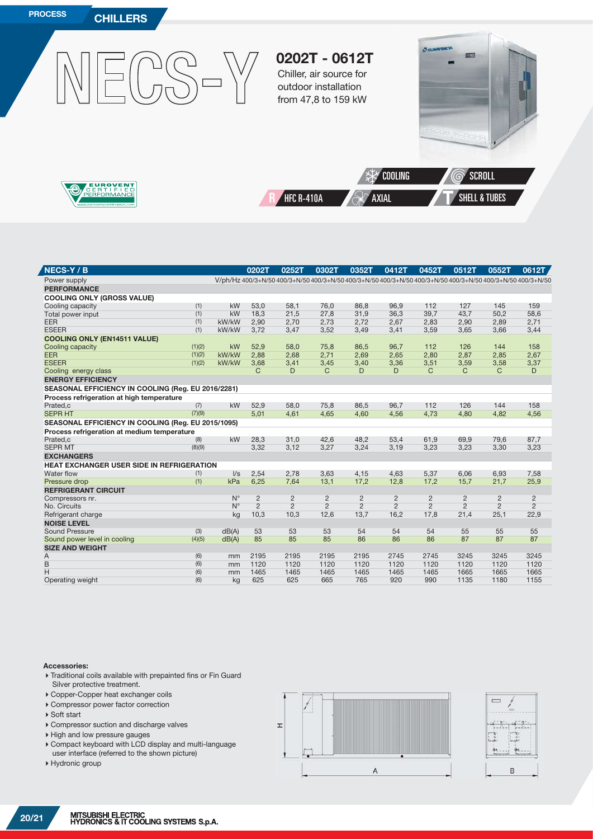

| <b>NECS-Y/B</b>                                    |        |             | 0202T          | 0252T          | 0302T                                                                                                                 | 0352T          | 0412T          | 0452T          | 0512T          | 0552T          | 0612T          |
|----------------------------------------------------|--------|-------------|----------------|----------------|-----------------------------------------------------------------------------------------------------------------------|----------------|----------------|----------------|----------------|----------------|----------------|
| Power supply                                       |        |             |                |                | V/ph/Hz 400/3+N/50 400/3+N/50 400/3+N/50 400/3+N/50 400/3+N/50 400/3+N/50 400/3+N/50 400/3+N/50 400/3+N/50 400/3+N/50 |                |                |                |                |                |                |
| <b>PERFORMANCE</b>                                 |        |             |                |                |                                                                                                                       |                |                |                |                |                |                |
| <b>COOLING ONLY (GROSS VALUE)</b>                  |        |             |                |                |                                                                                                                       |                |                |                |                |                |                |
| Cooling capacity                                   | (1)    | kW          | 53.0           | 58.1           | 76.0                                                                                                                  | 86.8           | 96.9           | 112            | 127            | 145            | 159            |
| Total power input                                  | (1)    | kW          | 18,3           | 21,5           | 27,8                                                                                                                  | 31,9           | 36,3           | 39,7           | 43,7           | 50,2           | 58,6           |
| <b>EER</b>                                         | (1)    | kW/kW       | 2,90           | 2,70           | 2,73                                                                                                                  | 2,72           | 2,67           | 2,83           | 2,90           | 2,89           | 2,71           |
| <b>ESEER</b>                                       | (1)    | kW/kW       | 3,72           | 3,47           | 3,52                                                                                                                  | 3,49           | 3,41           | 3,59           | 3,65           | 3,66           | 3,44           |
| <b>COOLING ONLY (EN14511 VALUE)</b>                |        |             |                |                |                                                                                                                       |                |                |                |                |                |                |
| Cooling capacity                                   | (1)(2) | kW          | 52.9           | 58.0           | 75.8                                                                                                                  | 86.5           | 96.7           | 112            | 126            | 144            | 158            |
| <b>EER</b>                                         | (1)(2) | kW/kW       | 2,88           | 2,68           | 2,71                                                                                                                  | 2,69           | 2,65           | 2,80           | 2,87           | 2,85           | 2,67           |
| <b>ESEER</b>                                       | (1)(2) | kW/kW       | 3,68           | 3,41           | 3,45                                                                                                                  | 3,40           | 3,36           | 3,51           | 3,59           | 3,58           | 3,37           |
| Cooling energy class                               |        |             | C              | D              | C                                                                                                                     | D              | D              | C              | C.             | C              | D              |
| <b>ENERGY EFFICIENCY</b>                           |        |             |                |                |                                                                                                                       |                |                |                |                |                |                |
| SEASONAL EFFICIENCY IN COOLING (Reg. EU 2016/2281) |        |             |                |                |                                                                                                                       |                |                |                |                |                |                |
| Process refrigeration at high temperature          |        |             |                |                |                                                                                                                       |                |                |                |                |                |                |
| Prated,c                                           | (7)    | kW          | 52,9           | 58,0           | 75,8                                                                                                                  | 86,5           | 96.7           | 112            | 126            | 144            | 158            |
| <b>SEPR HT</b>                                     | (7)(9) |             | 5,01           | 4,61           | 4,65                                                                                                                  | 4,60           | 4,56           | 4,73           | 4,80           | 4,82           | 4,56           |
| SEASONAL EFFICIENCY IN COOLING (Reg. EU 2015/1095) |        |             |                |                |                                                                                                                       |                |                |                |                |                |                |
| Process refrigeration at medium temperature        |        |             |                |                |                                                                                                                       |                |                |                |                |                |                |
| Prated.c                                           | (8)    | kW          | 28,3           | 31,0           | 42,6                                                                                                                  | 48,2           | 53,4           | 61,9           | 69,9           | 79,6           | 87,7           |
| <b>SEPR MT</b>                                     | (8)(9) |             | 3,32           | 3,12           | 3,27                                                                                                                  | 3,24           | 3,19           | 3,23           | 3,23           | 3,30           | 3,23           |
| <b>EXCHANGERS</b>                                  |        |             |                |                |                                                                                                                       |                |                |                |                |                |                |
| <b>HEAT EXCHANGER USER SIDE IN REFRIGERATION</b>   |        |             |                |                |                                                                                                                       |                |                |                |                |                |                |
| Water flow                                         | (1)    | $\sqrt{s}$  | 2,54           | 2,78           | 3.63                                                                                                                  | 4,15           | 4.63           | 5,37           | 6.06           | 6,93           | 7,58           |
| Pressure drop                                      | (1)    | kPa         | 6.25           | 7,64           | 13.1                                                                                                                  | 17.2           | 12.8           | 17.2           | 15.7           | 21.7           | 25,9           |
| <b>REFRIGERANT CIRCUIT</b>                         |        |             |                |                |                                                                                                                       |                |                |                |                |                |                |
| Compressors nr.                                    |        | $N^{\circ}$ | $\overline{2}$ | $\overline{2}$ | 2                                                                                                                     | $\overline{2}$ | 2              | 2              | 2              | $\overline{2}$ | $\overline{c}$ |
| No. Circuits                                       |        | $N^{\circ}$ | $\overline{2}$ | $\overline{2}$ | 2                                                                                                                     | $\overline{2}$ | $\overline{2}$ | $\overline{2}$ | $\overline{2}$ | $\overline{2}$ | $\overline{2}$ |
| Refrigerant charge                                 |        | kg          | 10,3           | 10,3           | 12,6                                                                                                                  | 13,7           | 16,2           | 17,8           | 21,4           | 25,1           | 22,9           |
| <b>NOISE LEVEL</b>                                 |        |             |                |                |                                                                                                                       |                |                |                |                |                |                |
| <b>Sound Pressure</b>                              | (3)    | dB(A)       | 53             | 53             | 53                                                                                                                    | 54             | 54             | 54             | 55             | 55             | 55             |
| Sound power level in cooling                       | (4)(5) | dB(A)       | 85             | 85             | 85                                                                                                                    | 86             | 86             | 86             | 87             | 87             | 87             |
| <b>SIZE AND WEIGHT</b>                             |        |             |                |                |                                                                                                                       |                |                |                |                |                |                |
| Α                                                  | (6)    | mm          | 2195           | 2195           | 2195                                                                                                                  | 2195           | 2745           | 2745           | 3245           | 3245           | 3245           |
| B                                                  | (6)    | mm          | 1120           | 1120           | 1120                                                                                                                  | 1120           | 1120           | 1120           | 1120           | 1120           | 1120           |
| H                                                  | (6)    | mm          | 1465           | 1465           | 1465                                                                                                                  | 1465           | 1465           | 1465           | 1665           | 1665           | 1665           |
| Operating weight                                   | (6)    | kg          | 625            | 625            | 665                                                                                                                   | 765            | 920            | 990            | 1135           | 1180           | 1155           |

#### **Accessories:**

- Traditional coils available with prepainted fins or Fin Guard Silver protective treatment.
- Copper-Copper heat exchanger coils
- Compressor power factor correction
- ▶ Soft start
- Compressor suction and discharge valves
- High and low pressure gauges
- Compact keyboard with LCD display and multi-language
- user interface (referred to the shown picture)
- Hydronic group

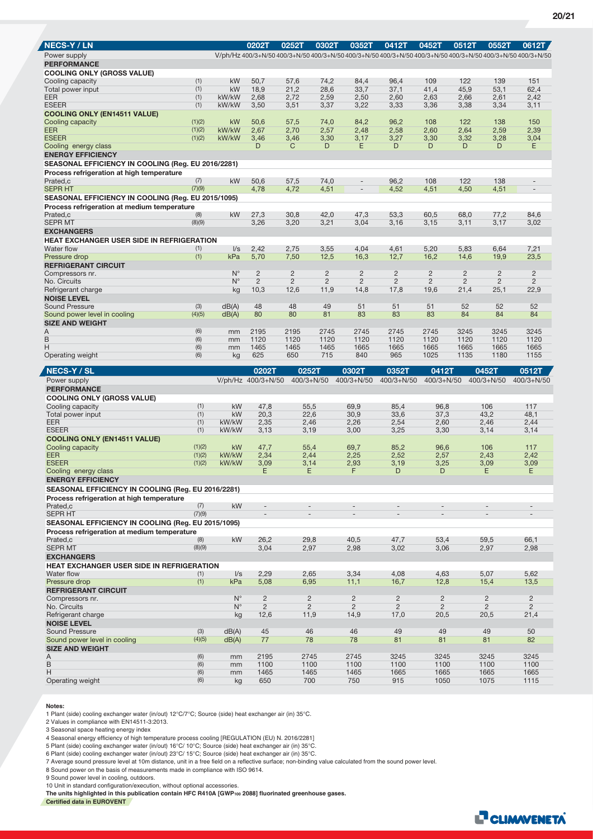| <b>NECS-Y / LN</b>                                    |                  |                            | 0202T                            | 0252T          | 0302T                            | 0352T                            | 0412T                                                                                                                 | 0452T                            | 0512T          | 0552T                            | 0612T                            |
|-------------------------------------------------------|------------------|----------------------------|----------------------------------|----------------|----------------------------------|----------------------------------|-----------------------------------------------------------------------------------------------------------------------|----------------------------------|----------------|----------------------------------|----------------------------------|
|                                                       |                  |                            |                                  |                |                                  |                                  |                                                                                                                       |                                  |                |                                  |                                  |
| Power supply<br><b>PERFORMANCE</b>                    |                  |                            |                                  |                |                                  |                                  | V/ph/Hz 400/3+N/50 400/3+N/50 400/3+N/50 400/3+N/50 400/3+N/50 400/3+N/50 400/3+N/50 400/3+N/50 400/3+N/50 400/3+N/50 |                                  |                |                                  |                                  |
| <b>COOLING ONLY (GROSS VALUE)</b>                     |                  |                            |                                  |                |                                  |                                  |                                                                                                                       |                                  |                |                                  |                                  |
| Cooling capacity                                      | (1)              | kW                         | 50,7                             | 57,6           | 74,2                             | 84,4                             | 96,4                                                                                                                  | 109                              | 122            | 139                              | 151                              |
| Total power input                                     | (1)              | kW                         | 18,9                             | 21,2           | 28,6                             | 33,7                             | 37,1                                                                                                                  | 41,4                             | 45,9           | 53,1                             | 62,4                             |
| <b>EER</b>                                            | (1)              | kW/kW                      | 2,68                             | 2,72           | 2,59                             | 2,50                             | 2,60                                                                                                                  | 2,63                             | 2,66           | 2,61                             | 2,42                             |
| <b>ESEER</b>                                          | (1)              | kW/kW                      | 3,50                             | 3,51           | 3,37                             | 3,22                             | 3,33                                                                                                                  | 3,36                             | 3,38           | 3,34                             | 3,11                             |
| <b>COOLING ONLY (EN14511 VALUE)</b>                   |                  | kW                         |                                  |                |                                  |                                  |                                                                                                                       | 108                              | 122            | 138                              | 150                              |
| Cooling capacity<br><b>EER</b>                        | (1)(2)<br>(1)(2) | kW/kW                      | 50,6<br>2,67                     | 57,5<br>2,70   | 74,0<br>2,57                     | 84,2<br>2,48                     | 96,2<br>2,58                                                                                                          | 2,60                             | 2,64           | 2,59                             | 2,39                             |
| <b>ESEER</b>                                          | (1)(2)           | kW/kW                      | 3,46                             | 3,46           | 3,30                             | 3,17                             | 3,27                                                                                                                  | 3,30                             | 3,32           | 3,28                             | 3,04                             |
| Cooling energy class                                  |                  |                            | D                                | C              | D                                | E.                               | D                                                                                                                     | D                                | D              | D                                | Ε                                |
| <b>ENERGY EFFICIENCY</b>                              |                  |                            |                                  |                |                                  |                                  |                                                                                                                       |                                  |                |                                  |                                  |
| SEASONAL EFFICIENCY IN COOLING (Reg. EU 2016/2281)    |                  |                            |                                  |                |                                  |                                  |                                                                                                                       |                                  |                |                                  |                                  |
| Process refrigeration at high temperature             |                  |                            |                                  |                |                                  |                                  |                                                                                                                       |                                  |                |                                  |                                  |
| Prated,c                                              | (7)              | kW                         | 50,6                             | 57,5           | 74,0                             | $\overline{a}$                   | 96,2                                                                                                                  | 108                              | 122            | 138                              | $\overline{a}$                   |
| <b>SEPR HT</b>                                        | (7)(9)           |                            | 4,78                             | 4,72           | 4,51                             | $\overline{\phantom{a}}$         | 4,52                                                                                                                  | 4,51                             | 4,50           | 4,51                             | $\overline{\phantom{a}}$         |
| SEASONAL EFFICIENCY IN COOLING (Reg. EU 2015/1095)    |                  |                            |                                  |                |                                  |                                  |                                                                                                                       |                                  |                |                                  |                                  |
| Process refrigeration at medium temperature           |                  |                            |                                  |                |                                  |                                  |                                                                                                                       |                                  |                |                                  |                                  |
| Prated,c                                              | (8)              | kW                         | 27,3                             | 30,8           | 42,0                             | 47,3                             | 53,3                                                                                                                  | 60.5                             | 68,0           | 77,2                             | 84,6                             |
| <b>SEPR MT</b>                                        | (8)(9)           |                            | 3,26                             | 3,20           | 3,21                             | 3,04                             | 3,16                                                                                                                  | 3,15                             | 3,11           | 3,17                             | 3,02                             |
| <b>EXCHANGERS</b>                                     |                  |                            |                                  |                |                                  |                                  |                                                                                                                       |                                  |                |                                  |                                  |
| <b>HEAT EXCHANGER USER SIDE IN REFRIGERATION</b>      |                  |                            |                                  |                |                                  |                                  |                                                                                                                       |                                  |                |                                  |                                  |
| Water flow<br>Pressure drop                           | (1)<br>(1)       | $\sqrt{s}$<br>kPa          | 2,42<br>5,70                     | 2,75<br>7,50   | 3,55<br>12,5                     | 4,04<br>16,3                     | 4,61<br>12,7                                                                                                          | 5,20<br>16,2                     | 5.83<br>14,6   | 6,64<br>19,9                     | 7,21<br>23,5                     |
| <b>REFRIGERANT CIRCUIT</b>                            |                  |                            |                                  |                |                                  |                                  |                                                                                                                       |                                  |                |                                  |                                  |
| Compressors nr.                                       |                  | $N^{\circ}$                | $\overline{2}$                   | $\overline{2}$ | $\overline{2}$                   | $\overline{2}$                   | $\overline{c}$                                                                                                        | $\overline{2}$                   | $\overline{2}$ | $\overline{c}$                   | $\overline{c}$                   |
| No. Circuits                                          |                  | $N^{\circ}$                | $\overline{2}$                   | $\overline{2}$ | $\overline{2}$                   | $\overline{2}$                   | $\overline{2}$                                                                                                        | 2                                | $\overline{2}$ | $\overline{2}$                   | $\overline{2}$                   |
| Refrigerant charge                                    |                  | kg                         | 10,3                             | 12,6           | 11,9                             | 14,8                             | 17,8                                                                                                                  | 19,6                             | 21,4           | 25,1                             | 22,9                             |
| <b>NOISE LEVEL</b>                                    |                  |                            |                                  |                |                                  |                                  |                                                                                                                       |                                  |                |                                  |                                  |
| <b>Sound Pressure</b>                                 | (3)              | dB(A)                      | 48                               | 48             | 49                               | 51                               | 51                                                                                                                    | 51                               | 52             | 52                               | 52                               |
| Sound power level in cooling                          | (4)(5)           | dB(A)                      | 80                               | 80             | 81                               | 83                               | 83                                                                                                                    | 83                               | 84             | 84                               | 84                               |
| <b>SIZE AND WEIGHT</b>                                |                  |                            |                                  |                |                                  |                                  |                                                                                                                       |                                  |                |                                  |                                  |
| Α<br>B                                                | (6)<br>(6)       | mm<br>mm                   | 2195<br>1120                     | 2195<br>1120   | 2745<br>1120                     | 2745<br>1120                     | 2745<br>1120                                                                                                          | 2745<br>1120                     | 3245<br>1120   | 3245<br>1120                     | 3245<br>1120                     |
| H                                                     | (6)              | mm                         | 1465                             | 1465           | 1465                             | 1665                             | 1665                                                                                                                  | 1665                             | 1665           | 1665                             | 1665                             |
| Operating weight                                      | (6)              | kg                         | 625                              | 650            | 715                              | 840                              | 965                                                                                                                   | 1025                             | 1135           | 1180                             | 1155                             |
|                                                       |                  |                            |                                  |                |                                  |                                  |                                                                                                                       |                                  |                |                                  |                                  |
|                                                       |                  |                            |                                  |                |                                  |                                  |                                                                                                                       |                                  |                |                                  |                                  |
| <b>NECS-Y/SL</b>                                      |                  |                            | 0202T                            |                | 0252T                            | 0302T                            | 0352T                                                                                                                 | 0412T                            |                | 0452T                            | 0512T                            |
| Power supply                                          |                  |                            | V/ph/Hz 400/3+N/50               |                | $400/3 + N/50$                   | 400/3+N/50                       | $400/3 + N/50$                                                                                                        | $400/3 + N/50$                   |                | $400/3 + N/50$                   | $400/3 + N/50$                   |
| <b>PERFORMANCE</b>                                    |                  |                            |                                  |                |                                  |                                  |                                                                                                                       |                                  |                |                                  |                                  |
| <b>COOLING ONLY (GROSS VALUE)</b>                     |                  |                            |                                  |                |                                  |                                  |                                                                                                                       |                                  |                | 106                              | 117                              |
| Cooling capacity<br>Total power input                 | (1)<br>(1)       | kW<br>kW                   | 47,8<br>20,3                     |                | 55,5<br>22,6                     | 69,9<br>30,9                     | 85,4<br>33,6                                                                                                          | 96,8<br>37,3                     |                | 43,2                             | 48,1                             |
| <b>EER</b>                                            | (1)              | kW/kW                      | 2,35                             |                | 2,46                             | 2,26                             | 2,54                                                                                                                  | 2,60                             |                | 2,46                             | 2,44                             |
| <b>ESEER</b>                                          | (1)              | kW/kW                      | 3,13                             |                | 3,19                             | 3,00                             | 3,25                                                                                                                  | 3,30                             |                | 3,14                             | 3,14                             |
| <b>COOLING ONLY (EN14511 VALUE)</b>                   |                  |                            |                                  |                |                                  |                                  |                                                                                                                       |                                  |                |                                  |                                  |
| Cooling capacity                                      | (1)(2)           | kW                         | 47,7                             |                | 55,4                             | 69,7                             | 85,2                                                                                                                  | 96,6                             |                | 106                              | 117                              |
| <b>EER</b>                                            | (1)(2)           | kW/kW                      | 2,34                             |                | 2,44                             | 2,25                             | 2,52                                                                                                                  | 2,57                             |                | 2,43                             | 2,42                             |
| <b>ESEER</b>                                          | (1)(2)           | kW/kW                      | 3,09                             |                | 3,14                             | 2,93                             | 3,19                                                                                                                  | 3,25                             |                | 3,09                             | 3,09                             |
| Cooling energy class                                  |                  |                            | Е                                |                | E                                | F                                | D                                                                                                                     | D                                |                | E                                | Е                                |
| <b>ENERGY EFFICIENCY</b>                              |                  |                            |                                  |                |                                  |                                  |                                                                                                                       |                                  |                |                                  |                                  |
| SEASONAL EFFICIENCY IN COOLING (Reg. EU 2016/2281)    |                  |                            |                                  |                |                                  |                                  |                                                                                                                       |                                  |                |                                  |                                  |
| Process refrigeration at high temperature<br>Prated,c | (7)              | kW                         |                                  |                |                                  |                                  |                                                                                                                       |                                  |                |                                  |                                  |
| <b>SEPR HT</b>                                        | (7)(9)           |                            | $\qquad \qquad -$                |                |                                  |                                  |                                                                                                                       |                                  |                |                                  | $\overline{\phantom{a}}$         |
| SEASONAL EFFICIENCY IN COOLING (Reg. EU 2015/1095)    |                  |                            |                                  |                |                                  |                                  |                                                                                                                       |                                  |                |                                  |                                  |
| Process refrigeration at medium temperature           |                  |                            |                                  |                |                                  |                                  |                                                                                                                       |                                  |                |                                  |                                  |
| Prated,c                                              | (8)              | kW                         | 26,2                             |                | 29,8                             | 40,5                             | 47,7                                                                                                                  | 53,4                             |                | 59,5                             | 66,1                             |
| <b>SEPR MT</b>                                        | (8)(9)           |                            | 3,04                             |                | 2,97                             | 2,98                             | 3,02                                                                                                                  | 3,06                             |                | 2,97                             | 2,98                             |
| <b>EXCHANGERS</b>                                     |                  |                            |                                  |                |                                  |                                  |                                                                                                                       |                                  |                |                                  |                                  |
| HEAT EXCHANGER USER SIDE IN REFRIGERATION             |                  |                            |                                  |                |                                  |                                  |                                                                                                                       |                                  |                |                                  |                                  |
| Water flow                                            | (1)              | $\mathsf{l}/\mathsf{s}$    | 2,29                             |                | 2,65                             | 3,34                             | 4,08                                                                                                                  | 4,63                             |                | 5,07                             | 5,62                             |
| Pressure drop                                         | (1)              | kPa                        | 5,08                             |                | 6,95                             | 11,1                             | 16,7                                                                                                                  | 12,8                             |                | 15,4                             | 13,5                             |
| <b>REFRIGERANT CIRCUIT</b>                            |                  |                            |                                  |                |                                  |                                  |                                                                                                                       |                                  |                |                                  |                                  |
| Compressors nr.<br>No. Circuits                       |                  | $N^{\circ}$<br>$N^{\circ}$ | $\overline{c}$<br>$\overline{2}$ |                | $\overline{c}$<br>$\overline{2}$ | $\overline{c}$<br>$\overline{2}$ | $\overline{c}$<br>$\overline{2}$                                                                                      | $\overline{c}$<br>$\overline{2}$ |                | $\overline{c}$<br>$\overline{2}$ | $\overline{c}$<br>$\overline{2}$ |
| Refrigerant charge                                    |                  | kg                         | 12,6                             |                | 11,9                             | 14,9                             | 17,0                                                                                                                  | 20,5                             |                | 20,5                             | 21,4                             |
| <b>NOISE LEVEL</b>                                    |                  |                            |                                  |                |                                  |                                  |                                                                                                                       |                                  |                |                                  |                                  |
| Sound Pressure                                        | (3)              | dB(A)                      | 45                               |                | 46                               | 46                               | 49                                                                                                                    | 49                               |                | 49                               | 50                               |
| Sound power level in cooling                          | (4)(5)           | dB(A)                      | 77                               |                | 78                               | 78                               | 81                                                                                                                    | 81                               |                | 81                               | 82                               |
| <b>SIZE AND WEIGHT</b>                                |                  |                            |                                  |                |                                  |                                  |                                                                                                                       |                                  |                |                                  |                                  |
| Α                                                     | (6)              | mm                         | 2195                             |                | 2745                             | 2745                             | 3245                                                                                                                  | 3245                             |                | 3245                             | 3245                             |
| B<br>Н                                                | (6)<br>(6)       | mm<br>mm                   | 1100<br>1465                     |                | 1100<br>1465                     | 1100<br>1465                     | 1100<br>1665                                                                                                          | 1100<br>1665                     |                | 1100<br>1665                     | 1100<br>1665                     |

**Notes:**

1 Plant (side) cooling exchanger water (in/out) 12°C/7°C; Source (side) heat exchanger air (in) 35°C.

2 Values in compliance with EN14511-3:2013.

3 Seasonal space heating energy index

4 Seasonal energy efficiency of high temperature process cooling [REGULATION (EU) N. 2016/2281]

5 Plant (side) cooling exchanger water (in/out) 16°C/ 10°C; Source (side) heat exchanger air (in) 35°C.<br>6 Plant (side) cooling exchanger water (in/out) 23°C/ 15°C; Source (side) heat exchanger air (in) 35°C.<br>7 Average soun

9 Sound power level in cooling, outdoors.

10 Unit in standard configuration/execution, without optional accessories. **The units highlighted in this publication contain HFC R410A [GWP100 2088] fluorinated greenhouse gases. Certified data in EUROVENT**

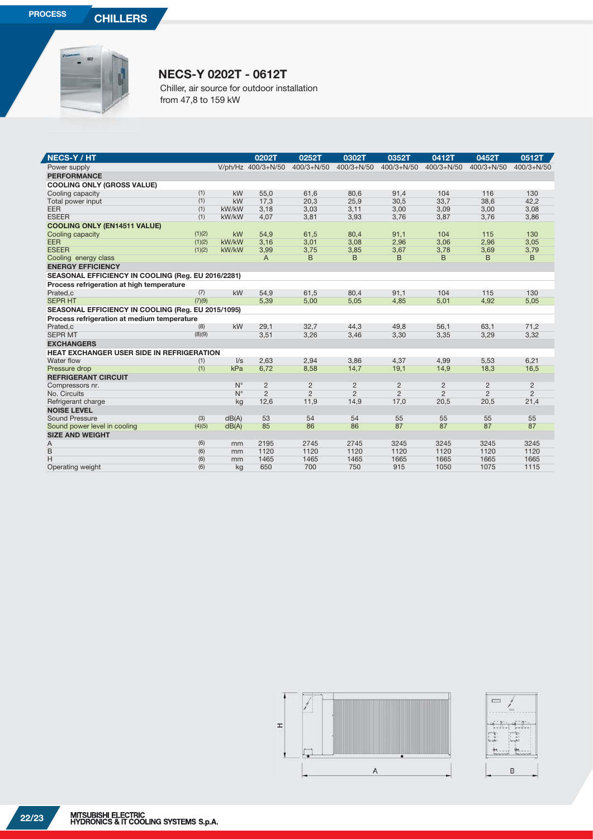

## **NECS-Y 0202T - 0612T**

Chiller, air source for outdoor installation from 47,8 to 159 kW

| <b>NECS-Y/HT</b>                                   |        |             | 0202T              | 0252T          | 0302T          | 0352T          | 0412T          | 0452T          | 0512T          |
|----------------------------------------------------|--------|-------------|--------------------|----------------|----------------|----------------|----------------|----------------|----------------|
| Power supply                                       |        |             | V/ph/Hz 400/3+N/50 | $400/3 + N/50$ | $400/3 + N/50$ | $400/3 + N/50$ | $400/3 + N/50$ | $400/3 + N/50$ | $400/3 + N/50$ |
| <b>PERFORMANCE</b>                                 |        |             |                    |                |                |                |                |                |                |
| <b>COOLING ONLY (GROSS VALUE)</b>                  |        |             |                    |                |                |                |                |                |                |
| Cooling capacity                                   | (1)    | kW          | 55.0               | 61,6           | 80.6           | 91,4           | 104            | 116            | 130            |
| Total power input                                  | (1)    | kW          | 17,3               | 20,3           | 25,9           | 30,5           | 33,7           | 38,6           | 42,2           |
| EER                                                | (1)    | kW/kW       | 3,18               | 3,03           | 3,11           | 3,00           | 3,09           | 3,00           | 3,08           |
| <b>ESEER</b>                                       | (1)    | kW/kW       | 4,07               | 3,81           | 3,93           | 3,76           | 3,87           | 3,76           | 3,86           |
| <b>COOLING ONLY (EN14511 VALUE)</b>                |        |             |                    |                |                |                |                |                |                |
| Cooling capacity                                   | (1)(2) | kW          | 54,9               | 61,5           | 80,4           | 91,1           | 104            | 115            | 130            |
| <b>EER</b>                                         | (1)(2) | kW/kW       | 3,16               | 3,01           | 3,08           | 2,96           | 3,06           | 2,96           | 3,05           |
| <b>ESEER</b>                                       | (1)(2) | kW/kW       | 3,99               | 3,75           | 3,85           | 3,67           | 3,78           | 3,69           | 3,79           |
| Cooling energy class                               |        |             | A                  | B              | B              | B              | B              | B              | B              |
| <b>ENERGY EFFICIENCY</b>                           |        |             |                    |                |                |                |                |                |                |
| SEASONAL EFFICIENCY IN COOLING (Reg. EU 2016/2281) |        |             |                    |                |                |                |                |                |                |
| Process refrigeration at high temperature          |        |             |                    |                |                |                |                |                |                |
| Prated,c                                           | (7)    | kW          | 54,9               | 61,5           | 80.4           | 91,1           | 104            | 115            | 130            |
| <b>SEPR HT</b>                                     | (7)(9) |             | 5,39               | 5,00           | 5,05           | 4,85           | 5,01           | 4,92           | 5,05           |
| SEASONAL EFFICIENCY IN COOLING (Reg. EU 2015/1095) |        |             |                    |                |                |                |                |                |                |
| Process refrigeration at medium temperature        |        |             |                    |                |                |                |                |                |                |
| Prated.c                                           | (8)    | kW          | 29.1               | 32,7           | 44.3           | 49.8           | 56.1           | 63.1           | 71,2           |
| <b>SEPR MT</b>                                     | (8)(9) |             | 3,51               | 3,26           | 3,46           | 3,30           | 3,35           | 3,29           | 3,32           |
| <b>EXCHANGERS</b>                                  |        |             |                    |                |                |                |                |                |                |
| <b>HEAT EXCHANGER USER SIDE IN REFRIGERATION</b>   |        |             |                    |                |                |                |                |                |                |
| Water flow                                         | (1)    | $\sqrt{s}$  | 2,63               | 2,94           | 3,86           | 4,37           | 4,99           | 5,53           | 6,21           |
| Pressure drop                                      | (1)    | kPa         | 6,72               | 8,58           | 14,7           | 19,1           | 14,9           | 18,3           | 16,5           |
| <b>REFRIGERANT CIRCUIT</b>                         |        |             |                    |                |                |                |                |                |                |
| Compressors nr.                                    |        | $N^{\circ}$ | $\overline{2}$     | $\overline{c}$ | $\overline{2}$ | $\overline{c}$ | $\overline{2}$ | $\overline{2}$ | $\overline{c}$ |
| No. Circuits                                       |        | $N^{\circ}$ | $\overline{2}$     | $\overline{2}$ | $\overline{2}$ | $\overline{2}$ | $\overline{2}$ | $\overline{2}$ | $\overline{2}$ |
| Refrigerant charge                                 |        | kg          | 12,6               | 11,9           | 14,9           | 17,0           | 20,5           | 20,5           | 21,4           |
| <b>NOISE LEVEL</b>                                 |        |             |                    |                |                |                |                |                |                |
| Sound Pressure                                     | (3)    | dB(A)       | 53                 | 54             | 54             | 55             | 55             | 55             | 55             |
| Sound power level in cooling                       | (4)(5) | dB(A)       | 85                 | 86             | 86             | 87             | 87             | 87             | 87             |
| <b>SIZE AND WEIGHT</b>                             |        |             |                    |                |                |                |                |                |                |
| A                                                  | (6)    | mm          | 2195               | 2745           | 2745           | 3245           | 3245           | 3245           | 3245           |
| B                                                  | (6)    | mm          | 1120               | 1120           | 1120           | 1120           | 1120           | 1120           | 1120           |
| H                                                  | (6)    | mm          | 1465               | 1465           | 1465           | 1665           | 1665           | 1665           | 1665           |
| Operating weight                                   | (6)    | kg          | 650                | 700            | 750            | 915            | 1050           | 1075           | 1115           |

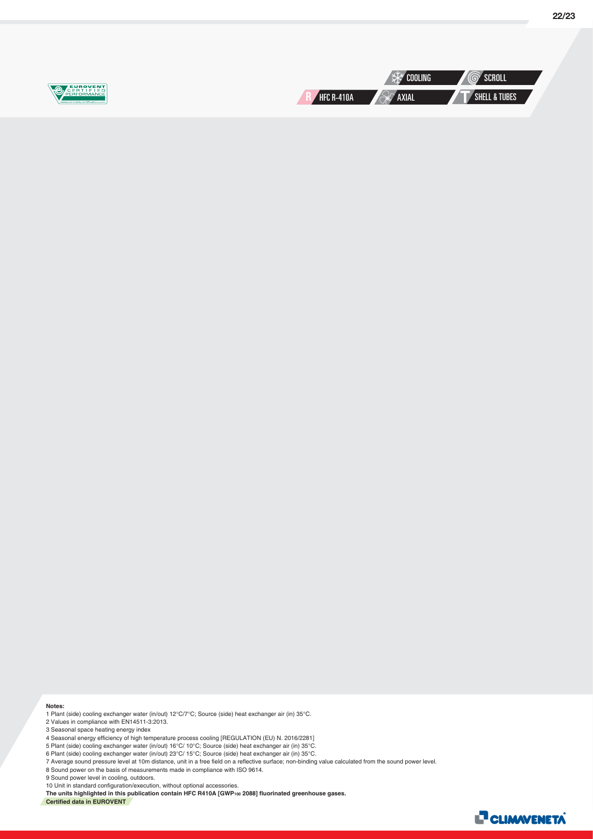

**Notes:**

1 Plant (side) cooling exchanger water (in/out) 12°C/7°C; Source (side) heat exchanger air (in) 35°C.

2 Values in compliance with EN14511-3:2013.

3 Seasonal space heating energy index

4 Seasonal energy efficiency of high temperature process cooling [REGULATION (EU) N. 2016/2281]

5 Plant (side) cooling exchanger water (in/out) 16°C/ 10°C; Source (side) heat exchanger air (in) 35°C.

6 Plant (side) cooling exchanger water (in/out) 23°C/ 15°C; Source (side) heat exchanger air (in) 35°C.

7 Average sound pressure level at 10m distance, unit in a free field on a reflective surface; non-binding value calculated from the sound power level.<br>8 Sound power on the basis of measurements made in compliance with ISO

9 Sound power level in cooling, outdoors.

10 Unit in standard configuration/execution, without optional accessories.

**The units highlighted in this publication contain HFC R410A [GWP100 2088] fluorinated greenhouse gases. Certified data in EUROVENT**

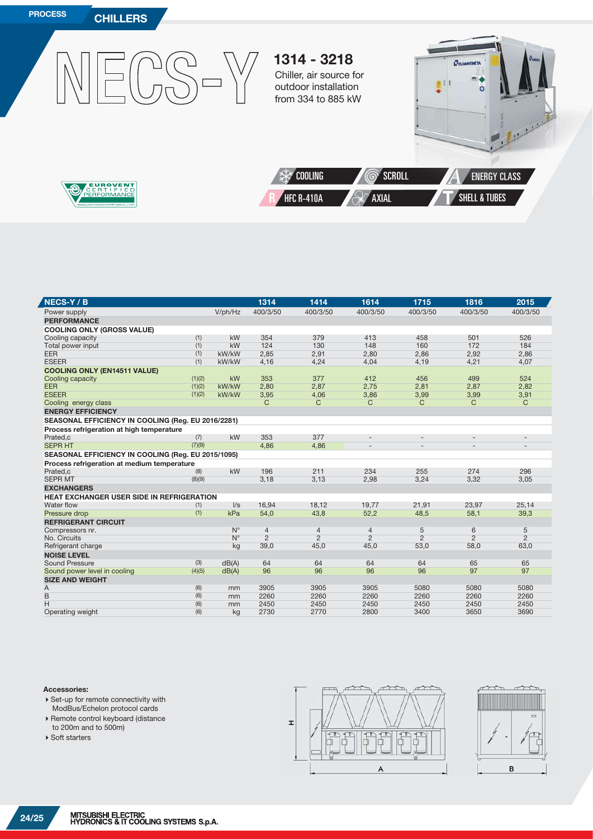

| 400/3/50<br>V/ph/Hz<br>400/3/50<br>400/3/50<br>400/3/50<br>400/3/50<br>Power supply<br><b>PERFORMANCE</b><br><b>COOLING ONLY (GROSS VALUE)</b><br>354<br>(1)<br>kW<br>379<br>413<br>458<br>501<br>Cooling capacity<br>(1)<br>kW<br>124<br>130<br>148<br>160<br>172<br>Total power input<br>(1)<br>2,85<br><b>EER</b><br>kW/kW<br>2,91<br>2,80<br>2,86<br>2,92<br><b>ESEER</b><br>(1)<br>kW/kW<br>4,16<br>4,24<br>4,04<br>4,19<br>4,21<br><b>COOLING ONLY (EN14511 VALUE)</b><br>353<br>499<br>(1)(2)<br>kW<br>377<br>412<br>456<br>Cooling capacity<br>2,75<br><b>EER</b><br>(1)(2)<br>kW/kW<br>2,80<br>2,87<br>2,81<br>2,87<br><b>ESEER</b><br>(1)(2)<br>kW/kW<br>3,95<br>4,06<br>3,86<br>3,99<br>3,99<br>C<br>Cooling energy class<br>C<br>C<br>C<br>C<br><b>ENERGY EFFICIENCY</b><br>SEASONAL EFFICIENCY IN COOLING (Reg. EU 2016/2281) | 400/3/50                 |
|--------------------------------------------------------------------------------------------------------------------------------------------------------------------------------------------------------------------------------------------------------------------------------------------------------------------------------------------------------------------------------------------------------------------------------------------------------------------------------------------------------------------------------------------------------------------------------------------------------------------------------------------------------------------------------------------------------------------------------------------------------------------------------------------------------------------------------------------|--------------------------|
|                                                                                                                                                                                                                                                                                                                                                                                                                                                                                                                                                                                                                                                                                                                                                                                                                                            |                          |
|                                                                                                                                                                                                                                                                                                                                                                                                                                                                                                                                                                                                                                                                                                                                                                                                                                            |                          |
|                                                                                                                                                                                                                                                                                                                                                                                                                                                                                                                                                                                                                                                                                                                                                                                                                                            |                          |
|                                                                                                                                                                                                                                                                                                                                                                                                                                                                                                                                                                                                                                                                                                                                                                                                                                            | 526                      |
|                                                                                                                                                                                                                                                                                                                                                                                                                                                                                                                                                                                                                                                                                                                                                                                                                                            | 184                      |
|                                                                                                                                                                                                                                                                                                                                                                                                                                                                                                                                                                                                                                                                                                                                                                                                                                            | 2,86                     |
|                                                                                                                                                                                                                                                                                                                                                                                                                                                                                                                                                                                                                                                                                                                                                                                                                                            | 4,07                     |
|                                                                                                                                                                                                                                                                                                                                                                                                                                                                                                                                                                                                                                                                                                                                                                                                                                            |                          |
|                                                                                                                                                                                                                                                                                                                                                                                                                                                                                                                                                                                                                                                                                                                                                                                                                                            | 524                      |
|                                                                                                                                                                                                                                                                                                                                                                                                                                                                                                                                                                                                                                                                                                                                                                                                                                            | 2,82                     |
|                                                                                                                                                                                                                                                                                                                                                                                                                                                                                                                                                                                                                                                                                                                                                                                                                                            | 3,91                     |
|                                                                                                                                                                                                                                                                                                                                                                                                                                                                                                                                                                                                                                                                                                                                                                                                                                            | $\mathsf{C}$             |
|                                                                                                                                                                                                                                                                                                                                                                                                                                                                                                                                                                                                                                                                                                                                                                                                                                            |                          |
|                                                                                                                                                                                                                                                                                                                                                                                                                                                                                                                                                                                                                                                                                                                                                                                                                                            |                          |
| Process refrigeration at high temperature                                                                                                                                                                                                                                                                                                                                                                                                                                                                                                                                                                                                                                                                                                                                                                                                  |                          |
| Prated,c<br>kW<br>353<br>377<br>(7)<br>$\overline{\phantom{a}}$<br>$\overline{\phantom{a}}$<br>$\overline{\phantom{a}}$                                                                                                                                                                                                                                                                                                                                                                                                                                                                                                                                                                                                                                                                                                                    | $\overline{\phantom{a}}$ |
| <b>SEPR HT</b><br>(7)(9)<br>4,86<br>4,86<br>$\overline{\phantom{a}}$                                                                                                                                                                                                                                                                                                                                                                                                                                                                                                                                                                                                                                                                                                                                                                       | $\overline{\phantom{a}}$ |
| SEASONAL EFFICIENCY IN COOLING (Reg. EU 2015/1095)                                                                                                                                                                                                                                                                                                                                                                                                                                                                                                                                                                                                                                                                                                                                                                                         |                          |
| Process refrigeration at medium temperature                                                                                                                                                                                                                                                                                                                                                                                                                                                                                                                                                                                                                                                                                                                                                                                                |                          |
| kW<br>196<br>211<br>Prated,c<br>234<br>255<br>274<br>(8)                                                                                                                                                                                                                                                                                                                                                                                                                                                                                                                                                                                                                                                                                                                                                                                   | 296                      |
| <b>SEPR MT</b><br>(8)(9)<br>3,18<br>3,13<br>2,98<br>3,24<br>3,32                                                                                                                                                                                                                                                                                                                                                                                                                                                                                                                                                                                                                                                                                                                                                                           | 3,05                     |
| <b>EXCHANGERS</b>                                                                                                                                                                                                                                                                                                                                                                                                                                                                                                                                                                                                                                                                                                                                                                                                                          |                          |
| <b>HEAT EXCHANGER USER SIDE IN REFRIGERATION</b>                                                                                                                                                                                                                                                                                                                                                                                                                                                                                                                                                                                                                                                                                                                                                                                           |                          |
| 18,12<br>Water flow<br>$\sqrt{s}$<br>16,94<br>19,77<br>21,91<br>23,97<br>(1)                                                                                                                                                                                                                                                                                                                                                                                                                                                                                                                                                                                                                                                                                                                                                               | 25,14                    |
| (1)<br>kPa<br>Pressure drop<br>54,0<br>43,8<br>52,2<br>48,5<br>58,1                                                                                                                                                                                                                                                                                                                                                                                                                                                                                                                                                                                                                                                                                                                                                                        | 39,3                     |
| <b>REFRIGERANT CIRCUIT</b>                                                                                                                                                                                                                                                                                                                                                                                                                                                                                                                                                                                                                                                                                                                                                                                                                 |                          |
| $N^{\circ}$<br>6<br>$\overline{4}$<br>$\overline{4}$<br>$\overline{4}$<br>5<br>Compressors nr.                                                                                                                                                                                                                                                                                                                                                                                                                                                                                                                                                                                                                                                                                                                                             | 5                        |
| $\overline{2}$<br>$\overline{2}$<br>$N^{\circ}$<br>$\overline{2}$<br>$\overline{2}$<br>$\overline{2}$<br>No. Circuits                                                                                                                                                                                                                                                                                                                                                                                                                                                                                                                                                                                                                                                                                                                      | $\overline{2}$           |
| 58,0<br>Refrigerant charge<br>39,0<br>45,0<br>45,0<br>53,0<br>kg                                                                                                                                                                                                                                                                                                                                                                                                                                                                                                                                                                                                                                                                                                                                                                           | 63,0                     |
| <b>NOISE LEVEL</b>                                                                                                                                                                                                                                                                                                                                                                                                                                                                                                                                                                                                                                                                                                                                                                                                                         |                          |
| <b>Sound Pressure</b><br>(3)<br>dB(A)<br>64<br>64<br>64<br>64<br>65                                                                                                                                                                                                                                                                                                                                                                                                                                                                                                                                                                                                                                                                                                                                                                        | 65                       |
| 96<br>96<br>96<br>96<br>97<br>(4)(5)<br>Sound power level in cooling<br>dB(A)                                                                                                                                                                                                                                                                                                                                                                                                                                                                                                                                                                                                                                                                                                                                                              | 97                       |
| <b>SIZE AND WEIGHT</b>                                                                                                                                                                                                                                                                                                                                                                                                                                                                                                                                                                                                                                                                                                                                                                                                                     |                          |
| 3905<br>3905<br>3905<br>5080<br>5080<br>Α<br>(6)<br>mm                                                                                                                                                                                                                                                                                                                                                                                                                                                                                                                                                                                                                                                                                                                                                                                     | 5080                     |
| B<br>(6)<br>2260<br>2260<br>2260<br>2260<br>2260<br>mm                                                                                                                                                                                                                                                                                                                                                                                                                                                                                                                                                                                                                                                                                                                                                                                     | 2260                     |
| H<br>(6)<br>2450<br>2450<br>2450<br>2450<br>2450<br>mm                                                                                                                                                                                                                                                                                                                                                                                                                                                                                                                                                                                                                                                                                                                                                                                     | 2450                     |
| (6)<br>2730<br>2800<br>3650<br>2770<br>3400<br>Operating weight<br>kg                                                                                                                                                                                                                                                                                                                                                                                                                                                                                                                                                                                                                                                                                                                                                                      | 3690                     |

#### **Accessories:**

Ź

- ▶ Set-up for remote connectivity with ModBus/Echelon protocol cards
- Remote control keyboard (distance to 200m and to 500m)
- ▶ Soft starters



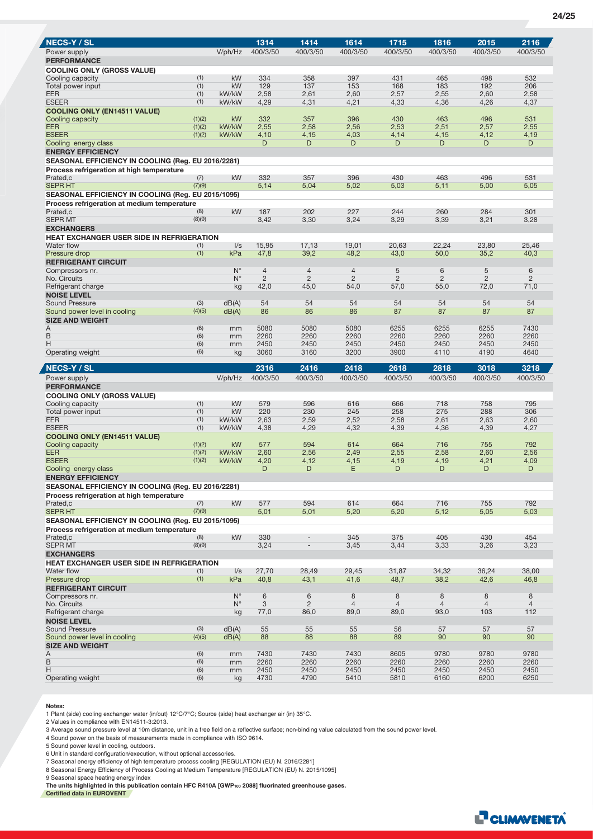| <b>NECS-Y / SL</b>                                    |               |                            | 1314           | 1414                         | 1614                | 1715                | 1816                | 2015                | 2116                |
|-------------------------------------------------------|---------------|----------------------------|----------------|------------------------------|---------------------|---------------------|---------------------|---------------------|---------------------|
| Power supply                                          |               | V/ph/Hz                    | 400/3/50       | 400/3/50                     | 400/3/50            | 400/3/50            | 400/3/50            | 400/3/50            | 400/3/50            |
| <b>PERFORMANCE</b>                                    |               |                            |                |                              |                     |                     |                     |                     |                     |
| <b>COOLING ONLY (GROSS VALUE)</b><br>Cooling capacity | (1)           | kW                         | 334            | 358                          | 397                 | 431                 | 465                 | 498                 | 532                 |
| Total power input                                     | (1)           | kW                         | 129            | 137                          | 153                 | 168                 | 183                 | 192                 | 206                 |
| EER                                                   | (1)           | kW/kW                      | 2,58           | 2,61                         | 2,60                | 2,57                | 2,55                | 2,60                | 2,58                |
| <b>ESEER</b>                                          | (1)           | kW/kW                      | 4,29           | 4,31                         | 4,21                | 4,33                | 4,36                | 4,26                | 4,37                |
| <b>COOLING ONLY (EN14511 VALUE)</b>                   | (1)(2)        | kW                         | 332            | 357                          | 396                 | 430                 |                     | 496                 | 531                 |
| Cooling capacity<br><b>EER</b>                        | (1)(2)        | kW/kW                      | 2,55           | 2,58                         | 2,56                | 2,53                | 463<br>2,51         | 2,57                | 2,55                |
| <b>ESEER</b>                                          | (1)(2)        | kW/kW                      | 4,10           | 4,15                         | 4,03                | 4,14                | 4,15                | 4,12                | 4,19                |
| Cooling energy class                                  |               |                            | D              | D                            | D                   | D                   | D                   | D                   | D                   |
| <b>ENERGY EFFICIENCY</b>                              |               |                            |                |                              |                     |                     |                     |                     |                     |
| SEASONAL EFFICIENCY IN COOLING (Reg. EU 2016/2281)    |               |                            |                |                              |                     |                     |                     |                     |                     |
| Process refrigeration at high temperature             |               |                            |                |                              |                     |                     |                     |                     |                     |
| Prated,c<br><b>SEPR HT</b>                            | (7)<br>(7)(9) | kW                         | 332<br>5,14    | 357<br>5,04                  | 396<br>5,02         | 430<br>5,03         | 463<br>5,11         | 496<br>5,00         | 531<br>5,05         |
| SEASONAL EFFICIENCY IN COOLING (Reg. EU 2015/1095)    |               |                            |                |                              |                     |                     |                     |                     |                     |
| Process refrigeration at medium temperature           |               |                            |                |                              |                     |                     |                     |                     |                     |
| Prated,c                                              | (8)           | kW                         | 187            | 202                          | 227                 | 244                 | 260                 | 284                 | 301                 |
| <b>SEPR MT</b>                                        | (8)(9)        |                            | 3,42           | 3,30                         | 3,24                | 3,29                | 3,39                | 3,21                | 3,28                |
| <b>EXCHANGERS</b>                                     |               |                            |                |                              |                     |                     |                     |                     |                     |
| <b>HEAT EXCHANGER USER SIDE IN REFRIGERATION</b>      |               |                            |                |                              |                     |                     |                     |                     |                     |
| Water flow<br>Pressure drop                           | (1)<br>(1)    | $\sqrt{s}$<br>kPa          | 15,95<br>47,8  | 17,13<br>39,2                | 19,01<br>48,2       | 20.63<br>43,0       | 22,24<br>50,0       | 23.80<br>35,2       | 25,46<br>40,3       |
| <b>REFRIGERANT CIRCUIT</b>                            |               |                            |                |                              |                     |                     |                     |                     |                     |
| Compressors nr.                                       |               | $N^{\circ}$                | $\overline{4}$ | $\overline{4}$               | $\overline{4}$      | 5                   | 6                   | 5                   | 6                   |
| No. Circuits                                          |               | $N^{\circ}$                | $\overline{2}$ | $\overline{2}$               | $\overline{2}$      | $\overline{2}$      | $\overline{2}$      | $\overline{2}$      | $\overline{2}$      |
| Refrigerant charge                                    |               | kg                         | 42,0           | 45,0                         | 54,0                | 57,0                | 55,0                | 72,0                | 71,0                |
| <b>NOISE LEVEL</b><br><b>Sound Pressure</b>           | (3)           |                            | 54             | 54                           | 54                  | 54                  | 54                  | 54                  | 54                  |
| Sound power level in cooling                          | (4)(5)        | dB(A)<br>dB(A)             | 86             | 86                           | 86                  | 87                  | 87                  | 87                  | 87                  |
| <b>SIZE AND WEIGHT</b>                                |               |                            |                |                              |                     |                     |                     |                     |                     |
| A                                                     | (6)           | mm                         | 5080           | 5080                         | 5080                | 6255                | 6255                | 6255                | 7430                |
| B                                                     | (6)           | mm                         | 2260           | 2260                         | 2260                | 2260                | 2260                | 2260                | 2260                |
| Η                                                     | (6)<br>(6)    | mm                         | 2450<br>3060   | 2450<br>3160                 | 2450<br>3200        | 2450<br>3900        | 2450<br>4110        | 2450<br>4190        | 2450<br>4640        |
| Operating weight                                      |               |                            |                |                              |                     |                     |                     |                     |                     |
|                                                       |               | kg                         |                |                              |                     |                     |                     |                     |                     |
| <b>NECS-Y / SL</b>                                    |               |                            | 2316           | 2416                         | 2418                | 2618                | 2818                | 3018                | 3218                |
| Power supply                                          |               | V/ph/Hz                    | 400/3/50       | 400/3/50                     | 400/3/50            | 400/3/50            | 400/3/50            | 400/3/50            | 400/3/50            |
| <b>PERFORMANCE</b>                                    |               |                            |                |                              |                     |                     |                     |                     |                     |
| <b>COOLING ONLY (GROSS VALUE)</b>                     |               |                            |                |                              |                     |                     |                     |                     |                     |
| Cooling capacity                                      | (1)           | kW                         | 579            | 596                          | 616                 | 666                 | 718                 | 758                 | 795                 |
| Total power input                                     | (1)<br>(1)    | kW<br>kW/kW                | 220            | 230                          | 245                 | 258                 | 275                 | 288                 | 306                 |
| <b>EER</b><br><b>ESEER</b>                            | (1)           | kW/kW                      | 2,63<br>4,38   | 2,59<br>4,29                 | 2,52<br>4,32        | 2,58<br>4,39        | 2,61<br>4,36        | 2,63<br>4,39        | 2,60<br>4,27        |
| <b>COOLING ONLY (EN14511 VALUE)</b>                   |               |                            |                |                              |                     |                     |                     |                     |                     |
| Cooling capacity                                      | (1)(2)        | kW                         | 577            | 594                          | 614                 | 664                 | 716                 | 755                 | 792                 |
| <b>EER</b>                                            | (1)(2)        | kW/kW                      | 2,60           | 2,56                         | 2,49                | 2,55                | 2,58                | 2,60                | 2,56                |
| <b>ESEER</b>                                          | (1)(2)        | kW/kW                      | 4,20<br>D      | 4,12<br>D                    | 4,15<br>E.          | 4,19<br>D           | 4,19<br>D           | 4,21<br>D           | 4,09<br>D           |
| Cooling energy class<br><b>ENERGY EFFICIENCY</b>      |               |                            |                |                              |                     |                     |                     |                     |                     |
| SEASONAL EFFICIENCY IN COOLING (Reg. EU 2016/2281)    |               |                            |                |                              |                     |                     |                     |                     |                     |
| Process refrigeration at high temperature             |               |                            |                |                              |                     |                     |                     |                     |                     |
| Prated,c                                              | (7)           | kW                         | 577            | 594                          | 614                 | 664                 | 716                 | 755                 | 792                 |
| <b>SEPR HT</b>                                        | (7)(9)        |                            | 5,01           | 5,01                         | 5,20                | 5,20                | 5,12                | 5,05                | 5,03                |
| SEASONAL EFFICIENCY IN COOLING (Reg. EU 2015/1095)    |               |                            |                |                              |                     |                     |                     |                     |                     |
| Process refrigeration at medium temperature           |               |                            |                |                              |                     |                     |                     |                     | 454                 |
| Prated,c<br><b>SEPR MT</b>                            | (8)<br>(8)(9) | kW                         | 330<br>3,24    | $\qquad \qquad \blacksquare$ | 345<br>3,45         | 375<br>3,44         | 405<br>3,33         | 430<br>3,26         | 3,23                |
| <b>EXCHANGERS</b>                                     |               |                            |                |                              |                     |                     |                     |                     |                     |
| HEAT EXCHANGER USER SIDE IN REFRIGERATION             |               |                            |                |                              |                     |                     |                     |                     |                     |
| Water flow                                            | (1)           | $\sqrt{s}$                 | 27,70          | 28,49                        | 29,45               | 31,87               | 34,32               | 36,24               | 38,00               |
| Pressure drop                                         | (1)           | kPa                        | 40,8           | 43,1                         | 41,6                | 48,7                | 38,2                | 42,6                | 46,8                |
| <b>REFRIGERANT CIRCUIT</b>                            |               |                            |                |                              |                     |                     |                     |                     |                     |
| Compressors nr.<br>No. Circuits                       |               | $N^{\circ}$<br>$N^{\circ}$ | 6<br>3         | 6<br>$\overline{2}$          | 8<br>$\overline{4}$ | 8<br>$\overline{4}$ | 8<br>$\overline{4}$ | 8<br>$\overline{4}$ | 8<br>$\overline{4}$ |
| Refrigerant charge                                    |               | kg                         | 77,0           | 86,0                         | 89,0                | 89,0                | 93,0                | 103                 | 112                 |
| <b>NOISE LEVEL</b>                                    |               |                            |                |                              |                     |                     |                     |                     |                     |
| <b>Sound Pressure</b>                                 | (3)           | dB(A)                      | 55             | 55                           | 55                  | 56                  | 57                  | 57                  | 57                  |
| Sound power level in cooling                          | (4)(5)        | dB(A)                      | 88             | 88                           | 88                  | 89                  | 90                  | 90                  | 90                  |
| <b>SIZE AND WEIGHT</b>                                |               |                            |                |                              |                     |                     |                     |                     |                     |
| Α<br>B                                                | (6)<br>(6)    | mm<br>mm                   | 7430<br>2260   | 7430<br>2260                 | 7430<br>2260        | 8605<br>2260        | 9780<br>2260        | 9780<br>2260        | 9780<br>2260        |
| Η<br>Operating weight                                 | (6)<br>(6)    | mm                         | 2450<br>4730   | 2450<br>4790                 | 2450<br>5410        | 2450<br>5810        | 2450<br>6160        | 2450<br>6200        | 2450<br>6250        |

#### **Notes:**

1 Plant (side) cooling exchanger water (in/out) 12°C/7°C; Source (side) heat exchanger air (in) 35°C.

2 Values in compliance with EN14511-3:2013.

3 Average sound pressure level at 10m distance, unit in a free field on a reflective surface; non-binding value calculated from the sound power level.

4 Sound power on the basis of measurements made in compliance with ISO 9614.

5 Sound power level in cooling, outdoors.

6 Unit in standard configuration/execution, without optional accessories.<br>7 Seasonal energy efficiency of high temperature process cooling [REGULATION (EU) N. 2016/2281]<br>8 Seasonal Energy Efficiency of Process Cooling at M

9 Seasonal space heating energy index

**The units highlighted in this publication contain HFC R410A [GWP100 2088] fluorinated greenhouse gases. Certified data in EUROVENT**

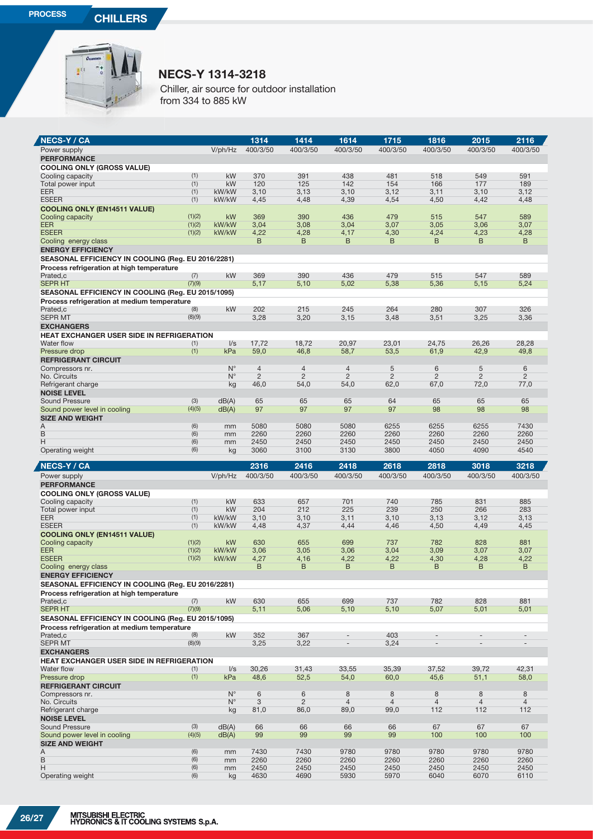

## **NECS-Y 1314-3218 N**

Chiller, air source for outdoor installation C from 334 to 885 kW fr

| <b>NECS-Y / CA</b>                                                    |                  |                                   | 1314                | 1414                    | 1614                      | 1715                | 1816                     | 2015                | 2116                     |
|-----------------------------------------------------------------------|------------------|-----------------------------------|---------------------|-------------------------|---------------------------|---------------------|--------------------------|---------------------|--------------------------|
| Power supply                                                          |                  | V/ph/Hz                           | 400/3/50            | 400/3/50                | 400/3/50                  | 400/3/50            | 400/3/50                 | 400/3/50            | 400/3/50                 |
| <b>PERFORMANCE</b>                                                    |                  |                                   |                     |                         |                           |                     |                          |                     |                          |
| <b>COOLING ONLY (GROSS VALUE)</b>                                     |                  |                                   |                     |                         |                           |                     |                          |                     |                          |
| Cooling capacity                                                      | (1)<br>(1)       | kW<br>kW                          | 370<br>120          | 391<br>125              | 438<br>142                | 481<br>154          | 518<br>166               | 549                 | 591<br>189               |
| Total power input<br><b>EER</b>                                       | (1)              | kW/kW                             | 3,10                | 3,13                    | 3,10                      | 3,12                | 3,11                     | 177<br>3,10         | 3,12                     |
| <b>ESEER</b>                                                          | (1)              | kW/kW                             | 4,45                | 4,48                    | 4,39                      | 4,54                | 4,50                     | 4,42                | 4,48                     |
| <b>COOLING ONLY (EN14511 VALUE)</b>                                   |                  |                                   |                     |                         |                           |                     |                          |                     |                          |
| Cooling capacity                                                      | (1)(2)           | kW                                | 369                 | 390                     | 436                       | 479                 | 515                      | 547                 | 589                      |
| <b>EER</b><br><b>ESEER</b>                                            | (1)(2)<br>(1)(2) | kW/kW<br>kW/kW                    | 3,04                | 3,08                    | 3,04                      | 3,07                | 3,05                     | 3,06                | 3,07                     |
| Cooling energy class                                                  |                  |                                   | 4,22<br>B           | 4,28<br>B               | 4,17<br>B                 | 4,30<br>B           | 4,24<br>B                | 4,23<br>B           | 4,28<br>B                |
| <b>ENERGY EFFICIENCY</b>                                              |                  |                                   |                     |                         |                           |                     |                          |                     |                          |
| SEASONAL EFFICIENCY IN COOLING (Reg. EU 2016/2281)                    |                  |                                   |                     |                         |                           |                     |                          |                     |                          |
| Process refrigeration at high temperature                             |                  |                                   |                     |                         |                           |                     |                          |                     |                          |
| Prated.c<br><b>SEPR HT</b>                                            | (7)<br>(7)(9)    | kW                                | 369                 | 390                     | 436                       | 479                 | 515                      | 547                 | 589                      |
| SEASONAL EFFICIENCY IN COOLING (Reg. EU 2015/1095)                    |                  |                                   | 5,17                | 5,10                    | 5,02                      | 5,38                | 5,36                     | 5,15                | 5,24                     |
| Process refrigeration at medium temperature                           |                  |                                   |                     |                         |                           |                     |                          |                     |                          |
| Prated,c                                                              | (8)              | kW                                | 202                 | 215                     | 245                       | 264                 | 280                      | 307                 | 326                      |
| <b>SEPR MT</b>                                                        | (8)(9)           |                                   | 3,28                | 3,20                    | 3,15                      | 3,48                | 3,51                     | 3,25                | 3,36                     |
| <b>EXCHANGERS</b>                                                     |                  |                                   |                     |                         |                           |                     |                          |                     |                          |
| HEAT EXCHANGER USER SIDE IN REFRIGERATION<br>Water flow               | (1)              | $\sqrt{s}$                        | 17,72               | 18,72                   | 20,97                     | 23,01               | 24,75                    | 26,26               | 28,28                    |
| Pressure drop                                                         | (1)              | kPa                               | 59,0                | 46,8                    | 58,7                      | 53,5                | 61,9                     | 42,9                | 49,8                     |
| <b>REFRIGERANT CIRCUIT</b>                                            |                  |                                   |                     |                         |                           |                     |                          |                     |                          |
| Compressors nr.                                                       |                  | $N^{\circ}$                       | $\overline{4}$      | $\overline{4}$          | $\overline{4}$            | 5                   | 6                        | 5                   | 6                        |
| No. Circuits                                                          |                  | $N^{\circ}$                       | $\overline{2}$      | $\overline{2}$          | $\overline{2}$            | $\overline{2}$      | $\overline{2}$           | $\overline{2}$      | $\overline{2}$           |
| Refrigerant charge<br><b>NOISE LEVEL</b>                              |                  | kg                                | 46,0                | 54,0                    | 54,0                      | 62,0                | 67,0                     | 72,0                | 77,0                     |
| Sound Pressure                                                        | (3)              | dB(A)                             | 65                  | 65                      | 65                        | 64                  | 65                       | 65                  | 65                       |
| Sound power level in cooling                                          | (4)(5)           | dB(A)                             | 97                  | 97                      | 97                        | 97                  | 98                       | 98                  | 98                       |
| <b>SIZE AND WEIGHT</b>                                                |                  |                                   |                     |                         |                           |                     |                          |                     |                          |
| A<br>B                                                                | (6)<br>(6)       | mm<br>mm                          | 5080<br>2260        | 5080<br>2260            | 5080<br>2260              | 6255<br>2260        | 6255<br>2260             | 6255<br>2260        | 7430<br>2260             |
| н                                                                     | (6)              | mm                                | 2450                | 2450                    | 2450                      | 2450                | 2450                     | 2450                | 2450                     |
| Operating weight                                                      | (6)              | kg                                | 3060                | 3100                    | 3130                      | 3800                | 4050                     | 4090                | 4540                     |
|                                                                       |                  |                                   |                     |                         |                           |                     |                          |                     |                          |
|                                                                       |                  |                                   | 2316                |                         | 2418                      | 2618                | 2818                     | 3018                |                          |
| <b>NECS-Y / CA</b><br>Power supply                                    |                  | V/ph/Hz                           | 400/3/50            | 2416<br>400/3/50        | 400/3/50                  | 400/3/50            | 400/3/50                 | 400/3/50            | 3218<br>400/3/50         |
| <b>PERFORMANCE</b>                                                    |                  |                                   |                     |                         |                           |                     |                          |                     |                          |
| <b>COOLING ONLY (GROSS VALUE)</b>                                     |                  |                                   |                     |                         |                           |                     |                          |                     |                          |
| Cooling capacity                                                      | (1)              | kW                                | 633                 | 657                     | 701                       | 740                 | 785                      | 831                 | 885                      |
| Total power input                                                     | (1)              | kW                                | 204                 | 212                     | 225                       | 239                 | 250                      | 266                 | 283                      |
| <b>EER</b><br><b>ESEER</b>                                            | (1)<br>(1)       | kW/kW<br>kW/kW                    | 3,10<br>4,48        | 3,10<br>4,37            | 3,11<br>4,44              | 3,10<br>4,46        | 3,13<br>4,50             | 3,12<br>4,49        | 3,13<br>4,45             |
| <b>COOLING ONLY (EN14511 VALUE)</b>                                   |                  |                                   |                     |                         |                           |                     |                          |                     |                          |
| Cooling capacity                                                      | (1)(2)           | kW                                | 630                 | 655                     | 699                       | 737                 | 782                      | 828                 | 881                      |
| <b>EER</b>                                                            | (1)(2)           | kW/kW                             | 3,06                | 3,05                    | 3,06                      | 3,04                | 3,09                     | 3,07                | 3,07                     |
| <b>ESEER</b><br>Cooling energy class                                  | (1)(2)           | kW/kW                             | 4,27<br>B           | 4,16<br>B               | 4,22<br>B                 | 4,22<br>B           | 4,30<br>B                | 4,28<br>B           | 4,22<br>B                |
| <b>ENERGY EFFICIENCY</b>                                              |                  |                                   |                     |                         |                           |                     |                          |                     |                          |
| SEASONAL EFFICIENCY IN COOLING (Reg. EU 2016/2281)                    |                  |                                   |                     |                         |                           |                     |                          |                     |                          |
| Process refrigeration at high temperature                             |                  |                                   |                     |                         |                           |                     |                          |                     |                          |
| Prated.c<br>SEPR HT                                                   | (7)<br>(7)(9)    | kW                                | 630                 | 655<br>5,06             | 699                       | 737                 | 782                      | 828                 | 881                      |
| SEASONAL EFFICIENCY IN COOLING (Reg. EU 2015/1095)                    |                  |                                   | 5,11                |                         | 5,10                      | 5,10                | 5,07                     | 5,01                | 5,01                     |
| Process refrigeration at medium temperature                           |                  |                                   |                     |                         |                           |                     |                          |                     |                          |
| Prated,c                                                              | (8)              | kW                                | 352                 | 367                     |                           | 403                 |                          |                     |                          |
| <b>SEPR MT</b>                                                        | (8)(9)           |                                   | 3,25                | 3,22                    | $\overline{\phantom{a}}$  | 3,24                | $\overline{\phantom{a}}$ |                     | $\overline{\phantom{a}}$ |
| <b>EXCHANGERS</b><br><b>HEAT EXCHANGER USER SIDE IN REFRIGERATION</b> |                  |                                   |                     |                         |                           |                     |                          |                     |                          |
| Water flow                                                            | (1)              | $\sqrt{s}$                        | 30,26               | 31,43                   | 33,55                     | 35,39               | 37,52                    | 39,72               | 42,31                    |
| Pressure drop                                                         | (1)              | kPa                               | 48,6                | 52,5                    | 54,0                      | 60,0                | 45,6                     | 51,1                | 58,0                     |
| <b>REFRIGERANT CIRCUIT</b>                                            |                  |                                   |                     |                         |                           |                     |                          |                     |                          |
| Compressors nr.<br>No. Circuits                                       |                  | $\mathsf{N}^\circ$<br>$N^{\circ}$ | $6\phantom{1}$<br>3 | $\,6$<br>$\overline{2}$ | $\,8\,$<br>$\overline{4}$ | 8<br>$\overline{4}$ | 8<br>$\overline{4}$      | 8<br>$\overline{4}$ | 8<br>$\overline{4}$      |
| Refrigerant charge                                                    |                  | kg                                | 81,0                | 86,0                    | 89,0                      | 99,0                | 112                      | 112                 | 112                      |
| <b>NOISE LEVEL</b>                                                    |                  |                                   |                     |                         |                           |                     |                          |                     |                          |
| Sound Pressure                                                        | (3)              | dB(A)                             | 66                  | 66                      | 66                        | 66                  | 67                       | 67                  | 67                       |
| Sound power level in cooling                                          | (4)(5)           | dB(A)                             | 99                  | 99                      | 99                        | 99                  | 100                      | 100                 | 100                      |
| <b>SIZE AND WEIGHT</b><br>A                                           | (6)              | mm                                | 7430                | 7430                    | 9780                      | 9780                | 9780                     | 9780                | 9780                     |
| B<br>Н                                                                | (6)<br>(6)       | mm<br>mm                          | 2260<br>2450        | 2260<br>2450            | 2260<br>2450              | 2260<br>2450        | 2260<br>2450             | 2260<br>2450        | 2260<br>2450             |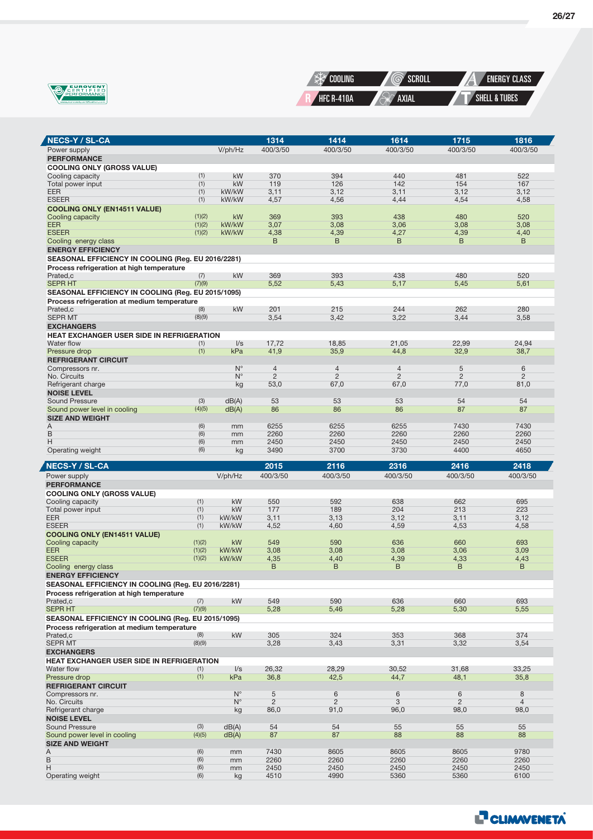

 $\overline{\mathbf{A}}$ 



| <b>NECS-Y / SL-CA</b>                                   |               |                | 1314             | 1414             | 1614             | 1715             | 1816             |
|---------------------------------------------------------|---------------|----------------|------------------|------------------|------------------|------------------|------------------|
| Power supply                                            |               | V/ph/Hz        | 400/3/50         | 400/3/50         | 400/3/50         | 400/3/50         | 400/3/50         |
| <b>PERFORMANCE</b>                                      |               |                |                  |                  |                  |                  |                  |
| <b>COOLING ONLY (GROSS VALUE)</b>                       |               |                |                  |                  |                  |                  |                  |
| Cooling capacity                                        | (1)           | kW             | 370              | 394              | 440              | 481              | 522              |
| Total power input                                       | (1)<br>(1)    | kW<br>kW/kW    | 119              | 126              | 142              | 154              | 167              |
| <b>EER</b><br><b>ESEER</b>                              | (1)           | kW/kW          | 3,11<br>4,57     | 3,12<br>4,56     | 3,11<br>4,44     | 3,12<br>4,54     | 3,12<br>4,58     |
| <b>COOLING ONLY (EN14511 VALUE)</b>                     |               |                |                  |                  |                  |                  |                  |
| Cooling capacity                                        | (1)(2)        | kW             | 369              | 393              | 438              | 480              | 520              |
| <b>EER</b>                                              | (1)(2)        | kW/kW          | 3,07             | 3,08             | 3,06             | 3,08             | 3,08             |
| <b>ESEER</b>                                            | (1)(2)        | kW/kW          | 4,38             | 4,39             | 4,27             | 4,39             | 4,40             |
| Cooling energy class<br><b>ENERGY EFFICIENCY</b>        |               |                | B                | B                | B                | B                | B                |
| SEASONAL EFFICIENCY IN COOLING (Reg. EU 2016/2281)      |               |                |                  |                  |                  |                  |                  |
| Process refrigeration at high temperature               |               |                |                  |                  |                  |                  |                  |
| Prated,c                                                | (7)           | kW             | 369              | 393              | 438              | 480              | 520              |
| <b>SEPR HT</b>                                          | (7)(9)        |                | 5,52             | 5,43             | 5,17             | 5,45             | 5,61             |
| SEASONAL EFFICIENCY IN COOLING (Reg. EU 2015/1095)      |               |                |                  |                  |                  |                  |                  |
| Process refrigeration at medium temperature             |               | kW             | 201              | 215              | 244              | 262              | 280              |
| Prated,c<br><b>SEPR MT</b>                              | (8)<br>(8)(9) |                | 3,54             | 3,42             | 3,22             | 3,44             | 3,58             |
| <b>EXCHANGERS</b>                                       |               |                |                  |                  |                  |                  |                  |
| <b>HEAT EXCHANGER USER SIDE IN REFRIGERATION</b>        |               |                |                  |                  |                  |                  |                  |
| Water flow                                              | (1)           | $\sqrt{s}$     | 17,72            | 18,85            | 21,05            | 22,99            | 24,94            |
| Pressure drop                                           | (1)           | kPa            | 41,9             | 35,9             | 44,8             | 32,9             | 38,7             |
| <b>REFRIGERANT CIRCUIT</b><br>Compressors nr.           |               | $N^{\circ}$    | $\overline{4}$   | $\overline{4}$   | $\overline{4}$   | 5                | 6                |
| No. Circuits                                            |               | $N^{\circ}$    | $\overline{2}$   | $\overline{2}$   | $\overline{2}$   | $\overline{2}$   | $\overline{2}$   |
| Refrigerant charge                                      |               | kg             | 53,0             | 67,0             | 67,0             | 77,0             | 81,0             |
| <b>NOISE LEVEL</b>                                      |               |                |                  |                  |                  |                  |                  |
| <b>Sound Pressure</b>                                   | (3)           | dB(A)          | 53               | 53               | 53               | 54               | 54               |
| Sound power level in cooling<br><b>SIZE AND WEIGHT</b>  | (4)(5)        | dB(A)          | 86               | 86               | 86               | 87               | 87               |
| Α                                                       | (6)           | mm             | 6255             | 6255             | 6255             | 7430             | 7430             |
| B                                                       | (6)           | mm             | 2260             | 2260             | 2260             | 2260             | 2260             |
| Н                                                       | (6)           | mm             | 2450             | 2450             | 2450             | 2450             | 2450             |
| Operating weight                                        | (6)           | kg             | 3490             | 3700             | 3730             | 4400             | 4650             |
|                                                         |               |                |                  |                  |                  |                  |                  |
|                                                         |               |                |                  |                  |                  |                  |                  |
| <b>NECS-Y / SL-CA</b>                                   |               |                | 2015<br>400/3/50 | 2116<br>400/3/50 | 2316<br>400/3/50 | 2416<br>400/3/50 | 2418<br>400/3/50 |
| Power supply<br><b>PERFORMANCE</b>                      |               | V/ph/Hz        |                  |                  |                  |                  |                  |
| <b>COOLING ONLY (GROSS VALUE)</b>                       |               |                |                  |                  |                  |                  |                  |
| Cooling capacity                                        | (1)           | kW             | 550              | 592              | 638              | 662              | 695              |
| Total power input                                       | (1)           | kW             | 177              | 189              | 204              | 213              | 223              |
| <b>EER</b><br><b>ESEER</b>                              | (1)<br>(1)    | kW/kW<br>kW/kW | 3,11<br>4,52     | 3,13<br>4,60     | 3,12<br>4,59     | 3,11<br>4,53     | 3,12<br>4,58     |
| <b>COOLING ONLY (EN14511 VALUE)</b>                     |               |                |                  |                  |                  |                  |                  |
| Cooling capacity                                        | (1)(2)        | kW             | 549              | 590              | 636              | 660              | 693              |
| <b>EER</b>                                              | (1)(2)        | kW/kW          | 3,08             | 3,08             | 3,08             | 3,06             | 3,09             |
| <b>ESEER</b>                                            | (1)(2)        | kW/kW          | 4,35<br>B        | 4,40<br>B        | 4,39<br>B        | 4,33<br>B        | 4,43<br>B        |
| Cooling energy class<br><b>ENERGY EFFICIENCY</b>        |               |                |                  |                  |                  |                  |                  |
| SEASONAL EFFICIENCY IN COOLING (Reg. EU 2016/2281)      |               |                |                  |                  |                  |                  |                  |
| Process refrigeration at high temperature               |               |                |                  |                  |                  |                  |                  |
| Prated,c                                                | (7)           | kW             | 549              | 590              | 636              | 660              | 693              |
| <b>SEPR HT</b>                                          | (7)(9)        |                | 5,28             | 5,46             | 5,28             | 5,30             | 5,55             |
| SEASONAL EFFICIENCY IN COOLING (Reg. EU 2015/1095)      |               |                |                  |                  |                  |                  |                  |
| Process refrigeration at medium temperature<br>Prated.c | (8)           | kW             | 305              | 324              | 353              | 368              | 374              |
| <b>SEPR MT</b>                                          | (8)(9)        |                | 3,28             | 3,43             | 3,31             | 3,32             | 3,54             |
| <b>EXCHANGERS</b>                                       |               |                |                  |                  |                  |                  |                  |
| <b>HEAT EXCHANGER USER SIDE IN REFRIGERATION</b>        |               |                |                  |                  |                  |                  |                  |
| Water flow                                              | (1)           | I/s            | 26,32            | 28,29            | 30,52            | 31,68            | 33,25            |
| Pressure drop<br><b>REFRIGERANT CIRCUIT</b>             | (1)           | kPa            | 36,8             | 42,5             | 44,7             | 48,1             | 35,8             |
| Compressors nr.                                         |               | $N^{\circ}$    | 5                | $\,6$            | $\,6$            | 6                | 8                |
| No. Circuits                                            |               | $N^{\circ}$    | $\overline{2}$   | $\overline{2}$   | 3                | $\overline{2}$   | $\overline{4}$   |
| Refrigerant charge                                      |               | kg             | 86,0             | 91,0             | 96,0             | 98,0             | 98,0             |
| <b>NOISE LEVEL</b>                                      |               |                |                  |                  |                  |                  |                  |
| <b>Sound Pressure</b><br>Sound power level in cooling   | (3)<br>(4)(5) | dB(A)<br>dB(A) | 54<br>87         | 54<br>87         | 55<br>88         | 55<br>88         | 55<br>88         |
| <b>SIZE AND WEIGHT</b>                                  |               |                |                  |                  |                  |                  |                  |
| Α                                                       | (6)           | mm             | 7430             | 8605             | 8605             | 8605             | 9780             |
| B                                                       | (6)           | mm             | 2260             | 2260             | 2260             | 2260             | 2260             |
| Η<br>Operating weight                                   | (6)<br>(6)    | mm<br>kg       | 2450<br>4510     | 2450<br>4990     | 2450<br>5360     | 2450<br>5360     | 2450<br>6100     |